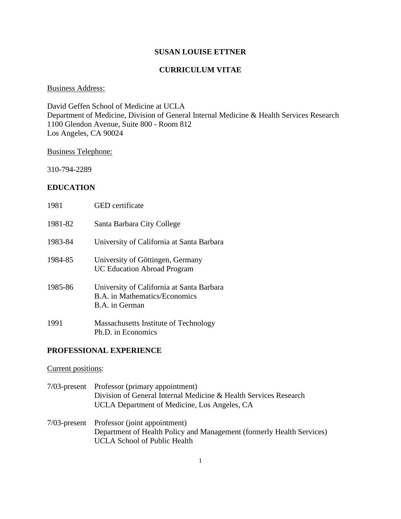#### **SUSAN LOUISE ETTNER**

## **CURRICULUM VITAE**

#### Business Address:

David Geffen School of Medicine at UCLA Department of Medicine, Division of General Internal Medicine & Health Services Research 1100 Glendon Avenue, Suite 800 - Room 812 Los Angeles, CA 90024

#### Business Telephone:

310-794-2289

## **EDUCATION**

| 1981    | <b>GED</b> certificate                                                                              |
|---------|-----------------------------------------------------------------------------------------------------|
| 1981-82 | Santa Barbara City College                                                                          |
| 1983-84 | University of California at Santa Barbara                                                           |
| 1984-85 | University of Göttingen, Germany<br><b>UC Education Abroad Program</b>                              |
| 1985-86 | University of California at Santa Barbara<br><b>B.A.</b> in Mathematics/Economics<br>B.A. in German |
| 1991    | Massachusetts Institute of Technology<br>Ph.D. in Economics                                         |

#### **PROFESSIONAL EXPERIENCE**

#### Current positions:

- 7/03-present Professor (primary appointment) Division of General Internal Medicine & Health Services Research UCLA Department of Medicine, Los Angeles, CA
- 7/03-present Professor (joint appointment) Department of Health Policy and Management (formerly Health Services) UCLA School of Public Health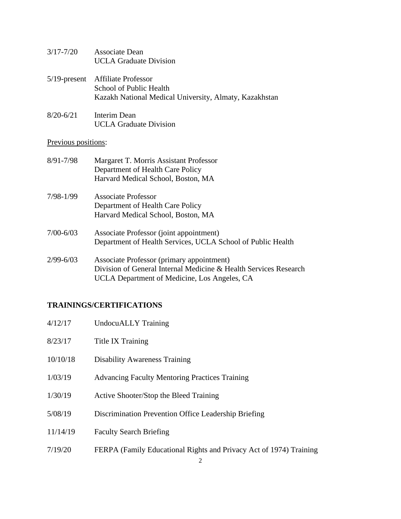- 3/17-7/20 Associate Dean UCLA Graduate Division
- 5/19-present Affiliate Professor School of Public Health Kazakh National Medical University, Almaty, Kazakhstan
- 8/20-6/21 Interim Dean UCLA Graduate Division

## Previous positions:

| $8/91 - 7/98$ | Margaret T. Morris Assistant Professor<br>Department of Health Care Policy<br>Harvard Medical School, Boston, MA                                              |
|---------------|---------------------------------------------------------------------------------------------------------------------------------------------------------------|
| 7/98-1/99     | Associate Professor<br>Department of Health Care Policy<br>Harvard Medical School, Boston, MA                                                                 |
| $7/00 - 6/03$ | Associate Professor (joint appointment)<br>Department of Health Services, UCLA School of Public Health                                                        |
| $2/99 - 6/03$ | Associate Professor (primary appointment)<br>Division of General Internal Medicine & Health Services Research<br>UCLA Department of Medicine, Los Angeles, CA |

# **TRAININGS/CERTIFICATIONS**

| 4/12/17  | <b>UndocuALLY</b> Training                                         |
|----------|--------------------------------------------------------------------|
| 8/23/17  | <b>Title IX Training</b>                                           |
| 10/10/18 | <b>Disability Awareness Training</b>                               |
| 1/03/19  | <b>Advancing Faculty Mentoring Practices Training</b>              |
| 1/30/19  | Active Shooter/Stop the Bleed Training                             |
| 5/08/19  | Discrimination Prevention Office Leadership Briefing               |
| 11/14/19 | <b>Faculty Search Briefing</b>                                     |
| 7/19/20  | FERPA (Family Educational Rights and Privacy Act of 1974) Training |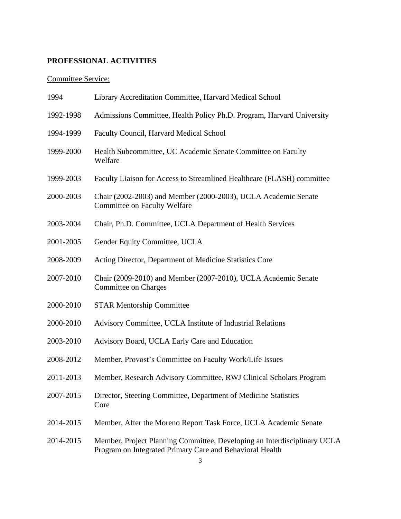# **PROFESSIONAL ACTIVITIES**

# Committee Service:

| 1994      | Library Accreditation Committee, Harvard Medical School                                                                                   |
|-----------|-------------------------------------------------------------------------------------------------------------------------------------------|
| 1992-1998 | Admissions Committee, Health Policy Ph.D. Program, Harvard University                                                                     |
| 1994-1999 | Faculty Council, Harvard Medical School                                                                                                   |
| 1999-2000 | Health Subcommittee, UC Academic Senate Committee on Faculty<br>Welfare                                                                   |
| 1999-2003 | Faculty Liaison for Access to Streamlined Healthcare (FLASH) committee                                                                    |
| 2000-2003 | Chair (2002-2003) and Member (2000-2003), UCLA Academic Senate<br><b>Committee on Faculty Welfare</b>                                     |
| 2003-2004 | Chair, Ph.D. Committee, UCLA Department of Health Services                                                                                |
| 2001-2005 | Gender Equity Committee, UCLA                                                                                                             |
| 2008-2009 | Acting Director, Department of Medicine Statistics Core                                                                                   |
| 2007-2010 | Chair (2009-2010) and Member (2007-2010), UCLA Academic Senate<br>Committee on Charges                                                    |
| 2000-2010 | <b>STAR Mentorship Committee</b>                                                                                                          |
| 2000-2010 | Advisory Committee, UCLA Institute of Industrial Relations                                                                                |
| 2003-2010 | Advisory Board, UCLA Early Care and Education                                                                                             |
| 2008-2012 | Member, Provost's Committee on Faculty Work/Life Issues                                                                                   |
| 2011-2013 | Member, Research Advisory Committee, RWJ Clinical Scholars Program                                                                        |
| 2007-2015 | Director, Steering Committee, Department of Medicine Statistics<br>Core                                                                   |
| 2014-2015 | Member, After the Moreno Report Task Force, UCLA Academic Senate                                                                          |
| 2014-2015 | Member, Project Planning Committee, Developing an Interdisciplinary UCLA<br>Program on Integrated Primary Care and Behavioral Health<br>3 |
|           |                                                                                                                                           |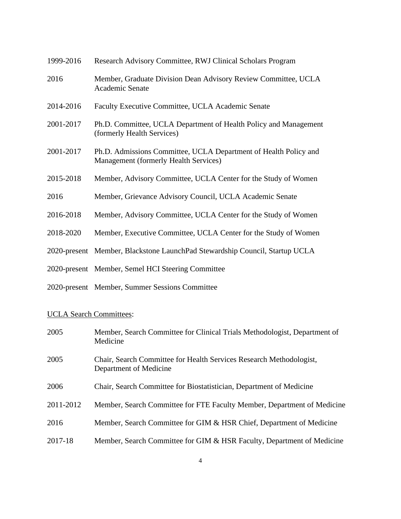| 1999-2016 | Research Advisory Committee, RWJ Clinical Scholars Program                                                |
|-----------|-----------------------------------------------------------------------------------------------------------|
| 2016      | Member, Graduate Division Dean Advisory Review Committee, UCLA<br><b>Academic Senate</b>                  |
| 2014-2016 | Faculty Executive Committee, UCLA Academic Senate                                                         |
| 2001-2017 | Ph.D. Committee, UCLA Department of Health Policy and Management<br>(formerly Health Services)            |
| 2001-2017 | Ph.D. Admissions Committee, UCLA Department of Health Policy and<br>Management (formerly Health Services) |
| 2015-2018 | Member, Advisory Committee, UCLA Center for the Study of Women                                            |
| 2016      | Member, Grievance Advisory Council, UCLA Academic Senate                                                  |
| 2016-2018 | Member, Advisory Committee, UCLA Center for the Study of Women                                            |
| 2018-2020 | Member, Executive Committee, UCLA Center for the Study of Women                                           |
|           | 2020-present Member, Blackstone LaunchPad Stewardship Council, Startup UCLA                               |
|           | 2020-present Member, Semel HCI Steering Committee                                                         |
|           | 2020-present Member, Summer Sessions Committee                                                            |

# UCLA Search Committees:

| 2005      | Member, Search Committee for Clinical Trials Methodologist, Department of<br>Medicine         |
|-----------|-----------------------------------------------------------------------------------------------|
| 2005      | Chair, Search Committee for Health Services Research Methodologist,<br>Department of Medicine |
| 2006      | Chair, Search Committee for Biostatistician, Department of Medicine                           |
| 2011-2012 | Member, Search Committee for FTE Faculty Member, Department of Medicine                       |
| 2016      | Member, Search Committee for GIM & HSR Chief, Department of Medicine                          |
| 2017-18   | Member, Search Committee for GIM & HSR Faculty, Department of Medicine                        |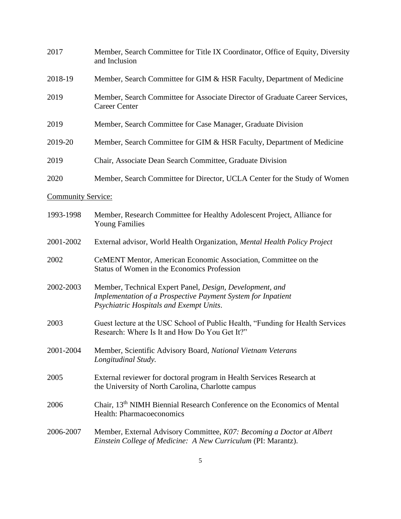| 2017                      | Member, Search Committee for Title IX Coordinator, Office of Equity, Diversity<br>and Inclusion                                                                     |
|---------------------------|---------------------------------------------------------------------------------------------------------------------------------------------------------------------|
| 2018-19                   | Member, Search Committee for GIM & HSR Faculty, Department of Medicine                                                                                              |
| 2019                      | Member, Search Committee for Associate Director of Graduate Career Services,<br><b>Career Center</b>                                                                |
| 2019                      | Member, Search Committee for Case Manager, Graduate Division                                                                                                        |
| 2019-20                   | Member, Search Committee for GIM & HSR Faculty, Department of Medicine                                                                                              |
| 2019                      | Chair, Associate Dean Search Committee, Graduate Division                                                                                                           |
| 2020                      | Member, Search Committee for Director, UCLA Center for the Study of Women                                                                                           |
| <b>Community Service:</b> |                                                                                                                                                                     |
| 1993-1998                 | Member, Research Committee for Healthy Adolescent Project, Alliance for<br><b>Young Families</b>                                                                    |
| 2001-2002                 | External advisor, World Health Organization, Mental Health Policy Project                                                                                           |
| 2002                      | CeMENT Mentor, American Economic Association, Committee on the<br>Status of Women in the Economics Profession                                                       |
| 2002-2003                 | Member, Technical Expert Panel, Design, Development, and<br>Implementation of a Prospective Payment System for Inpatient<br>Psychiatric Hospitals and Exempt Units. |
| 2003                      | Guest lecture at the USC School of Public Health, "Funding for Health Services<br>Research: Where Is It and How Do You Get It?"                                     |
| 2001-2004                 | Member, Scientific Advisory Board, National Vietnam Veterans<br>Longitudinal Study.                                                                                 |
| 2005                      | External reviewer for doctoral program in Health Services Research at<br>the University of North Carolina, Charlotte campus                                         |
| 2006                      | Chair, 13 <sup>th</sup> NIMH Biennial Research Conference on the Economics of Mental<br>Health: Pharmacoeconomics                                                   |
| 2006-2007                 | Member, External Advisory Committee, K07: Becoming a Doctor at Albert<br>Einstein College of Medicine: A New Curriculum (PI: Marantz).                              |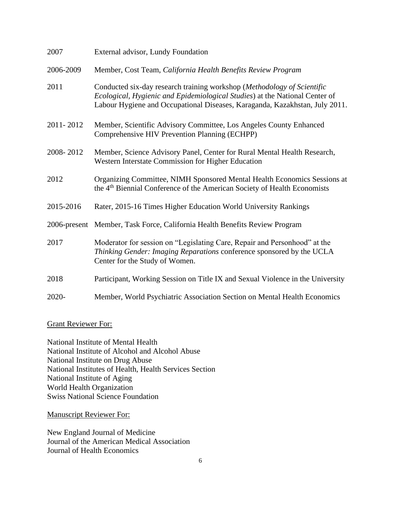| 2007      | External advisor, Lundy Foundation                                                                                                                                                                                                    |
|-----------|---------------------------------------------------------------------------------------------------------------------------------------------------------------------------------------------------------------------------------------|
| 2006-2009 | Member, Cost Team, California Health Benefits Review Program                                                                                                                                                                          |
| 2011      | Conducted six-day research training workshop (Methodology of Scientific<br>Ecological, Hygienic and Epidemiological Studies) at the National Center of<br>Labour Hygiene and Occupational Diseases, Karaganda, Kazakhstan, July 2011. |
| 2011-2012 | Member, Scientific Advisory Committee, Los Angeles County Enhanced<br>Comprehensive HIV Prevention Planning (ECHPP)                                                                                                                   |
| 2008-2012 | Member, Science Advisory Panel, Center for Rural Mental Health Research,<br>Western Interstate Commission for Higher Education                                                                                                        |
| 2012      | Organizing Committee, NIMH Sponsored Mental Health Economics Sessions at<br>the 4 <sup>th</sup> Biennial Conference of the American Society of Health Economists                                                                      |
| 2015-2016 | Rater, 2015-16 Times Higher Education World University Rankings                                                                                                                                                                       |
|           | 2006-present Member, Task Force, California Health Benefits Review Program                                                                                                                                                            |
| 2017      | Moderator for session on "Legislating Care, Repair and Personhood" at the<br>Thinking Gender: Imaging Reparations conference sponsored by the UCLA<br>Center for the Study of Women.                                                  |
| 2018      | Participant, Working Session on Title IX and Sexual Violence in the University                                                                                                                                                        |
| 2020-     | Member, World Psychiatric Association Section on Mental Health Economics                                                                                                                                                              |

#### Grant Reviewer For:

National Institute of Mental Health National Institute of Alcohol and Alcohol Abuse National Institute on Drug Abuse National Institutes of Health, Health Services Section National Institute of Aging World Health Organization Swiss National Science Foundation

Manuscript Reviewer For:

New England Journal of Medicine Journal of the American Medical Association Journal of Health Economics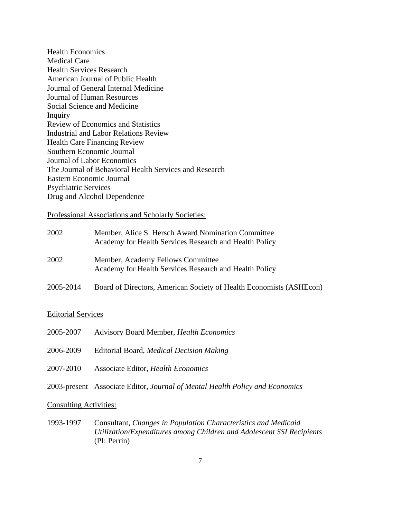Health Economics Medical Care Health Services Research American Journal of Public Health Journal of General Internal Medicine Journal of Human Resources Social Science and Medicine Inquiry Review of Economics and Statistics Industrial and Labor Relations Review Health Care Financing Review Southern Economic Journal Journal of Labor Economics The Journal of Behavioral Health Services and Research Eastern Economic Journal Psychiatric Services Drug and Alcohol Dependence

Professional Associations and Scholarly Societies:

| 2002      | Member, Alice S. Hersch Award Nomination Committee<br>Academy for Health Services Research and Health Policy |
|-----------|--------------------------------------------------------------------------------------------------------------|
| 2002      | Member, Academy Fellows Committee<br>Academy for Health Services Research and Health Policy                  |
| 2005-2014 | Board of Directors, American Society of Health Economists (ASHEcon)                                          |

#### Editorial Services

| 2005-2007 | <b>Advisory Board Member, Health Economics</b>                               |
|-----------|------------------------------------------------------------------------------|
| 2006-2009 | Editorial Board, Medical Decision Making                                     |
| 2007-2010 | Associate Editor, Health Economics                                           |
|           | 2003-present Associate Editor, Journal of Mental Health Policy and Economics |

#### Consulting Activities:

1993-1997 Consultant, *Changes in Population Characteristics and Medicaid Utilization/Expenditures among Children and Adolescent SSI Recipients* (PI: Perrin)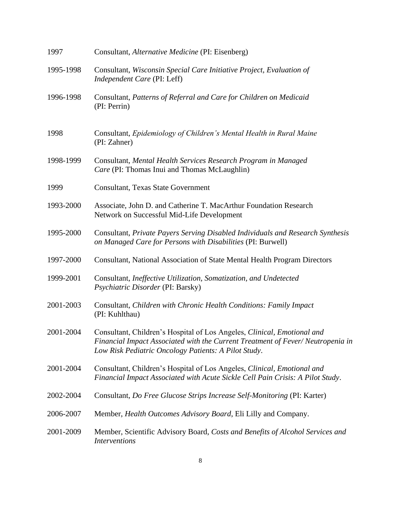| 1997      | Consultant, Alternative Medicine (PI: Eisenberg)                                                                                                                                                                  |
|-----------|-------------------------------------------------------------------------------------------------------------------------------------------------------------------------------------------------------------------|
| 1995-1998 | Consultant, Wisconsin Special Care Initiative Project, Evaluation of<br>Independent Care (PI: Leff)                                                                                                               |
| 1996-1998 | Consultant, Patterns of Referral and Care for Children on Medicaid<br>(PI: Perrin)                                                                                                                                |
| 1998      | Consultant, Epidemiology of Children's Mental Health in Rural Maine<br>(PI: Zahner)                                                                                                                               |
| 1998-1999 | Consultant, Mental Health Services Research Program in Managed<br>Care (PI: Thomas Inui and Thomas McLaughlin)                                                                                                    |
| 1999      | <b>Consultant, Texas State Government</b>                                                                                                                                                                         |
| 1993-2000 | Associate, John D. and Catherine T. MacArthur Foundation Research<br>Network on Successful Mid-Life Development                                                                                                   |
| 1995-2000 | Consultant, Private Payers Serving Disabled Individuals and Research Synthesis<br>on Managed Care for Persons with Disabilities (PI: Burwell)                                                                     |
| 1997-2000 | Consultant, National Association of State Mental Health Program Directors                                                                                                                                         |
| 1999-2001 | Consultant, Ineffective Utilization, Somatization, and Undetected<br>Psychiatric Disorder (PI: Barsky)                                                                                                            |
| 2001-2003 | Consultant, Children with Chronic Health Conditions: Family Impact<br>(PI: Kuhlthau)                                                                                                                              |
| 2001-2004 | Consultant, Children's Hospital of Los Angeles, Clinical, Emotional and<br>Financial Impact Associated with the Current Treatment of Fever/Neutropenia in<br>Low Risk Pediatric Oncology Patients: A Pilot Study. |
| 2001-2004 | Consultant, Children's Hospital of Los Angeles, Clinical, Emotional and<br>Financial Impact Associated with Acute Sickle Cell Pain Crisis: A Pilot Study.                                                         |
| 2002-2004 | Consultant, Do Free Glucose Strips Increase Self-Monitoring (PI: Karter)                                                                                                                                          |
| 2006-2007 | Member, Health Outcomes Advisory Board, Eli Lilly and Company.                                                                                                                                                    |
| 2001-2009 | Member, Scientific Advisory Board, Costs and Benefits of Alcohol Services and<br><i>Interventions</i>                                                                                                             |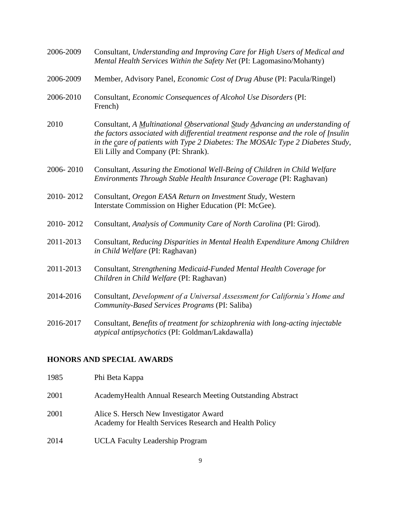| 2006-2009 | Consultant, Understanding and Improving Care for High Users of Medical and<br>Mental Health Services Within the Safety Net (PI: Lagomasino/Mohanty)                                                                                                                                            |
|-----------|------------------------------------------------------------------------------------------------------------------------------------------------------------------------------------------------------------------------------------------------------------------------------------------------|
| 2006-2009 | Member, Advisory Panel, <i>Economic Cost of Drug Abuse</i> (PI: Pacula/Ringel)                                                                                                                                                                                                                 |
| 2006-2010 | Consultant, Economic Consequences of Alcohol Use Disorders (PI:<br>French)                                                                                                                                                                                                                     |
| 2010      | Consultant, A Multinational Observational Study Advancing an understanding of<br>the factors associated with differential treatment response and the role of Insulin<br>in the care of patients with Type 2 Diabetes: The MOSAIc Type 2 Diabetes Study,<br>Eli Lilly and Company (PI: Shrank). |
| 2006-2010 | Consultant, Assuring the Emotional Well-Being of Children in Child Welfare<br>Environments Through Stable Health Insurance Coverage (PI: Raghavan)                                                                                                                                             |
| 2010-2012 | Consultant, Oregon EASA Return on Investment Study, Western<br>Interstate Commission on Higher Education (PI: McGee).                                                                                                                                                                          |
| 2010-2012 | Consultant, Analysis of Community Care of North Carolina (PI: Girod).                                                                                                                                                                                                                          |
| 2011-2013 | Consultant, Reducing Disparities in Mental Health Expenditure Among Children<br>in Child Welfare (PI: Raghavan)                                                                                                                                                                                |
| 2011-2013 | Consultant, Strengthening Medicaid-Funded Mental Health Coverage for<br>Children in Child Welfare (PI: Raghavan)                                                                                                                                                                               |
| 2014-2016 | Consultant, Development of a Universal Assessment for California's Home and<br>Community-Based Services Programs (PI: Saliba)                                                                                                                                                                  |
| 2016-2017 | Consultant, Benefits of treatment for schizophrenia with long-acting injectable<br>atypical antipsychotics (PI: Goldman/Lakdawalla)                                                                                                                                                            |

# **HONORS AND SPECIAL AWARDS**

| 1985 | Phi Beta Kappa                                                                                   |
|------|--------------------------------------------------------------------------------------------------|
| 2001 | Academy Health Annual Research Meeting Outstanding Abstract                                      |
| 2001 | Alice S. Hersch New Investigator Award<br>Academy for Health Services Research and Health Policy |
| 2014 | <b>UCLA</b> Faculty Leadership Program                                                           |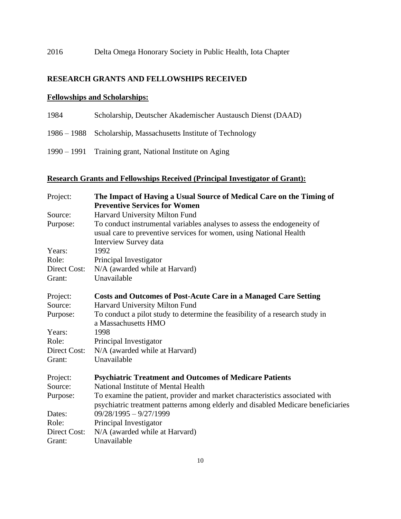# 2016 Delta Omega Honorary Society in Public Health, Iota Chapter

# **RESEARCH GRANTS AND FELLOWSHIPS RECEIVED**

## **Fellowships and Scholarships:**

| 1984 | Scholarship, Deutscher Akademischer Austausch Dienst (DAAD)    |
|------|----------------------------------------------------------------|
|      | 1986 – 1988 Scholarship, Massachusetts Institute of Technology |
|      | 1990 – 1991 Training grant, National Institute on Aging        |

# **Research Grants and Fellowships Received (Principal Investigator of Grant):**

| Project:     | The Impact of Having a Usual Source of Medical Care on the Timing of<br><b>Preventive Services for Women</b>                                                           |
|--------------|------------------------------------------------------------------------------------------------------------------------------------------------------------------------|
| Source:      | Harvard University Milton Fund                                                                                                                                         |
| Purpose:     | To conduct instrumental variables analyses to assess the endogeneity of<br>usual care to preventive services for women, using National Health<br>Interview Survey data |
| Years:       | 1992                                                                                                                                                                   |
| Role:        | Principal Investigator                                                                                                                                                 |
| Direct Cost: | N/A (awarded while at Harvard)                                                                                                                                         |
| Grant:       | Unavailable                                                                                                                                                            |
| Project:     | <b>Costs and Outcomes of Post-Acute Care in a Managed Care Setting</b>                                                                                                 |
| Source:      | Harvard University Milton Fund                                                                                                                                         |
| Purpose:     | To conduct a pilot study to determine the feasibility of a research study in<br>a Massachusetts HMO                                                                    |
| Years:       | 1998                                                                                                                                                                   |
| Role:        | Principal Investigator                                                                                                                                                 |
| Direct Cost: | N/A (awarded while at Harvard)                                                                                                                                         |
| Grant:       | Unavailable                                                                                                                                                            |
| Project:     | <b>Psychiatric Treatment and Outcomes of Medicare Patients</b>                                                                                                         |
| Source:      | National Institute of Mental Health                                                                                                                                    |
| Purpose:     | To examine the patient, provider and market characteristics associated with                                                                                            |
|              | psychiatric treatment patterns among elderly and disabled Medicare beneficiaries                                                                                       |
| Dates:       | $09/28/1995 - 9/27/1999$                                                                                                                                               |
| Role:        | Principal Investigator                                                                                                                                                 |
| Direct Cost: | N/A (awarded while at Harvard)                                                                                                                                         |
| Grant:       | Unavailable                                                                                                                                                            |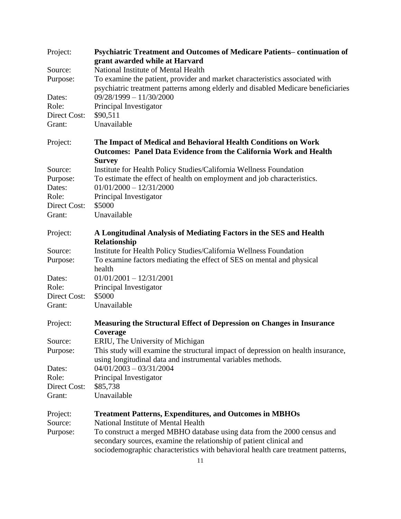| Project:                     | Psychiatric Treatment and Outcomes of Medicare Patients-continuation of                                                                                         |
|------------------------------|-----------------------------------------------------------------------------------------------------------------------------------------------------------------|
|                              | grant awarded while at Harvard                                                                                                                                  |
| Source:                      | National Institute of Mental Health                                                                                                                             |
| Purpose:                     | To examine the patient, provider and market characteristics associated with<br>psychiatric treatment patterns among elderly and disabled Medicare beneficiaries |
| Dates:                       | $09/28/1999 - 11/30/2000$                                                                                                                                       |
| Role:                        | Principal Investigator                                                                                                                                          |
| Direct Cost:                 | \$90,511                                                                                                                                                        |
| Grant:                       | Unavailable                                                                                                                                                     |
| Project:                     | The Impact of Medical and Behavioral Health Conditions on Work<br><b>Outcomes: Panel Data Evidence from the California Work and Health</b>                      |
|                              | <b>Survey</b>                                                                                                                                                   |
| Source:                      | Institute for Health Policy Studies/California Wellness Foundation                                                                                              |
| Purpose:                     | To estimate the effect of health on employment and job characteristics.                                                                                         |
| Dates:                       | $01/01/2000 - 12/31/2000$                                                                                                                                       |
| Role:                        | Principal Investigator                                                                                                                                          |
| Direct Cost:                 | \$5000                                                                                                                                                          |
| Grant:                       | Unavailable                                                                                                                                                     |
|                              |                                                                                                                                                                 |
| Project:                     | A Longitudinal Analysis of Mediating Factors in the SES and Health                                                                                              |
|                              | Relationship                                                                                                                                                    |
| Source:                      | Institute for Health Policy Studies/California Wellness Foundation                                                                                              |
| Purpose:                     | To examine factors mediating the effect of SES on mental and physical<br>health                                                                                 |
| Dates:                       | $01/01/2001 - 12/31/2001$                                                                                                                                       |
| Role:                        | Principal Investigator                                                                                                                                          |
| Direct Cost:                 | \$5000                                                                                                                                                          |
| Grant:                       | Unavailable                                                                                                                                                     |
| Project:                     | <b>Measuring the Structural Effect of Depression on Changes in Insurance</b>                                                                                    |
|                              | Coverage                                                                                                                                                        |
| Source:                      | ERIU, The University of Michigan                                                                                                                                |
| Purpose:                     | This study will examine the structural impact of depression on health insurance,                                                                                |
|                              | using longitudinal data and instrumental variables methods.                                                                                                     |
| Dates:                       | $04/01/2003 - 03/31/2004$                                                                                                                                       |
| Role:<br><b>Direct Cost:</b> | Principal Investigator                                                                                                                                          |
|                              | \$85,738<br>Unavailable                                                                                                                                         |
| Grant:                       |                                                                                                                                                                 |
| Project:                     | <b>Treatment Patterns, Expenditures, and Outcomes in MBHOs</b>                                                                                                  |
| Source:                      | National Institute of Mental Health                                                                                                                             |
| Purpose:                     | To construct a merged MBHO database using data from the 2000 census and<br>secondary sources, examine the relationship of patient clinical and                  |
|                              | sociodemographic characteristics with behavioral health care treatment patterns,                                                                                |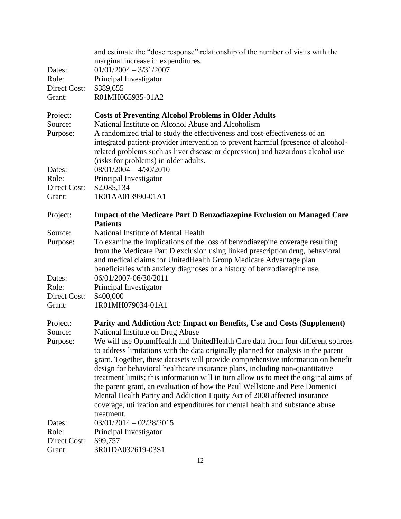| Dates:<br>Role:<br>Direct Cost:<br>Grant: | and estimate the "dose response" relationship of the number of visits with the<br>marginal increase in expenditures.<br>$01/01/2004 - 3/31/2007$<br>Principal Investigator<br>\$389,655<br>R01MH065935-01A2                                                                                                                               |
|-------------------------------------------|-------------------------------------------------------------------------------------------------------------------------------------------------------------------------------------------------------------------------------------------------------------------------------------------------------------------------------------------|
| Project:                                  | <b>Costs of Preventing Alcohol Problems in Older Adults</b>                                                                                                                                                                                                                                                                               |
| Source:<br>Purpose:                       | National Institute on Alcohol Abuse and Alcoholism<br>A randomized trial to study the effectiveness and cost-effectiveness of an<br>integrated patient-provider intervention to prevent harmful (presence of alcohol-<br>related problems such as liver disease or depression) and hazardous alcohol use                                  |
|                                           | (risks for problems) in older adults.                                                                                                                                                                                                                                                                                                     |
| Dates:<br>Role:                           | $08/01/2004 - 4/30/2010$<br>Principal Investigator                                                                                                                                                                                                                                                                                        |
| Direct Cost:                              | \$2,085,134                                                                                                                                                                                                                                                                                                                               |
| Grant:                                    | 1R01AA013990-01A1                                                                                                                                                                                                                                                                                                                         |
| Project:                                  | <b>Impact of the Medicare Part D Benzodiazepine Exclusion on Managed Care</b><br><b>Patients</b>                                                                                                                                                                                                                                          |
| Source:                                   | National Institute of Mental Health                                                                                                                                                                                                                                                                                                       |
| Purpose:                                  | To examine the implications of the loss of benzodiazepine coverage resulting<br>from the Medicare Part D exclusion using linked prescription drug, behavioral<br>and medical claims for UnitedHealth Group Medicare Advantage plan<br>beneficiaries with anxiety diagnoses or a history of benzodiazepine use.                            |
| Dates:                                    | 06/01/2007-06/30/2011                                                                                                                                                                                                                                                                                                                     |
| Role:<br>Direct Cost:                     | Principal Investigator<br>\$400,000                                                                                                                                                                                                                                                                                                       |
| Grant:                                    | 1R01MH079034-01A1                                                                                                                                                                                                                                                                                                                         |
| Project:                                  | Parity and Addiction Act: Impact on Benefits, Use and Costs (Supplement)                                                                                                                                                                                                                                                                  |
| Source:                                   | National Institute on Drug Abuse                                                                                                                                                                                                                                                                                                          |
| Purpose:                                  | We will use OptumHealth and UnitedHealth Care data from four different sources<br>to address limitations with the data originally planned for analysis in the parent<br>grant. Together, these datasets will provide comprehensive information on benefit<br>design for behavioral healthcare insurance plans, including non-quantitative |
|                                           | treatment limits; this information will in turn allow us to meet the original aims of                                                                                                                                                                                                                                                     |
|                                           | the parent grant, an evaluation of how the Paul Wellstone and Pete Domenici<br>Mental Health Parity and Addiction Equity Act of 2008 affected insurance<br>coverage, utilization and expenditures for mental health and substance abuse                                                                                                   |
|                                           | treatment.                                                                                                                                                                                                                                                                                                                                |
| Dates:                                    | $03/01/2014 - 02/28/2015$                                                                                                                                                                                                                                                                                                                 |
| Role:<br>Direct Cost:                     | Principal Investigator<br>\$99,757                                                                                                                                                                                                                                                                                                        |
| Grant:                                    | 3R01DA032619-03S1                                                                                                                                                                                                                                                                                                                         |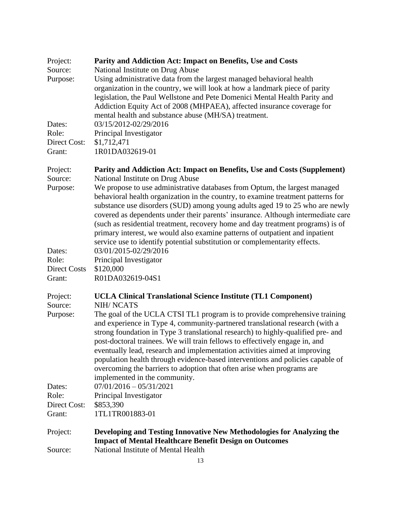| Project:     | Parity and Addiction Act: Impact on Benefits, Use and Costs                                                                                                                                                                                                                                                                        |
|--------------|------------------------------------------------------------------------------------------------------------------------------------------------------------------------------------------------------------------------------------------------------------------------------------------------------------------------------------|
| Source:      | National Institute on Drug Abuse                                                                                                                                                                                                                                                                                                   |
| Purpose:     | Using administrative data from the largest managed behavioral health                                                                                                                                                                                                                                                               |
|              | organization in the country, we will look at how a landmark piece of parity                                                                                                                                                                                                                                                        |
|              | legislation, the Paul Wellstone and Pete Domenici Mental Health Parity and                                                                                                                                                                                                                                                         |
|              | Addiction Equity Act of 2008 (MHPAEA), affected insurance coverage for                                                                                                                                                                                                                                                             |
|              | mental health and substance abuse (MH/SA) treatment.                                                                                                                                                                                                                                                                               |
| Dates:       | 03/15/2012-02/29/2016                                                                                                                                                                                                                                                                                                              |
| Role:        | Principal Investigator                                                                                                                                                                                                                                                                                                             |
| Direct Cost: | \$1,712,471                                                                                                                                                                                                                                                                                                                        |
| Grant:       | 1R01DA032619-01                                                                                                                                                                                                                                                                                                                    |
|              |                                                                                                                                                                                                                                                                                                                                    |
| Project:     | Parity and Addiction Act: Impact on Benefits, Use and Costs (Supplement)                                                                                                                                                                                                                                                           |
| Source:      | National Institute on Drug Abuse                                                                                                                                                                                                                                                                                                   |
| Purpose:     | We propose to use administrative databases from Optum, the largest managed<br>behavioral health organization in the country, to examine treatment patterns for<br>substance use disorders (SUD) among young adults aged 19 to 25 who are newly<br>covered as dependents under their parents' insurance. Although intermediate care |
|              | (such as residential treatment, recovery home and day treatment programs) is of<br>primary interest, we would also examine patterns of outpatient and inpatient<br>service use to identify potential substitution or complementarity effects.                                                                                      |
| Dates:       | 03/01/2015-02/29/2016                                                                                                                                                                                                                                                                                                              |
| Role:        | Principal Investigator                                                                                                                                                                                                                                                                                                             |
| Direct Costs | \$120,000                                                                                                                                                                                                                                                                                                                          |
| Grant:       | R01DA032619-04S1                                                                                                                                                                                                                                                                                                                   |
| Project:     | <b>UCLA Clinical Translational Science Institute (TL1 Component)</b>                                                                                                                                                                                                                                                               |
| Source:      | <b>NIH/NCATS</b>                                                                                                                                                                                                                                                                                                                   |
| Purpose:     | The goal of the UCLA CTSI TL1 program is to provide comprehensive training<br>and experience in Type 4, community-partnered translational research (with a<br>strong foundation in Type 3 translational research) to highly-qualified pre- and<br>post-doctoral trainees. We will train fellows to effectively engage in, and      |
|              | eventually lead, research and implementation activities aimed at improving<br>population health through evidence-based interventions and policies capable of<br>overcoming the barriers to adoption that often arise when programs are                                                                                             |
|              | implemented in the community.                                                                                                                                                                                                                                                                                                      |
| Dates:       | $07/01/2016 - 05/31/2021$                                                                                                                                                                                                                                                                                                          |
| Role:        | Principal Investigator                                                                                                                                                                                                                                                                                                             |
| Direct Cost: | \$853,390                                                                                                                                                                                                                                                                                                                          |
| Grant:       | 1TL1TR001883-01                                                                                                                                                                                                                                                                                                                    |
|              |                                                                                                                                                                                                                                                                                                                                    |
| Project:     | Developing and Testing Innovative New Methodologies for Analyzing the<br><b>Impact of Mental Healthcare Benefit Design on Outcomes</b>                                                                                                                                                                                             |
| Source:      | National Institute of Mental Health                                                                                                                                                                                                                                                                                                |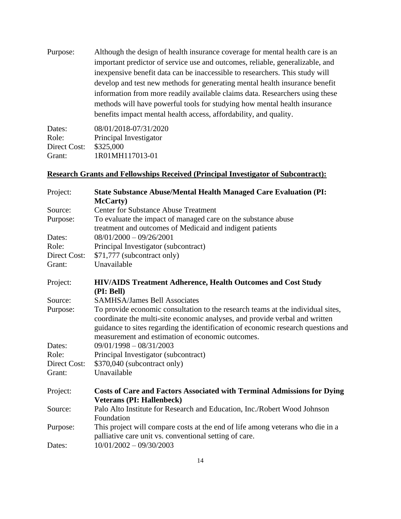Purpose: Although the design of health insurance coverage for mental health care is an important predictor of service use and outcomes, reliable, generalizable, and inexpensive benefit data can be inaccessible to researchers. This study will develop and test new methods for generating mental health insurance benefit information from more readily available claims data. Researchers using these methods will have powerful tools for studying how mental health insurance benefits impact mental health access, affordability, and quality.

| 08/01/2018-07/31/2020  |
|------------------------|
| Principal Investigator |
| \$325,000              |
| 1R01MH117013-01        |
|                        |

## **Research Grants and Fellowships Received (Principal Investigator of Subcontract):**

| Project:     | <b>State Substance Abuse/Mental Health Managed Care Evaluation (PI:</b>                                                                                                                                                                                                                                 |
|--------------|---------------------------------------------------------------------------------------------------------------------------------------------------------------------------------------------------------------------------------------------------------------------------------------------------------|
|              | <b>McCarty</b> )                                                                                                                                                                                                                                                                                        |
| Source:      | <b>Center for Substance Abuse Treatment</b>                                                                                                                                                                                                                                                             |
| Purpose:     | To evaluate the impact of managed care on the substance abuse                                                                                                                                                                                                                                           |
|              | treatment and outcomes of Medicaid and indigent patients                                                                                                                                                                                                                                                |
| Dates:       | $08/01/2000 - 09/26/2001$                                                                                                                                                                                                                                                                               |
| Role:        | Principal Investigator (subcontract)                                                                                                                                                                                                                                                                    |
| Direct Cost: | \$71,777 (subcontract only)                                                                                                                                                                                                                                                                             |
| Grant:       | Unavailable                                                                                                                                                                                                                                                                                             |
| Project:     | <b>HIV/AIDS Treatment Adherence, Health Outcomes and Cost Study</b><br>(PI: Bell)                                                                                                                                                                                                                       |
| Source:      | <b>SAMHSA/James Bell Associates</b>                                                                                                                                                                                                                                                                     |
| Purpose:     | To provide economic consultation to the research teams at the individual sites,<br>coordinate the multi-site economic analyses, and provide verbal and written<br>guidance to sites regarding the identification of economic research questions and<br>measurement and estimation of economic outcomes. |
| Dates:       | $09/01/1998 - 08/31/2003$                                                                                                                                                                                                                                                                               |
| Role:        | Principal Investigator (subcontract)                                                                                                                                                                                                                                                                    |
| Direct Cost: | \$370,040 (subcontract only)                                                                                                                                                                                                                                                                            |
| Grant:       | Unavailable                                                                                                                                                                                                                                                                                             |
| Project:     | <b>Costs of Care and Factors Associated with Terminal Admissions for Dying</b><br><b>Veterans (PI: Hallenbeck)</b>                                                                                                                                                                                      |
| Source:      | Palo Alto Institute for Research and Education, Inc./Robert Wood Johnson<br>Foundation                                                                                                                                                                                                                  |
| Purpose:     | This project will compare costs at the end of life among veterans who die in a<br>palliative care unit vs. conventional setting of care.                                                                                                                                                                |
| Dates:       | $10/01/2002 - 09/30/2003$                                                                                                                                                                                                                                                                               |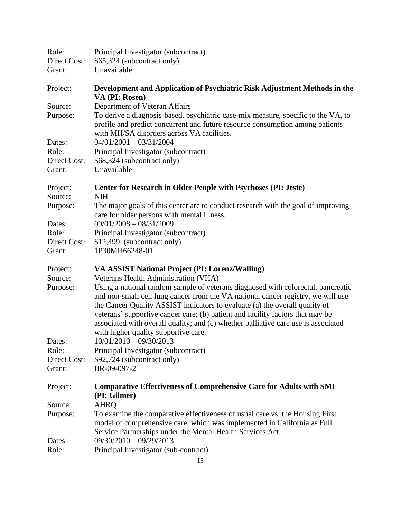| Role:<br>Direct Cost:<br>Grant:           | Principal Investigator (subcontract)<br>\$65,324 (subcontract only)<br>Unavailable                                                                                                                                                                                                                                                                                                                                                                                                                          |
|-------------------------------------------|-------------------------------------------------------------------------------------------------------------------------------------------------------------------------------------------------------------------------------------------------------------------------------------------------------------------------------------------------------------------------------------------------------------------------------------------------------------------------------------------------------------|
| Project:                                  | Development and Application of Psychiatric Risk Adjustment Methods in the<br>VA (PI: Rosen)                                                                                                                                                                                                                                                                                                                                                                                                                 |
| Source:<br>Purpose:                       | Department of Veteran Affairs<br>To derive a diagnosis-based, psychiatric case-mix measure, specific to the VA, to<br>profile and predict concurrent and future resource consumption among patients<br>with MH/SA disorders across VA facilities.                                                                                                                                                                                                                                                           |
| Dates:<br>Role:<br>Direct Cost:<br>Grant: | $04/01/2001 - 03/31/2004$<br>Principal Investigator (subcontract)<br>\$68,324 (subcontract only)<br>Unavailable                                                                                                                                                                                                                                                                                                                                                                                             |
| Project:                                  | <b>Center for Research in Older People with Psychoses (PI: Jeste)</b>                                                                                                                                                                                                                                                                                                                                                                                                                                       |
| Source:<br>Purpose:                       | <b>NIH</b><br>The major goals of this center are to conduct research with the goal of improving<br>care for older persons with mental illness.                                                                                                                                                                                                                                                                                                                                                              |
| Dates:                                    | $09/01/2008 - 08/31/2009$                                                                                                                                                                                                                                                                                                                                                                                                                                                                                   |
| Role:                                     | Principal Investigator (subcontract)                                                                                                                                                                                                                                                                                                                                                                                                                                                                        |
| Direct Cost:<br>Grant:                    | \$12,499 (subcontract only)<br>1P30MH66248-01                                                                                                                                                                                                                                                                                                                                                                                                                                                               |
| Project:<br>Source:                       | VA ASSIST National Project (PI: Lorenz/Walling)                                                                                                                                                                                                                                                                                                                                                                                                                                                             |
| Purpose:                                  | Veterans Health Administration (VHA)<br>Using a national random sample of veterans diagnosed with colorectal, pancreatic<br>and non-small cell lung cancer from the VA national cancer registry, we will use<br>the Cancer Quality ASSIST indicators to evaluate (a) the overall quality of<br>veterans' supportive cancer care; (b) patient and facility factors that may be<br>associated with overall quality; and (c) whether palliative care use is associated<br>with higher quality supportive care. |
| Dates:                                    | $10/01/2010 - 09/30/2013$                                                                                                                                                                                                                                                                                                                                                                                                                                                                                   |
| Role:                                     | Principal Investigator (subcontract)                                                                                                                                                                                                                                                                                                                                                                                                                                                                        |
| Direct Cost:<br>Grant:                    | \$92,724 (subcontract only)<br>IIR-09-097-2                                                                                                                                                                                                                                                                                                                                                                                                                                                                 |
| Project:                                  | <b>Comparative Effectiveness of Comprehensive Care for Adults with SMI</b><br>(PI: Gilmer)                                                                                                                                                                                                                                                                                                                                                                                                                  |
| Source:                                   | <b>AHRQ</b>                                                                                                                                                                                                                                                                                                                                                                                                                                                                                                 |
| Purpose:                                  | To examine the comparative effectiveness of usual care vs. the Housing First<br>model of comprehensive care, which was implemented in California as Full<br>Service Partnerships under the Mental Health Services Act.                                                                                                                                                                                                                                                                                      |
| Dates:                                    | $09/30/2010 - 09/29/2013$                                                                                                                                                                                                                                                                                                                                                                                                                                                                                   |
| Role:                                     | Principal Investigator (sub-contract)                                                                                                                                                                                                                                                                                                                                                                                                                                                                       |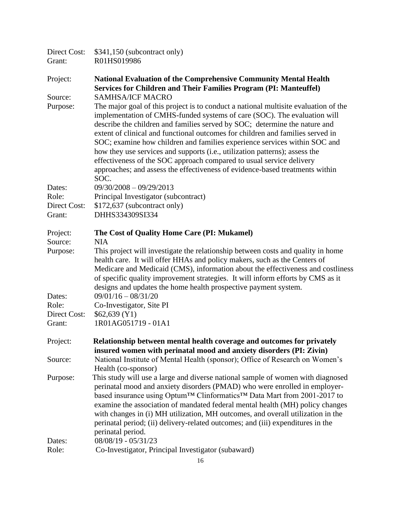| Direct Cost:<br>Grant: | \$341,150 (subcontract only)<br>R01HS019986                                                                                                                                                                                                                                                                                                                                                                                                                                                                                                                                                                                                                 |
|------------------------|-------------------------------------------------------------------------------------------------------------------------------------------------------------------------------------------------------------------------------------------------------------------------------------------------------------------------------------------------------------------------------------------------------------------------------------------------------------------------------------------------------------------------------------------------------------------------------------------------------------------------------------------------------------|
| Project:               | <b>National Evaluation of the Comprehensive Community Mental Health</b><br><b>Services for Children and Their Families Program (PI: Manteuffel)</b>                                                                                                                                                                                                                                                                                                                                                                                                                                                                                                         |
| Source:                | <b>SAMHSA/ICF MACRO</b>                                                                                                                                                                                                                                                                                                                                                                                                                                                                                                                                                                                                                                     |
| Purpose:               | The major goal of this project is to conduct a national multisite evaluation of the<br>implementation of CMHS-funded systems of care (SOC). The evaluation will<br>describe the children and families served by SOC; determine the nature and<br>extent of clinical and functional outcomes for children and families served in<br>SOC; examine how children and families experience services within SOC and<br>how they use services and supports (i.e., utilization patterns); assess the<br>effectiveness of the SOC approach compared to usual service delivery<br>approaches; and assess the effectiveness of evidence-based treatments within<br>SOC. |
| Dates:                 | $09/30/2008 - 09/29/2013$                                                                                                                                                                                                                                                                                                                                                                                                                                                                                                                                                                                                                                   |
| Role:                  | Principal Investigator (subcontract)                                                                                                                                                                                                                                                                                                                                                                                                                                                                                                                                                                                                                        |
| Direct Cost:<br>Grant: | \$172,637 (subcontract only)<br>DHHS334309SI334                                                                                                                                                                                                                                                                                                                                                                                                                                                                                                                                                                                                             |
| Project:               | The Cost of Quality Home Care (PI: Mukamel)                                                                                                                                                                                                                                                                                                                                                                                                                                                                                                                                                                                                                 |
| Source:<br>Purpose:    | <b>NIA</b><br>This project will investigate the relationship between costs and quality in home<br>health care. It will offer HHAs and policy makers, such as the Centers of<br>Medicare and Medicaid (CMS), information about the effectiveness and costliness<br>of specific quality improvement strategies. It will inform efforts by CMS as it<br>designs and updates the home health prospective payment system.                                                                                                                                                                                                                                        |
| Dates:                 | $09/01/16 - 08/31/20$                                                                                                                                                                                                                                                                                                                                                                                                                                                                                                                                                                                                                                       |
| Role:                  | Co-Investigator, Site PI                                                                                                                                                                                                                                                                                                                                                                                                                                                                                                                                                                                                                                    |
| Direct Cost:           | \$62,639 (Y1)                                                                                                                                                                                                                                                                                                                                                                                                                                                                                                                                                                                                                                               |
| Grant:                 | 1R01AG051719 - 01A1                                                                                                                                                                                                                                                                                                                                                                                                                                                                                                                                                                                                                                         |
| Project:               | Relationship between mental health coverage and outcomes for privately<br>insured women with perinatal mood and anxiety disorders (PI: Zivin)                                                                                                                                                                                                                                                                                                                                                                                                                                                                                                               |
| Source:                | National Institute of Mental Health (sponsor); Office of Research on Women's<br>Health (co-sponsor)                                                                                                                                                                                                                                                                                                                                                                                                                                                                                                                                                         |
| Purpose:               | This study will use a large and diverse national sample of women with diagnosed<br>perinatal mood and anxiety disorders (PMAD) who were enrolled in employer-<br>based insurance using Optum™ Clinformatics™ Data Mart from 2001-2017 to<br>examine the association of mandated federal mental health (MH) policy changes<br>with changes in (i) MH utilization, MH outcomes, and overall utilization in the<br>perinatal period; (ii) delivery-related outcomes; and (iii) expenditures in the<br>perinatal period.                                                                                                                                        |
| Dates:                 | 08/08/19 - 05/31/23                                                                                                                                                                                                                                                                                                                                                                                                                                                                                                                                                                                                                                         |
| Role:                  | Co-Investigator, Principal Investigator (subaward)                                                                                                                                                                                                                                                                                                                                                                                                                                                                                                                                                                                                          |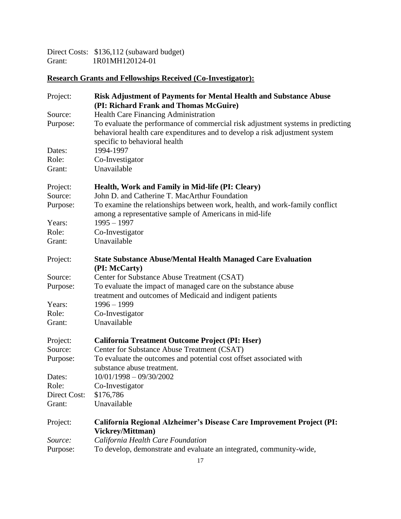Direct Costs: \$136,112 (subaward budget) Grant: 1R01MH120124-01

# **Research Grants and Fellowships Received (Co-Investigator):**

| Project:     | <b>Risk Adjustment of Payments for Mental Health and Substance Abuse</b><br>(PI: Richard Frank and Thomas McGuire)                                                                              |
|--------------|-------------------------------------------------------------------------------------------------------------------------------------------------------------------------------------------------|
| Source:      | <b>Health Care Financing Administration</b>                                                                                                                                                     |
| Purpose:     | To evaluate the performance of commercial risk adjustment systems in predicting<br>behavioral health care expenditures and to develop a risk adjustment system<br>specific to behavioral health |
| Dates:       | 1994-1997                                                                                                                                                                                       |
| Role:        | Co-Investigator                                                                                                                                                                                 |
| Grant:       | Unavailable                                                                                                                                                                                     |
| Project:     | Health, Work and Family in Mid-life (PI: Cleary)                                                                                                                                                |
| Source:      | John D. and Catherine T. MacArthur Foundation                                                                                                                                                   |
| Purpose:     | To examine the relationships between work, health, and work-family conflict<br>among a representative sample of Americans in mid-life                                                           |
| Years:       | $1995 - 1997$                                                                                                                                                                                   |
| Role:        | Co-Investigator                                                                                                                                                                                 |
| Grant:       | Unavailable                                                                                                                                                                                     |
| Project:     | <b>State Substance Abuse/Mental Health Managed Care Evaluation</b><br>(PI: McCarty)                                                                                                             |
| Source:      | Center for Substance Abuse Treatment (CSAT)                                                                                                                                                     |
| Purpose:     | To evaluate the impact of managed care on the substance abuse                                                                                                                                   |
|              | treatment and outcomes of Medicaid and indigent patients                                                                                                                                        |
| Years:       | $1996 - 1999$                                                                                                                                                                                   |
| Role:        | Co-Investigator                                                                                                                                                                                 |
| Grant:       | Unavailable                                                                                                                                                                                     |
| Project:     | California Treatment Outcome Project (PI: Hser)                                                                                                                                                 |
| Source:      | Center for Substance Abuse Treatment (CSAT)                                                                                                                                                     |
| Purpose:     | To evaluate the outcomes and potential cost offset associated with<br>substance abuse treatment.                                                                                                |
| Dates:       | $10/01/1998 - 09/30/2002$                                                                                                                                                                       |
| Role:        | Co-Investigator                                                                                                                                                                                 |
| Direct Cost: | \$176,786                                                                                                                                                                                       |
| Grant:       | Unavailable                                                                                                                                                                                     |
|              |                                                                                                                                                                                                 |
| Project:     | California Regional Alzheimer's Disease Care Improvement Project (PI:<br>Vickrey/Mittman)                                                                                                       |
| Source:      | California Health Care Foundation                                                                                                                                                               |
| Purpose:     | To develop, demonstrate and evaluate an integrated, community-wide,                                                                                                                             |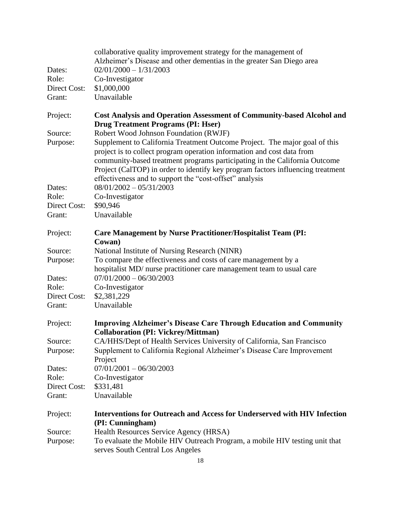| Dates:<br>Role:<br>Direct Cost:<br>Grant: | collaborative quality improvement strategy for the management of<br>Alzheimer's Disease and other dementias in the greater San Diego area<br>$02/01/2000 - 1/31/2003$<br>Co-Investigator<br>\$1,000,000<br>Unavailable                                                                                                                                                           |
|-------------------------------------------|----------------------------------------------------------------------------------------------------------------------------------------------------------------------------------------------------------------------------------------------------------------------------------------------------------------------------------------------------------------------------------|
| Project:                                  | <b>Cost Analysis and Operation Assessment of Community-based Alcohol and</b>                                                                                                                                                                                                                                                                                                     |
| Source:                                   | <b>Drug Treatment Programs (PI: Hser)</b><br>Robert Wood Johnson Foundation (RWJF)                                                                                                                                                                                                                                                                                               |
| Purpose:                                  | Supplement to California Treatment Outcome Project. The major goal of this<br>project is to collect program operation information and cost data from<br>community-based treatment programs participating in the California Outcome<br>Project (CalTOP) in order to identify key program factors influencing treatment<br>effectiveness and to support the "cost-offset" analysis |
| Dates:                                    | $08/01/2002 - 05/31/2003$                                                                                                                                                                                                                                                                                                                                                        |
| Role:                                     | Co-Investigator                                                                                                                                                                                                                                                                                                                                                                  |
| Direct Cost:                              | \$90,946                                                                                                                                                                                                                                                                                                                                                                         |
| Grant:                                    | Unavailable                                                                                                                                                                                                                                                                                                                                                                      |
| Project:                                  | <b>Care Management by Nurse Practitioner/Hospitalist Team (PI:</b><br>Cowan)                                                                                                                                                                                                                                                                                                     |
| Source:                                   | National Institute of Nursing Research (NINR)                                                                                                                                                                                                                                                                                                                                    |
| Purpose:                                  | To compare the effectiveness and costs of care management by a<br>hospitalist MD/ nurse practitioner care management team to usual care                                                                                                                                                                                                                                          |
| Dates:                                    | $07/01/2000 - 06/30/2003$                                                                                                                                                                                                                                                                                                                                                        |
| Role:                                     | Co-Investigator                                                                                                                                                                                                                                                                                                                                                                  |
| Direct Cost:                              | \$2,381,229                                                                                                                                                                                                                                                                                                                                                                      |
| Grant:                                    | Unavailable                                                                                                                                                                                                                                                                                                                                                                      |
| Project:                                  | <b>Improving Alzheimer's Disease Care Through Education and Community</b><br><b>Collaboration (PI: Vickrey/Mittman)</b>                                                                                                                                                                                                                                                          |
| Source:                                   | CA/HHS/Dept of Health Services University of California, San Francisco                                                                                                                                                                                                                                                                                                           |
| Purpose:                                  | Supplement to California Regional Alzheimer's Disease Care Improvement<br>Project                                                                                                                                                                                                                                                                                                |
| Dates:                                    | $07/01/2001 - 06/30/2003$                                                                                                                                                                                                                                                                                                                                                        |
| Role:                                     | Co-Investigator                                                                                                                                                                                                                                                                                                                                                                  |
| Direct Cost:                              | \$331,481                                                                                                                                                                                                                                                                                                                                                                        |
| Grant:                                    | Unavailable                                                                                                                                                                                                                                                                                                                                                                      |
| Project:                                  | <b>Interventions for Outreach and Access for Underserved with HIV Infection</b><br>(PI: Cunningham)                                                                                                                                                                                                                                                                              |
| Source:                                   | Health Resources Service Agency (HRSA)                                                                                                                                                                                                                                                                                                                                           |
| Purpose:                                  | To evaluate the Mobile HIV Outreach Program, a mobile HIV testing unit that<br>serves South Central Los Angeles                                                                                                                                                                                                                                                                  |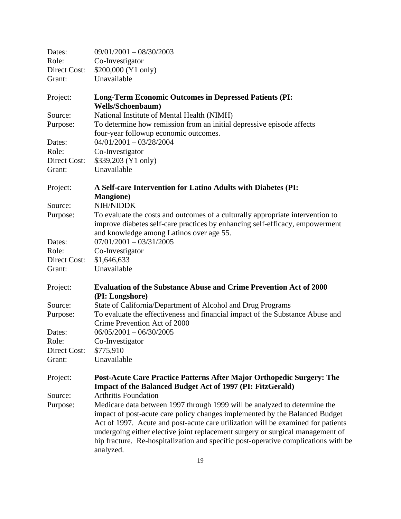| Dates:       | $09/01/2001 - 08/30/2003$                                                                 |
|--------------|-------------------------------------------------------------------------------------------|
| Role:        | Co-Investigator                                                                           |
| Direct Cost: | \$200,000 (Y1 only)                                                                       |
| Grant:       | Unavailable                                                                               |
| Project:     | <b>Long-Term Economic Outcomes in Depressed Patients (PI:</b><br><b>Wells/Schoenbaum)</b> |
| Source:      | National Institute of Mental Health (NIMH)                                                |
| Purpose:     | To determine how remission from an initial depressive episode affects                     |
|              | four-year followup economic outcomes.                                                     |
| Dates:       | $04/01/2001 - 03/28/2004$                                                                 |
| Role:        | Co-Investigator                                                                           |
| Direct Cost: | \$339,203 (Y1 only)                                                                       |
| Grant:       | Unavailable                                                                               |
| Project:     | A Self-care Intervention for Latino Adults with Diabetes (PI:                             |
|              | <b>Mangione</b> )                                                                         |
| Source:      | NIH/NIDDK                                                                                 |
| Purpose:     | To evaluate the costs and outcomes of a culturally appropriate intervention to            |
|              | improve diabetes self-care practices by enhancing self-efficacy, empowerment              |
|              | and knowledge among Latinos over age 55.                                                  |
| Dates:       | $07/01/2001 - 03/31/2005$                                                                 |
| Role:        | Co-Investigator                                                                           |
| Direct Cost: | \$1,646,633                                                                               |
| Grant:       | Unavailable                                                                               |
| Project:     | <b>Evaluation of the Substance Abuse and Crime Prevention Act of 2000</b>                 |
|              | (PI: Longshore)                                                                           |
| Source:      | State of California/Department of Alcohol and Drug Programs                               |
| Purpose:     | To evaluate the effectiveness and financial impact of the Substance Abuse and             |
|              | Crime Prevention Act of 2000                                                              |
| Dates:       | $06/05/2001 - 06/30/2005$                                                                 |
| Role:        | Co-Investigator                                                                           |
| Direct Cost: | \$775,910                                                                                 |
| Grant:       | Unavailable                                                                               |
| Project:     | Post-Acute Care Practice Patterns After Major Orthopedic Surgery: The                     |
|              | Impact of the Balanced Budget Act of 1997 (PI: FitzGerald)                                |
| Source:      | <b>Arthritis Foundation</b>                                                               |
| Purpose:     | Medicare data between 1997 through 1999 will be analyzed to determine the                 |
|              | impact of post-acute care policy changes implemented by the Balanced Budget               |
|              | Act of 1997. Acute and post-acute care utilization will be examined for patients          |
|              | undergoing either elective joint replacement surgery or surgical management of            |
|              | hip fracture. Re-hospitalization and specific post-operative complications with be        |
|              | analyzed.                                                                                 |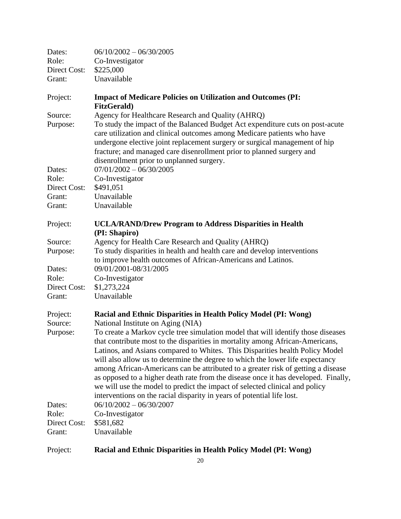| Dates:       | $06/10/2002 - 06/30/2005$                                                                                                                                                                                                                                                                                                                                                                                                                                                                                                                                                                                                                                             |
|--------------|-----------------------------------------------------------------------------------------------------------------------------------------------------------------------------------------------------------------------------------------------------------------------------------------------------------------------------------------------------------------------------------------------------------------------------------------------------------------------------------------------------------------------------------------------------------------------------------------------------------------------------------------------------------------------|
| Role:        | Co-Investigator                                                                                                                                                                                                                                                                                                                                                                                                                                                                                                                                                                                                                                                       |
| Direct Cost: | \$225,000                                                                                                                                                                                                                                                                                                                                                                                                                                                                                                                                                                                                                                                             |
| Grant:       | Unavailable                                                                                                                                                                                                                                                                                                                                                                                                                                                                                                                                                                                                                                                           |
| Project:     | <b>Impact of Medicare Policies on Utilization and Outcomes (PI:</b><br><b>FitzGerald</b> )                                                                                                                                                                                                                                                                                                                                                                                                                                                                                                                                                                            |
| Source:      | Agency for Healthcare Research and Quality (AHRQ)                                                                                                                                                                                                                                                                                                                                                                                                                                                                                                                                                                                                                     |
| Purpose:     | To study the impact of the Balanced Budget Act expenditure cuts on post-acute<br>care utilization and clinical outcomes among Medicare patients who have<br>undergone elective joint replacement surgery or surgical management of hip<br>fracture; and managed care disenrollment prior to planned surgery and<br>disenrollment prior to unplanned surgery.                                                                                                                                                                                                                                                                                                          |
| Dates:       | $07/01/2002 - 06/30/2005$                                                                                                                                                                                                                                                                                                                                                                                                                                                                                                                                                                                                                                             |
| Role:        | Co-Investigator                                                                                                                                                                                                                                                                                                                                                                                                                                                                                                                                                                                                                                                       |
| Direct Cost: | \$491,051                                                                                                                                                                                                                                                                                                                                                                                                                                                                                                                                                                                                                                                             |
| Grant:       | Unavailable                                                                                                                                                                                                                                                                                                                                                                                                                                                                                                                                                                                                                                                           |
| Grant:       | Unavailable                                                                                                                                                                                                                                                                                                                                                                                                                                                                                                                                                                                                                                                           |
| Project:     | <b>UCLA/RAND/Drew Program to Address Disparities in Health</b><br>(PI: Shapiro)                                                                                                                                                                                                                                                                                                                                                                                                                                                                                                                                                                                       |
| Source:      | Agency for Health Care Research and Quality (AHRQ)                                                                                                                                                                                                                                                                                                                                                                                                                                                                                                                                                                                                                    |
| Purpose:     | To study disparities in health and health care and develop interventions<br>to improve health outcomes of African-Americans and Latinos.                                                                                                                                                                                                                                                                                                                                                                                                                                                                                                                              |
| Dates:       | 09/01/2001-08/31/2005                                                                                                                                                                                                                                                                                                                                                                                                                                                                                                                                                                                                                                                 |
| Role:        | Co-Investigator                                                                                                                                                                                                                                                                                                                                                                                                                                                                                                                                                                                                                                                       |
| Direct Cost: | \$1,273,224                                                                                                                                                                                                                                                                                                                                                                                                                                                                                                                                                                                                                                                           |
| Grant:       | Unavailable                                                                                                                                                                                                                                                                                                                                                                                                                                                                                                                                                                                                                                                           |
| Project:     | Racial and Ethnic Disparities in Health Policy Model (PI: Wong)                                                                                                                                                                                                                                                                                                                                                                                                                                                                                                                                                                                                       |
| Source:      | National Institute on Aging (NIA)                                                                                                                                                                                                                                                                                                                                                                                                                                                                                                                                                                                                                                     |
| Purpose:     | To create a Markov cycle tree simulation model that will identify those diseases<br>that contribute most to the disparities in mortality among African-Americans,<br>Latinos, and Asians compared to Whites. This Disparities health Policy Model<br>will also allow us to determine the degree to which the lower life expectancy<br>among African-Americans can be attributed to a greater risk of getting a disease<br>as opposed to a higher death rate from the disease once it has developed. Finally,<br>we will use the model to predict the impact of selected clinical and policy<br>interventions on the racial disparity in years of potential life lost. |
| Dates:       | $06/10/2002 - 06/30/2007$                                                                                                                                                                                                                                                                                                                                                                                                                                                                                                                                                                                                                                             |
| Role:        | Co-Investigator                                                                                                                                                                                                                                                                                                                                                                                                                                                                                                                                                                                                                                                       |
| Direct Cost: | \$581,682                                                                                                                                                                                                                                                                                                                                                                                                                                                                                                                                                                                                                                                             |
| Grant:       | Unavailable                                                                                                                                                                                                                                                                                                                                                                                                                                                                                                                                                                                                                                                           |
| Project:     | Racial and Ethnic Disparities in Health Policy Model (PI: Wong)                                                                                                                                                                                                                                                                                                                                                                                                                                                                                                                                                                                                       |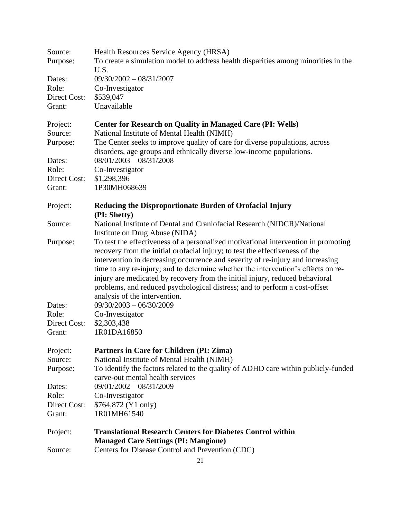| Source:      | Health Resources Service Agency (HRSA)                                             |  |  |
|--------------|------------------------------------------------------------------------------------|--|--|
| Purpose:     | To create a simulation model to address health disparities among minorities in the |  |  |
|              | U.S.                                                                               |  |  |
| Dates:       | $09/30/2002 - 08/31/2007$                                                          |  |  |
| Role:        | Co-Investigator                                                                    |  |  |
| Direct Cost: | \$539,047                                                                          |  |  |
| Grant:       | Unavailable                                                                        |  |  |
|              |                                                                                    |  |  |
| Project:     | <b>Center for Research on Quality in Managed Care (PI: Wells)</b>                  |  |  |
| Source:      | National Institute of Mental Health (NIMH)                                         |  |  |
| Purpose:     | The Center seeks to improve quality of care for diverse populations, across        |  |  |
|              |                                                                                    |  |  |
|              | disorders, age groups and ethnically diverse low-income populations.               |  |  |
| Dates:       | $08/01/2003 - 08/31/2008$                                                          |  |  |
| Role:        | Co-Investigator                                                                    |  |  |
| Direct Cost: | \$1,298,396                                                                        |  |  |
| Grant:       | 1P30MH068639                                                                       |  |  |
|              |                                                                                    |  |  |
| Project:     | Reducing the Disproportionate Burden of Orofacial Injury                           |  |  |
| Source:      | (PI: Shetty)                                                                       |  |  |
|              | National Institute of Dental and Craniofacial Research (NIDCR)/National            |  |  |
|              | Institute on Drug Abuse (NIDA)                                                     |  |  |
| Purpose:     | To test the effectiveness of a personalized motivational intervention in promoting |  |  |
|              | recovery from the initial orofacial injury; to test the effectiveness of the       |  |  |
|              | intervention in decreasing occurrence and severity of re-injury and increasing     |  |  |
|              | time to any re-injury; and to determine whether the intervention's effects on re-  |  |  |
|              | injury are medicated by recovery from the initial injury, reduced behavioral       |  |  |
|              | problems, and reduced psychological distress; and to perform a cost-offset         |  |  |
|              | analysis of the intervention.                                                      |  |  |
| Dates:       | $09/30/2003 - 06/30/2009$                                                          |  |  |
| Role:        | Co-Investigator                                                                    |  |  |
| Direct Cost: | \$2,303,438                                                                        |  |  |
| Grant:       | 1R01DA16850                                                                        |  |  |
|              |                                                                                    |  |  |
| Project:     | Partners in Care for Children (PI: Zima)                                           |  |  |
| Source:      | National Institute of Mental Health (NIMH)                                         |  |  |
| Purpose:     | To identify the factors related to the quality of ADHD care within publicly-funded |  |  |
|              | carve-out mental health services                                                   |  |  |
| Dates:       | $09/01/2002 - 08/31/2009$                                                          |  |  |
| Role:        | Co-Investigator                                                                    |  |  |
| Direct Cost: | \$764,872 (Y1 only)                                                                |  |  |
| Grant:       | 1R01MH61540                                                                        |  |  |
|              |                                                                                    |  |  |
| Project:     | <b>Translational Research Centers for Diabetes Control within</b>                  |  |  |
|              | <b>Managed Care Settings (PI: Mangione)</b>                                        |  |  |
| Source:      | Centers for Disease Control and Prevention (CDC)                                   |  |  |
|              |                                                                                    |  |  |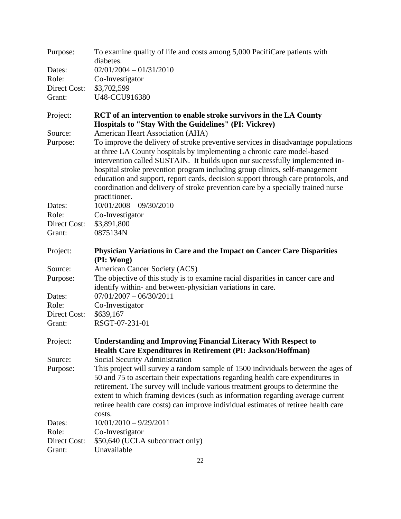| Purpose:            | To examine quality of life and costs among 5,000 PacifiCare patients with<br>diabetes.                                                                                                                                                                                                                                                                                                                                                                                                                                |
|---------------------|-----------------------------------------------------------------------------------------------------------------------------------------------------------------------------------------------------------------------------------------------------------------------------------------------------------------------------------------------------------------------------------------------------------------------------------------------------------------------------------------------------------------------|
| Dates:              | $02/01/2004 - 01/31/2010$                                                                                                                                                                                                                                                                                                                                                                                                                                                                                             |
| Role:               | Co-Investigator                                                                                                                                                                                                                                                                                                                                                                                                                                                                                                       |
| <b>Direct Cost:</b> | \$3,702,599                                                                                                                                                                                                                                                                                                                                                                                                                                                                                                           |
| Grant:              | U48-CCU916380                                                                                                                                                                                                                                                                                                                                                                                                                                                                                                         |
| Project:            | RCT of an intervention to enable stroke survivors in the LA County<br>Hospitals to "Stay With the Guidelines" (PI: Vickrey)                                                                                                                                                                                                                                                                                                                                                                                           |
| Source:             | American Heart Association (AHA)                                                                                                                                                                                                                                                                                                                                                                                                                                                                                      |
| Purpose:            | To improve the delivery of stroke preventive services in disadvantage populations<br>at three LA County hospitals by implementing a chronic care model-based<br>intervention called SUSTAIN. It builds upon our successfully implemented in-<br>hospital stroke prevention program including group clinics, self-management<br>education and support, report cards, decision support through care protocols, and<br>coordination and delivery of stroke prevention care by a specially trained nurse<br>practitioner. |
| Dates:              | $10/01/2008 - 09/30/2010$                                                                                                                                                                                                                                                                                                                                                                                                                                                                                             |
| Role:               | Co-Investigator                                                                                                                                                                                                                                                                                                                                                                                                                                                                                                       |
| Direct Cost:        | \$3,891,800                                                                                                                                                                                                                                                                                                                                                                                                                                                                                                           |
| Grant:              | 0875134N                                                                                                                                                                                                                                                                                                                                                                                                                                                                                                              |
| Project:            | <b>Physician Variations in Care and the Impact on Cancer Care Disparities</b><br>(PI: Wong)                                                                                                                                                                                                                                                                                                                                                                                                                           |
| Source:<br>Purpose: | American Cancer Society (ACS)<br>The objective of this study is to examine racial disparities in cancer care and                                                                                                                                                                                                                                                                                                                                                                                                      |
|                     | identify within- and between-physician variations in care.                                                                                                                                                                                                                                                                                                                                                                                                                                                            |
| Dates:              | $07/01/2007 - 06/30/2011$                                                                                                                                                                                                                                                                                                                                                                                                                                                                                             |
| Role:               | Co-Investigator                                                                                                                                                                                                                                                                                                                                                                                                                                                                                                       |
| Direct Cost:        | \$639,167                                                                                                                                                                                                                                                                                                                                                                                                                                                                                                             |
| Grant:              | RSGT-07-231-01                                                                                                                                                                                                                                                                                                                                                                                                                                                                                                        |
| Project:            | <b>Understanding and Improving Financial Literacy With Respect to</b><br>Health Care Expenditures in Retirement (PI: Jackson/Hoffman)                                                                                                                                                                                                                                                                                                                                                                                 |
| Source:             | Social Security Administration                                                                                                                                                                                                                                                                                                                                                                                                                                                                                        |
| Purpose:            | This project will survey a random sample of 1500 individuals between the ages of<br>50 and 75 to ascertain their expectations regarding health care expenditures in<br>retirement. The survey will include various treatment groups to determine the<br>extent to which framing devices (such as information regarding average current<br>retiree health care costs) can improve individual estimates of retiree health care<br>costs.                                                                                |
| Dates:              | $10/01/2010 - 9/29/2011$                                                                                                                                                                                                                                                                                                                                                                                                                                                                                              |
| Role:               | Co-Investigator                                                                                                                                                                                                                                                                                                                                                                                                                                                                                                       |
| Direct Cost:        | \$50,640 (UCLA subcontract only)                                                                                                                                                                                                                                                                                                                                                                                                                                                                                      |
| Grant:              | Unavailable                                                                                                                                                                                                                                                                                                                                                                                                                                                                                                           |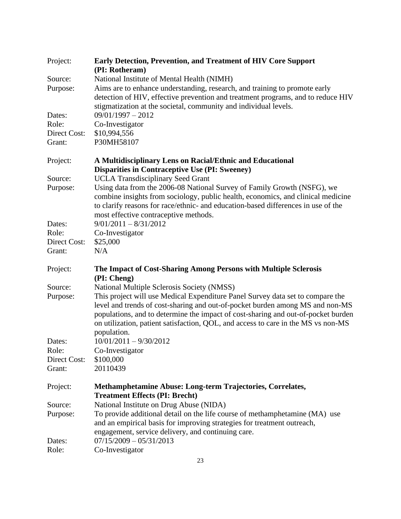| Project:     | <b>Early Detection, Prevention, and Treatment of HIV Core Support</b><br>(PI: Rotheram)                                                                                                                                                                                                                                                                  |
|--------------|----------------------------------------------------------------------------------------------------------------------------------------------------------------------------------------------------------------------------------------------------------------------------------------------------------------------------------------------------------|
| Source:      | National Institute of Mental Health (NIMH)                                                                                                                                                                                                                                                                                                               |
| Purpose:     | Aims are to enhance understanding, research, and training to promote early<br>detection of HIV, effective prevention and treatment programs, and to reduce HIV<br>stigmatization at the societal, community and individual levels.                                                                                                                       |
| Dates:       | $09/01/1997 - 2012$                                                                                                                                                                                                                                                                                                                                      |
| Role:        | Co-Investigator                                                                                                                                                                                                                                                                                                                                          |
| Direct Cost: | \$10,994,556                                                                                                                                                                                                                                                                                                                                             |
| Grant:       | P30MH58107                                                                                                                                                                                                                                                                                                                                               |
| Project:     | A Multidisciplinary Lens on Racial/Ethnic and Educational<br><b>Disparities in Contraceptive Use (PI: Sweeney)</b>                                                                                                                                                                                                                                       |
| Source:      | <b>UCLA Transdisciplinary Seed Grant</b>                                                                                                                                                                                                                                                                                                                 |
| Purpose:     | Using data from the 2006-08 National Survey of Family Growth (NSFG), we<br>combine insights from sociology, public health, economics, and clinical medicine<br>to clarify reasons for race/ethnic- and education-based differences in use of the<br>most effective contraceptive methods.                                                                |
| Dates:       | $9/01/2011 - 8/31/2012$                                                                                                                                                                                                                                                                                                                                  |
| Role:        | Co-Investigator                                                                                                                                                                                                                                                                                                                                          |
| Direct Cost: | \$25,000                                                                                                                                                                                                                                                                                                                                                 |
| Grant:       | N/A                                                                                                                                                                                                                                                                                                                                                      |
| Project:     | The Impact of Cost-Sharing Among Persons with Multiple Sclerosis<br>(PI: Cheng)                                                                                                                                                                                                                                                                          |
| Source:      | National Multiple Sclerosis Society (NMSS)                                                                                                                                                                                                                                                                                                               |
| Purpose:     | This project will use Medical Expenditure Panel Survey data set to compare the<br>level and trends of cost-sharing and out-of-pocket burden among MS and non-MS<br>populations, and to determine the impact of cost-sharing and out-of-pocket burden<br>on utilization, patient satisfaction, QOL, and access to care in the MS vs non-MS<br>population. |
| Dates:       | $10/01/2011 - 9/30/2012$                                                                                                                                                                                                                                                                                                                                 |
| Role:        | Co-Investigator                                                                                                                                                                                                                                                                                                                                          |
| Direct Cost: | \$100,000                                                                                                                                                                                                                                                                                                                                                |
| Grant:       | 20110439                                                                                                                                                                                                                                                                                                                                                 |
| Project:     | Methamphetamine Abuse: Long-term Trajectories, Correlates,<br><b>Treatment Effects (PI: Brecht)</b>                                                                                                                                                                                                                                                      |
| Source:      | National Institute on Drug Abuse (NIDA)                                                                                                                                                                                                                                                                                                                  |
| Purpose:     | To provide additional detail on the life course of methamphetamine (MA) use<br>and an empirical basis for improving strategies for treatment outreach,<br>engagement, service delivery, and continuing care.                                                                                                                                             |
| Dates:       | $07/15/2009 - 05/31/2013$                                                                                                                                                                                                                                                                                                                                |
| Role:        | Co-Investigator                                                                                                                                                                                                                                                                                                                                          |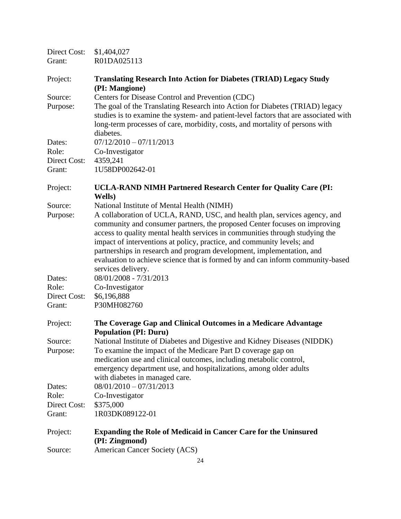| Direct Cost:<br>Grant: | \$1,404,027<br>R01DA025113                                                                                                                                                                                                                                                                                                                                                                                                                                                                        |
|------------------------|---------------------------------------------------------------------------------------------------------------------------------------------------------------------------------------------------------------------------------------------------------------------------------------------------------------------------------------------------------------------------------------------------------------------------------------------------------------------------------------------------|
| Project:               | <b>Translating Research Into Action for Diabetes (TRIAD) Legacy Study</b><br>(PI: Mangione)                                                                                                                                                                                                                                                                                                                                                                                                       |
| Source:                | Centers for Disease Control and Prevention (CDC)<br>The goal of the Translating Research into Action for Diabetes (TRIAD) legacy                                                                                                                                                                                                                                                                                                                                                                  |
| Purpose:               | studies is to examine the system- and patient-level factors that are associated with<br>long-term processes of care, morbidity, costs, and mortality of persons with<br>diabetes.                                                                                                                                                                                                                                                                                                                 |
| Dates:                 | $07/12/2010 - 07/11/2013$                                                                                                                                                                                                                                                                                                                                                                                                                                                                         |
| Role:                  | Co-Investigator                                                                                                                                                                                                                                                                                                                                                                                                                                                                                   |
| Direct Cost:<br>Grant: | 4359,241<br>1U58DP002642-01                                                                                                                                                                                                                                                                                                                                                                                                                                                                       |
| Project:               | <b>UCLA-RAND NIMH Partnered Research Center for Quality Care (PI:</b><br>Wells)                                                                                                                                                                                                                                                                                                                                                                                                                   |
| Source:                | National Institute of Mental Health (NIMH)                                                                                                                                                                                                                                                                                                                                                                                                                                                        |
| Purpose:               | A collaboration of UCLA, RAND, USC, and health plan, services agency, and<br>community and consumer partners, the proposed Center focuses on improving<br>access to quality mental health services in communities through studying the<br>impact of interventions at policy, practice, and community levels; and<br>partnerships in research and program development, implementation, and<br>evaluation to achieve science that is formed by and can inform community-based<br>services delivery. |
| Dates:                 | 08/01/2008 - 7/31/2013                                                                                                                                                                                                                                                                                                                                                                                                                                                                            |
| Role:                  | Co-Investigator                                                                                                                                                                                                                                                                                                                                                                                                                                                                                   |
| Direct Cost:<br>Grant: | \$6,196,888<br>P30MH082760                                                                                                                                                                                                                                                                                                                                                                                                                                                                        |
| Project:               | The Coverage Gap and Clinical Outcomes in a Medicare Advantage<br><b>Population (PI: Duru)</b>                                                                                                                                                                                                                                                                                                                                                                                                    |
| Source:                | National Institute of Diabetes and Digestive and Kidney Diseases (NIDDK)                                                                                                                                                                                                                                                                                                                                                                                                                          |
| Purpose:               | To examine the impact of the Medicare Part D coverage gap on                                                                                                                                                                                                                                                                                                                                                                                                                                      |
|                        | medication use and clinical outcomes, including metabolic control,<br>emergency department use, and hospitalizations, among older adults<br>with diabetes in managed care.                                                                                                                                                                                                                                                                                                                        |
| Dates:                 | $08/01/2010 - 07/31/2013$                                                                                                                                                                                                                                                                                                                                                                                                                                                                         |
| Role:                  | Co-Investigator                                                                                                                                                                                                                                                                                                                                                                                                                                                                                   |
| Direct Cost:           | \$375,000                                                                                                                                                                                                                                                                                                                                                                                                                                                                                         |
| Grant:                 | 1R03DK089122-01                                                                                                                                                                                                                                                                                                                                                                                                                                                                                   |
| Project:               | <b>Expanding the Role of Medicaid in Cancer Care for the Uninsured</b><br>(PI: Zingmond)                                                                                                                                                                                                                                                                                                                                                                                                          |
| Source:                | American Cancer Society (ACS)                                                                                                                                                                                                                                                                                                                                                                                                                                                                     |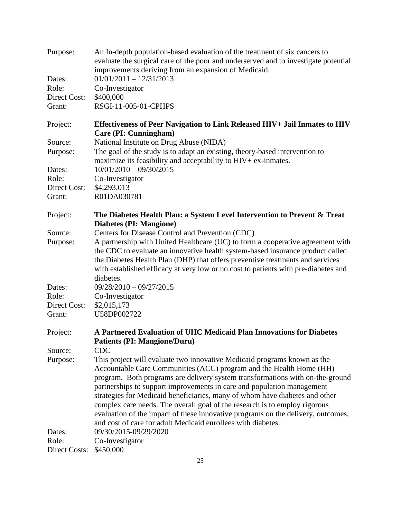| Purpose:             | An In-depth population-based evaluation of the treatment of six cancers to<br>evaluate the surgical care of the poor and underserved and to investigate potential<br>improvements deriving from an expansion of Medicaid.                                                                                                                            |
|----------------------|------------------------------------------------------------------------------------------------------------------------------------------------------------------------------------------------------------------------------------------------------------------------------------------------------------------------------------------------------|
| Dates:               | $01/01/2011 - 12/31/2013$                                                                                                                                                                                                                                                                                                                            |
| Role:                | Co-Investigator                                                                                                                                                                                                                                                                                                                                      |
| Direct Cost:         | \$400,000                                                                                                                                                                                                                                                                                                                                            |
| Grant:               | RSGI-11-005-01-CPHPS                                                                                                                                                                                                                                                                                                                                 |
| Project:             | <b>Effectiveness of Peer Navigation to Link Released HIV+ Jail Inmates to HIV</b><br>Care (PI: Cunningham)                                                                                                                                                                                                                                           |
| Source:              | National Institute on Drug Abuse (NIDA)                                                                                                                                                                                                                                                                                                              |
| Purpose:             | The goal of the study is to adapt an existing, theory-based intervention to<br>maximize its feasibility and acceptability to HIV+ ex-inmates.                                                                                                                                                                                                        |
| Dates:               | $10/01/2010 - 09/30/2015$                                                                                                                                                                                                                                                                                                                            |
| Role:                | Co-Investigator                                                                                                                                                                                                                                                                                                                                      |
| Direct Cost:         | \$4,293,013                                                                                                                                                                                                                                                                                                                                          |
| Grant:               | R01DA030781                                                                                                                                                                                                                                                                                                                                          |
| Project:             | The Diabetes Health Plan: a System Level Intervention to Prevent & Treat<br><b>Diabetes (PI: Mangione)</b>                                                                                                                                                                                                                                           |
| Source:              | Centers for Disease Control and Prevention (CDC)                                                                                                                                                                                                                                                                                                     |
| Purpose:             | A partnership with United Healthcare (UC) to form a cooperative agreement with<br>the CDC to evaluate an innovative health system-based insurance product called<br>the Diabetes Health Plan (DHP) that offers preventive treatments and services<br>with established efficacy at very low or no cost to patients with pre-diabetes and<br>diabetes. |
| Dates:               | $09/28/2010 - 09/27/2015$                                                                                                                                                                                                                                                                                                                            |
| Role:                | Co-Investigator                                                                                                                                                                                                                                                                                                                                      |
| Direct Cost:         | \$2,015,173                                                                                                                                                                                                                                                                                                                                          |
| Grant:               | U58DP002722                                                                                                                                                                                                                                                                                                                                          |
| Project:             | A Partnered Evaluation of UHC Medicaid Plan Innovations for Diabetes<br><b>Patients (PI: Mangione/Duru)</b>                                                                                                                                                                                                                                          |
| Source:              | <b>CDC</b>                                                                                                                                                                                                                                                                                                                                           |
| Purpose:             | This project will evaluate two innovative Medicaid programs known as the                                                                                                                                                                                                                                                                             |
|                      | Accountable Care Communities (ACC) program and the Health Home (HH)<br>program. Both programs are delivery system transformations with on-the-ground                                                                                                                                                                                                 |
|                      | partnerships to support improvements in care and population management                                                                                                                                                                                                                                                                               |
|                      | strategies for Medicaid beneficiaries, many of whom have diabetes and other                                                                                                                                                                                                                                                                          |
|                      | complex care needs. The overall goal of the research is to employ rigorous                                                                                                                                                                                                                                                                           |
|                      | evaluation of the impact of these innovative programs on the delivery, outcomes,                                                                                                                                                                                                                                                                     |
|                      | and cost of care for adult Medicaid enrollees with diabetes.                                                                                                                                                                                                                                                                                         |
| Dates:               | 09/30/2015-09/29/2020                                                                                                                                                                                                                                                                                                                                |
| Role:                | Co-Investigator                                                                                                                                                                                                                                                                                                                                      |
| <b>Direct Costs:</b> | \$450,000                                                                                                                                                                                                                                                                                                                                            |
|                      |                                                                                                                                                                                                                                                                                                                                                      |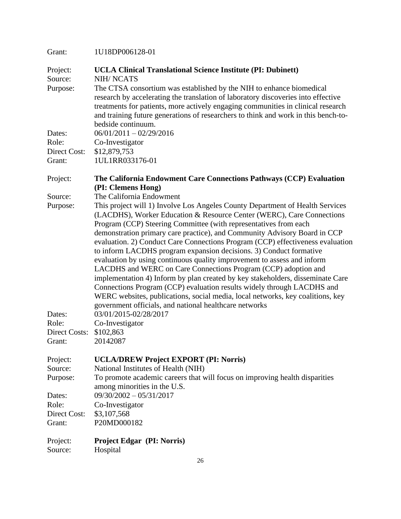| Grant:                 | 1U18DP006128-01                                                                                                                                                                                                                                                                                                                                                                         |
|------------------------|-----------------------------------------------------------------------------------------------------------------------------------------------------------------------------------------------------------------------------------------------------------------------------------------------------------------------------------------------------------------------------------------|
| Project:<br>Source:    | <b>UCLA Clinical Translational Science Institute (PI: Dubinett)</b><br><b>NIH/NCATS</b>                                                                                                                                                                                                                                                                                                 |
| Purpose:               | The CTSA consortium was established by the NIH to enhance biomedical<br>research by accelerating the translation of laboratory discoveries into effective<br>treatments for patients, more actively engaging communities in clinical research<br>and training future generations of researchers to think and work in this bench-to-<br>bedside continuum.                               |
| Dates:                 | $06/01/2011 - 02/29/2016$                                                                                                                                                                                                                                                                                                                                                               |
| Role:                  | Co-Investigator                                                                                                                                                                                                                                                                                                                                                                         |
| Direct Cost:<br>Grant: | \$12,879,753<br>1UL1RR033176-01                                                                                                                                                                                                                                                                                                                                                         |
| Project:               | The California Endowment Care Connections Pathways (CCP) Evaluation<br>(PI: Clemens Hong)                                                                                                                                                                                                                                                                                               |
| Source:                | The California Endowment                                                                                                                                                                                                                                                                                                                                                                |
| Purpose:               | This project will 1) Involve Los Angeles County Department of Health Services<br>(LACDHS), Worker Education & Resource Center (WERC), Care Connections                                                                                                                                                                                                                                  |
|                        | Program (CCP) Steering Committee (with representatives from each<br>demonstration primary care practice), and Community Advisory Board in CCP                                                                                                                                                                                                                                           |
|                        | evaluation. 2) Conduct Care Connections Program (CCP) effectiveness evaluation<br>to inform LACDHS program expansion decisions. 3) Conduct formative                                                                                                                                                                                                                                    |
|                        | evaluation by using continuous quality improvement to assess and inform<br>LACDHS and WERC on Care Connections Program (CCP) adoption and<br>implementation 4) Inform by plan created by key stakeholders, disseminate Care<br>Connections Program (CCP) evaluation results widely through LACDHS and<br>WERC websites, publications, social media, local networks, key coalitions, key |
|                        | government officials, and national healthcare networks                                                                                                                                                                                                                                                                                                                                  |
| Dates:                 | 03/01/2015-02/28/2017                                                                                                                                                                                                                                                                                                                                                                   |
| Role:                  | Co-Investigator                                                                                                                                                                                                                                                                                                                                                                         |
| Direct Costs:          | \$102,863                                                                                                                                                                                                                                                                                                                                                                               |
| Grant:                 | 20142087                                                                                                                                                                                                                                                                                                                                                                                |
| Project:               | <b>UCLA/DREW Project EXPORT (PI: Norris)</b>                                                                                                                                                                                                                                                                                                                                            |
| Source:                | National Institutes of Health (NIH)                                                                                                                                                                                                                                                                                                                                                     |
| Purpose:               | To promote academic careers that will focus on improving health disparities                                                                                                                                                                                                                                                                                                             |
|                        | among minorities in the U.S.                                                                                                                                                                                                                                                                                                                                                            |
| Dates:<br>Role:        | $09/30/2002 - 05/31/2017$<br>Co-Investigator                                                                                                                                                                                                                                                                                                                                            |
| Direct Cost:           | \$3,107,568                                                                                                                                                                                                                                                                                                                                                                             |
| Grant:                 | P20MD000182                                                                                                                                                                                                                                                                                                                                                                             |
| Project:<br>Source:    | <b>Project Edgar (PI: Norris)</b><br>Hospital                                                                                                                                                                                                                                                                                                                                           |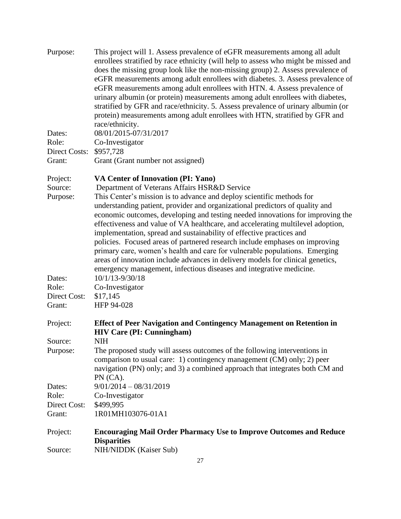| Purpose:                               | This project will 1. Assess prevalence of eGFR measurements among all adult<br>enrollees stratified by race ethnicity (will help to assess who might be missed and<br>does the missing group look like the non-missing group) 2. Assess prevalence of<br>eGFR measurements among adult enrollees with diabetes. 3. Assess prevalence of<br>eGFR measurements among adult enrollees with HTN. 4. Assess prevalence of<br>urinary albumin (or protein) measurements among adult enrollees with diabetes,<br>stratified by GFR and race/ethnicity. 5. Assess prevalence of urinary albumin (or<br>protein) measurements among adult enrollees with HTN, stratified by GFR and                                                                                                                                     |
|----------------------------------------|----------------------------------------------------------------------------------------------------------------------------------------------------------------------------------------------------------------------------------------------------------------------------------------------------------------------------------------------------------------------------------------------------------------------------------------------------------------------------------------------------------------------------------------------------------------------------------------------------------------------------------------------------------------------------------------------------------------------------------------------------------------------------------------------------------------|
|                                        | race/ethnicity.                                                                                                                                                                                                                                                                                                                                                                                                                                                                                                                                                                                                                                                                                                                                                                                                |
| Dates:<br>Role:                        | 08/01/2015-07/31/2017<br>Co-Investigator                                                                                                                                                                                                                                                                                                                                                                                                                                                                                                                                                                                                                                                                                                                                                                       |
| Direct Costs:                          | \$957,728                                                                                                                                                                                                                                                                                                                                                                                                                                                                                                                                                                                                                                                                                                                                                                                                      |
| Grant:                                 | Grant (Grant number not assigned)                                                                                                                                                                                                                                                                                                                                                                                                                                                                                                                                                                                                                                                                                                                                                                              |
| Project:                               | VA Center of Innovation (PI: Yano)                                                                                                                                                                                                                                                                                                                                                                                                                                                                                                                                                                                                                                                                                                                                                                             |
| Source:<br>Purpose:<br>Dates:<br>Role: | Department of Veterans Affairs HSR&D Service<br>This Center's mission is to advance and deploy scientific methods for<br>understanding patient, provider and organizational predictors of quality and<br>economic outcomes, developing and testing needed innovations for improving the<br>effectiveness and value of VA healthcare, and accelerating multilevel adoption,<br>implementation, spread and sustainability of effective practices and<br>policies. Focused areas of partnered research include emphases on improving<br>primary care, women's health and care for vulnerable populations. Emerging<br>areas of innovation include advances in delivery models for clinical genetics,<br>emergency management, infectious diseases and integrative medicine.<br>10/1/13-9/30/18<br>Co-Investigator |
| Direct Cost:<br>Grant:                 | \$17,145<br>HFP 94-028                                                                                                                                                                                                                                                                                                                                                                                                                                                                                                                                                                                                                                                                                                                                                                                         |
|                                        |                                                                                                                                                                                                                                                                                                                                                                                                                                                                                                                                                                                                                                                                                                                                                                                                                |
| Project:                               | <b>Effect of Peer Navigation and Contingency Management on Retention in</b><br><b>HIV Care (PI: Cunningham)</b>                                                                                                                                                                                                                                                                                                                                                                                                                                                                                                                                                                                                                                                                                                |
| Source:                                | NIH                                                                                                                                                                                                                                                                                                                                                                                                                                                                                                                                                                                                                                                                                                                                                                                                            |
| Purpose:                               | The proposed study will assess outcomes of the following interventions in<br>comparison to usual care: 1) contingency management (CM) only; 2) peer<br>navigation (PN) only; and 3) a combined approach that integrates both CM and<br>PN (CA).                                                                                                                                                                                                                                                                                                                                                                                                                                                                                                                                                                |
| Dates:                                 | $9/01/2014 - 08/31/2019$                                                                                                                                                                                                                                                                                                                                                                                                                                                                                                                                                                                                                                                                                                                                                                                       |
| Role:                                  | Co-Investigator                                                                                                                                                                                                                                                                                                                                                                                                                                                                                                                                                                                                                                                                                                                                                                                                |
| Direct Cost:<br>Grant:                 | \$499,995<br>1R01MH103076-01A1                                                                                                                                                                                                                                                                                                                                                                                                                                                                                                                                                                                                                                                                                                                                                                                 |
| Project:                               | <b>Encouraging Mail Order Pharmacy Use to Improve Outcomes and Reduce</b>                                                                                                                                                                                                                                                                                                                                                                                                                                                                                                                                                                                                                                                                                                                                      |
|                                        | <b>Disparities</b>                                                                                                                                                                                                                                                                                                                                                                                                                                                                                                                                                                                                                                                                                                                                                                                             |
| Source:                                | NIH/NIDDK (Kaiser Sub)                                                                                                                                                                                                                                                                                                                                                                                                                                                                                                                                                                                                                                                                                                                                                                                         |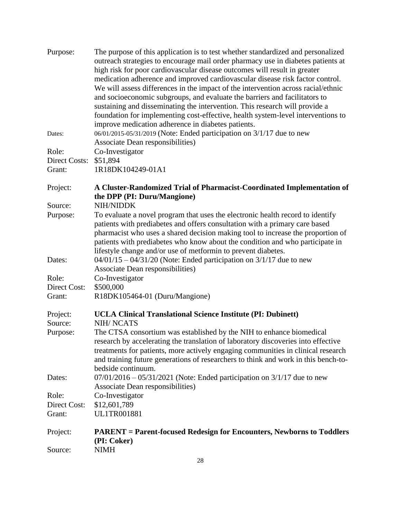| Purpose:              | The purpose of this application is to test whether standardized and personalized<br>outreach strategies to encourage mail order pharmacy use in diabetes patients at |
|-----------------------|----------------------------------------------------------------------------------------------------------------------------------------------------------------------|
|                       | high risk for poor cardiovascular disease outcomes will result in greater                                                                                            |
|                       | medication adherence and improved cardiovascular disease risk factor control.<br>We will assess differences in the impact of the intervention across racial/ethnic   |
|                       | and socioeconomic subgroups, and evaluate the barriers and facilitators to                                                                                           |
|                       | sustaining and disseminating the intervention. This research will provide a                                                                                          |
|                       | foundation for implementing cost-effective, health system-level interventions to                                                                                     |
|                       | improve medication adherence in diabetes patients.                                                                                                                   |
| Dates:                | 06/01/2015-05/31/2019 (Note: Ended participation on 3/1/17 due to new<br>Associate Dean responsibilities)                                                            |
| Role:                 | Co-Investigator                                                                                                                                                      |
| Direct Costs:         | \$51,894                                                                                                                                                             |
| Grant:                | 1R18DK104249-01A1                                                                                                                                                    |
| Project:              | A Cluster-Randomized Trial of Pharmacist-Coordinated Implementation of                                                                                               |
|                       | the DPP (PI: Duru/Mangione)                                                                                                                                          |
| Source:<br>Purpose:   | NIH/NIDDK<br>To evaluate a novel program that uses the electronic health record to identify                                                                          |
|                       | patients with prediabetes and offers consultation with a primary care based                                                                                          |
|                       | pharmacist who uses a shared decision making tool to increase the proportion of                                                                                      |
|                       | patients with prediabetes who know about the condition and who participate in                                                                                        |
|                       | lifestyle change and/or use of metformin to prevent diabetes.                                                                                                        |
| Dates:                | $04/01/15 - 04/31/20$ (Note: Ended participation on 3/1/17 due to new<br>Associate Dean responsibilities)                                                            |
| Role:                 | Co-Investigator                                                                                                                                                      |
| Direct Cost:          | \$500,000                                                                                                                                                            |
| Grant:                | R18DK105464-01 (Duru/Mangione)                                                                                                                                       |
| Project:              | <b>UCLA Clinical Translational Science Institute (PI: Dubinett)</b>                                                                                                  |
| Source:               | <b>NIH/NCATS</b>                                                                                                                                                     |
| Purpose:              | The CTSA consortium was established by the NIH to enhance biomedical<br>research by accelerating the translation of laboratory discoveries into effective            |
|                       | treatments for patients, more actively engaging communities in clinical research                                                                                     |
|                       | and training future generations of researchers to think and work in this bench-to-                                                                                   |
|                       | bedside continuum.                                                                                                                                                   |
| Dates:                | $07/01/2016 - 05/31/2021$ (Note: Ended participation on $3/1/17$ due to new                                                                                          |
|                       | Associate Dean responsibilities)                                                                                                                                     |
| Role:<br>Direct Cost: | Co-Investigator<br>\$12,601,789                                                                                                                                      |
| Grant:                | UL1TR001881                                                                                                                                                          |
| Project:              | <b>PARENT</b> = Parent-focused Redesign for Encounters, Newborns to Toddlers                                                                                         |
|                       | (PI: Coker)                                                                                                                                                          |
| Source:               | <b>NIMH</b>                                                                                                                                                          |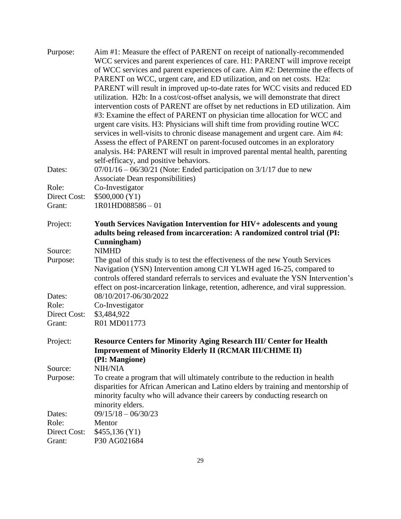| Purpose:     | Aim #1: Measure the effect of PARENT on receipt of nationally-recommended<br>WCC services and parent experiences of care. H1: PARENT will improve receipt                                                                                    |
|--------------|----------------------------------------------------------------------------------------------------------------------------------------------------------------------------------------------------------------------------------------------|
|              |                                                                                                                                                                                                                                              |
|              | of WCC services and parent experiences of care. Aim #2: Determine the effects of                                                                                                                                                             |
|              | PARENT on WCC, urgent care, and ED utilization, and on net costs. H2a:                                                                                                                                                                       |
|              | PARENT will result in improved up-to-date rates for WCC visits and reduced ED                                                                                                                                                                |
|              | utilization. H2b: In a cost/cost-offset analysis, we will demonstrate that direct                                                                                                                                                            |
|              | intervention costs of PARENT are offset by net reductions in ED utilization. Aim                                                                                                                                                             |
|              | #3: Examine the effect of PARENT on physician time allocation for WCC and                                                                                                                                                                    |
|              | urgent care visits. H3: Physicians will shift time from providing routine WCC                                                                                                                                                                |
|              | services in well-visits to chronic disease management and urgent care. Aim #4:                                                                                                                                                               |
|              | Assess the effect of PARENT on parent-focused outcomes in an exploratory                                                                                                                                                                     |
|              | analysis. H4: PARENT will result in improved parental mental health, parenting                                                                                                                                                               |
|              | self-efficacy, and positive behaviors.                                                                                                                                                                                                       |
| Dates:       | $07/01/16 - 06/30/21$ (Note: Ended participation on $3/1/17$ due to new                                                                                                                                                                      |
|              | Associate Dean responsibilities)                                                                                                                                                                                                             |
| Role:        | Co-Investigator                                                                                                                                                                                                                              |
| Direct Cost: | \$500,000 (Y1)                                                                                                                                                                                                                               |
| Grant:       | 1R01HD088586-01                                                                                                                                                                                                                              |
| Project:     | Youth Services Navigation Intervention for HIV+ adolescents and young                                                                                                                                                                        |
|              | adults being released from incarceration: A randomized control trial (PI:                                                                                                                                                                    |
|              | Cunningham)                                                                                                                                                                                                                                  |
| Source:      | <b>NIMHD</b>                                                                                                                                                                                                                                 |
| Purpose:     | The goal of this study is to test the effectiveness of the new Youth Services<br>Navigation (YSN) Intervention among CJI YLWH aged 16-25, compared to<br>controls offered standard referrals to services and evaluate the YSN Intervention's |
|              | effect on post-incarceration linkage, retention, adherence, and viral suppression.                                                                                                                                                           |
| Dates:       | 08/10/2017-06/30/2022                                                                                                                                                                                                                        |
| Role:        | Co-Investigator                                                                                                                                                                                                                              |
| Direct Cost: | \$3,484,922                                                                                                                                                                                                                                  |
| Grant:       | R01 MD011773                                                                                                                                                                                                                                 |
| Project:     | <b>Resource Centers for Minority Aging Research III/ Center for Health</b>                                                                                                                                                                   |
|              | <b>Improvement of Minority Elderly II (RCMAR III/CHIME II)</b>                                                                                                                                                                               |
|              | (PI: Mangione)                                                                                                                                                                                                                               |
| Source:      | <b>NIH/NIA</b>                                                                                                                                                                                                                               |
| Purpose:     | To create a program that will ultimately contribute to the reduction in health                                                                                                                                                               |
|              | disparities for African American and Latino elders by training and mentorship of<br>minority faculty who will advance their careers by conducting research on<br>minority elders.                                                            |
| Dates:       | $09/15/18 - 06/30/23$                                                                                                                                                                                                                        |
| Role:        | Mentor                                                                                                                                                                                                                                       |
| Direct Cost: | \$455,136(Y1)                                                                                                                                                                                                                                |
| Grant:       | P30 AG021684                                                                                                                                                                                                                                 |
|              |                                                                                                                                                                                                                                              |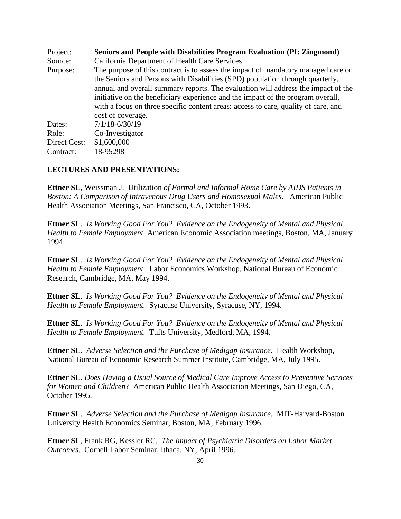Project: **Seniors and People with Disabilities Program Evaluation (PI: Zingmond)** Source: California Department of Health Care Services Purpose: The purpose of this contract is to assess the impact of mandatory managed care on the Seniors and Persons with Disabilities (SPD) population through quarterly, annual and overall summary reports. The evaluation will address the impact of the initiative on the beneficiary experience and the impact of the program overall, with a focus on three specific content areas: access to care, quality of care, and cost of coverage. Dates:  $7/1/18-6/30/19$ Role: Co-Investigator Direct Cost: \$1,600,000 Contract: 18-95298

#### **LECTURES AND PRESENTATIONS:**

**Ettner SL**, Weissman J. Utilization *of Formal and Informal Home Care by AIDS Patients in Boston: A Comparison of Intravenous Drug Users and Homosexual Males.* American Public Health Association Meetings, San Francisco, CA, October 1993.

**Ettner SL**. *Is Working Good For You? Evidence on the Endogeneity of Mental and Physical Health to Female Employment.* American Economic Association meetings, Boston, MA, January 1994.

**Ettner SL***. Is Working Good For You? Evidence on the Endogeneity of Mental and Physical Health to Female Employment.* Labor Economics Workshop, National Bureau of Economic Research, Cambridge, MA, May 1994.

**Ettner SL**. *Is Working Good For You? Evidence on the Endogeneity of Mental and Physical Health to Female Employment.* Syracuse University, Syracuse, NY, 1994.

**Ettner SL**. *Is Working Good For You? Evidence on the Endogeneity of Mental and Physical Health to Female Employment.* Tufts University, Medford, MA, 1994.

**Ettner SL**. *Adverse Selection and the Purchase of Medigap Insurance.* Health Workshop, National Bureau of Economic Research Summer Institute, Cambridge, MA, July 1995.

**Ettner SL**. *Does Having a Usual Source of Medical Care Improve Access to Preventive Services for Women and Children?* American Public Health Association Meetings, San Diego, CA, October 1995.

**Ettner SL**. *Adverse Selection and the Purchase of Medigap Insurance.* MIT-Harvard-Boston University Health Economics Seminar, Boston, MA, February 1996.

**Ettner SL**, Frank RG, Kessler RC. *The Impact of Psychiatric Disorders on Labor Market Outcomes.* Cornell Labor Seminar, Ithaca, NY, April 1996.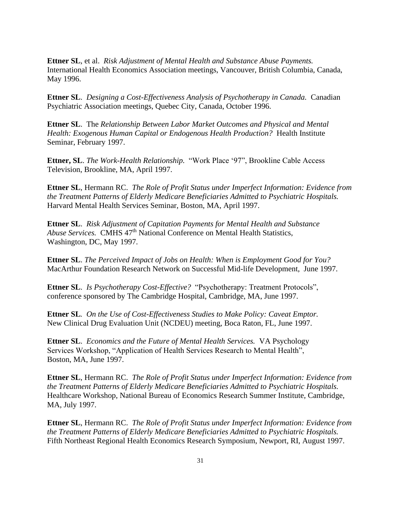**Ettner SL**, et al. *Risk Adjustment of Mental Health and Substance Abuse Payments.* International Health Economics Association meetings, Vancouver, British Columbia, Canada, May 1996.

**Ettner SL**. *Designing a Cost-Effectiveness Analysis of Psychotherapy in Canada.* Canadian Psychiatric Association meetings, Quebec City, Canada, October 1996.

**Ettner SL**. The *Relationship Between Labor Market Outcomes and Physical and Mental Health: Exogenous Human Capital or Endogenous Health Production?* Health Institute Seminar, February 1997.

**Ettner, SL**. *The Work-Health Relationship.* "Work Place '97", Brookline Cable Access Television, Brookline, MA, April 1997.

**Ettner SL**, Hermann RC. *The Role of Profit Status under Imperfect Information: Evidence from the Treatment Patterns of Elderly Medicare Beneficiaries Admitted to Psychiatric Hospitals.*  Harvard Mental Health Services Seminar, Boston, MA, April 1997.

**Ettner SL**. *Risk Adjustment of Capitation Payments for Mental Health and Substance Abuse Services.* CMHS 47th National Conference on Mental Health Statistics, Washington, DC, May 1997.

**Ettner SL**. *The Perceived Impact of Jobs on Health: When is Employment Good for You?* MacArthur Foundation Research Network on Successful Mid-life Development, June 1997.

**Ettner SL**. *Is Psychotherapy Cost-Effective?* "Psychotherapy: Treatment Protocols", conference sponsored by The Cambridge Hospital, Cambridge, MA, June 1997.

**Ettner SL***. On the Use of Cost-Effectiveness Studies to Make Policy: Caveat Emptor.* New Clinical Drug Evaluation Unit (NCDEU) meeting, Boca Raton, FL, June 1997.

**Ettner SL**. *Economics and the Future of Mental Health Services.* VA Psychology Services Workshop, "Application of Health Services Research to Mental Health", Boston, MA, June 1997.

**Ettner SL**, Hermann RC. *The Role of Profit Status under Imperfect Information: Evidence from the Treatment Patterns of Elderly Medicare Beneficiaries Admitted to Psychiatric Hospitals.*  Healthcare Workshop, National Bureau of Economics Research Summer Institute, Cambridge, MA, July 1997.

**Ettner SL**, Hermann RC. *The Role of Profit Status under Imperfect Information: Evidence from the Treatment Patterns of Elderly Medicare Beneficiaries Admitted to Psychiatric Hospitals.*  Fifth Northeast Regional Health Economics Research Symposium, Newport, RI, August 1997.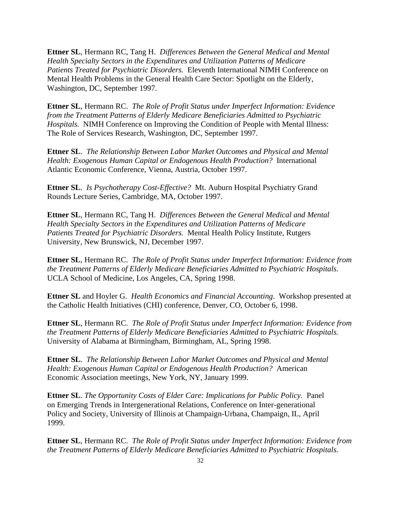**Ettner SL**, Hermann RC, Tang H. *Differences Between the General Medical and Mental Health Specialty Sectors in the Expenditures and Utilization Patterns of Medicare Patients Treated for Psychiatric Disorders.* Eleventh International NIMH Conference on Mental Health Problems in the General Health Care Sector: Spotlight on the Elderly, Washington, DC, September 1997.

**Ettner SL**, Hermann RC. *The Role of Profit Status under Imperfect Information: Evidence from the Treatment Patterns of Elderly Medicare Beneficiaries Admitted to Psychiatric Hospitals.* NIMH Conference on Improving the Condition of People with Mental Illness: The Role of Services Research, Washington, DC, September 1997.

**Ettner SL**. *The Relationship Between Labor Market Outcomes and Physical and Mental Health: Exogenous Human Capital or Endogenous Health Production?* International Atlantic Economic Conference, Vienna, Austria, October 1997.

**Ettner SL**. *Is Psychotherapy Cost-Effective?* Mt. Auburn Hospital Psychiatry Grand Rounds Lecture Series, Cambridge, MA, October 1997.

**Ettner SL**, Hermann RC, Tang H. *Differences Between the General Medical and Mental Health Specialty Sectors in the Expenditures and Utilization Patterns of Medicare Patients Treated for Psychiatric Disorders.* Mental Health Policy Institute, Rutgers University, New Brunswick, NJ, December 1997.

**Ettner SL**, Hermann RC. *The Role of Profit Status under Imperfect Information: Evidence from the Treatment Patterns of Elderly Medicare Beneficiaries Admitted to Psychiatric Hospitals.*  UCLA School of Medicine, Los Angeles, CA, Spring 1998.

**Ettner SL** and Hoyler G. *Health Economics and Financial Accounting*. Workshop presented at the Catholic Health Initiatives (CHI) conference, Denver, CO, October 6, 1998.

**Ettner SL**, Hermann RC. *The Role of Profit Status under Imperfect Information: Evidence from the Treatment Patterns of Elderly Medicare Beneficiaries Admitted to Psychiatric Hospitals.* University of Alabama at Birmingham, Birmingham, AL, Spring 1998.

**Ettner SL***. The Relationship Between Labor Market Outcomes and Physical and Mental Health: Exogenous Human Capital or Endogenous Health Production?* American Economic Association meetings, New York, NY, January 1999.

**Ettner SL**. *The Opportunity Costs of Elder Care: Implications for Public Policy.* Panel on Emerging Trends in Intergenerational Relations, Conference on Inter-generational Policy and Society, University of Illinois at Champaign-Urbana, Champaign, IL, April 1999.

**Ettner SL**, Hermann RC. *The Role of Profit Status under Imperfect Information: Evidence from the Treatment Patterns of Elderly Medicare Beneficiaries Admitted to Psychiatric Hospitals.*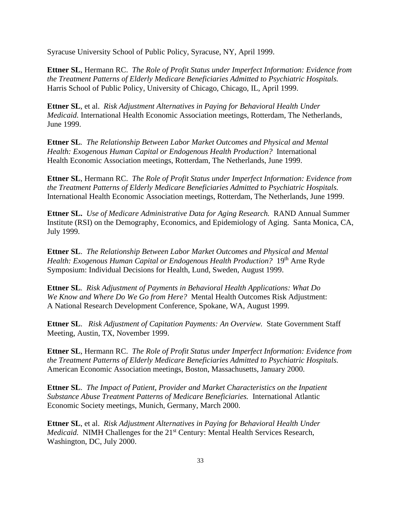Syracuse University School of Public Policy, Syracuse, NY, April 1999.

**Ettner SL**, Hermann RC. *The Role of Profit Status under Imperfect Information: Evidence from the Treatment Patterns of Elderly Medicare Beneficiaries Admitted to Psychiatric Hospitals.* Harris School of Public Policy, University of Chicago, Chicago, IL, April 1999.

**Ettner SL**, et al. *Risk Adjustment Alternatives in Paying for Behavioral Health Under Medicaid.* International Health Economic Association meetings, Rotterdam, The Netherlands, June 1999.

**Ettner SL***. The Relationship Between Labor Market Outcomes and Physical and Mental Health: Exogenous Human Capital or Endogenous Health Production?* International Health Economic Association meetings, Rotterdam, The Netherlands, June 1999.

**Ettner SL**, Hermann RC. *The Role of Profit Status under Imperfect Information: Evidence from the Treatment Patterns of Elderly Medicare Beneficiaries Admitted to Psychiatric Hospitals.* International Health Economic Association meetings, Rotterdam, The Netherlands, June 1999.

**Ettner SL.** *Use of Medicare Administrative Data for Aging Research.* RAND Annual Summer Institute (RSI) on the Demography, Economics, and Epidemiology of Aging. Santa Monica, CA, July 1999.

**Ettner SL**. *The Relationship Between Labor Market Outcomes and Physical and Mental Health: Exogenous Human Capital or Endogenous Health Production?* 19<sup>th</sup> Arne Ryde Symposium: Individual Decisions for Health, Lund, Sweden, August 1999.

**Ettner SL***. Risk Adjustment of Payments in Behavioral Health Applications: What Do We Know and Where Do We Go from Here?* Mental Health Outcomes Risk Adjustment: A National Research Development Conference, Spokane, WA, August 1999.

**Ettner SL**. *Risk Adjustment of Capitation Payments: An Overview.* State Government Staff Meeting, Austin, TX, November 1999.

**Ettner SL**, Hermann RC. *The Role of Profit Status under Imperfect Information: Evidence from the Treatment Patterns of Elderly Medicare Beneficiaries Admitted to Psychiatric Hospitals.* American Economic Association meetings, Boston, Massachusetts, January 2000.

**Ettner SL**. *The Impact of Patient, Provider and Market Characteristics on the Inpatient Substance Abuse Treatment Patterns of Medicare Beneficiaries.* International Atlantic Economic Society meetings, Munich, Germany, March 2000.

**Ettner SL**, et al. *Risk Adjustment Alternatives in Paying for Behavioral Health Under Medicaid.* NIMH Challenges for the 21<sup>st</sup> Century: Mental Health Services Research, Washington, DC, July 2000.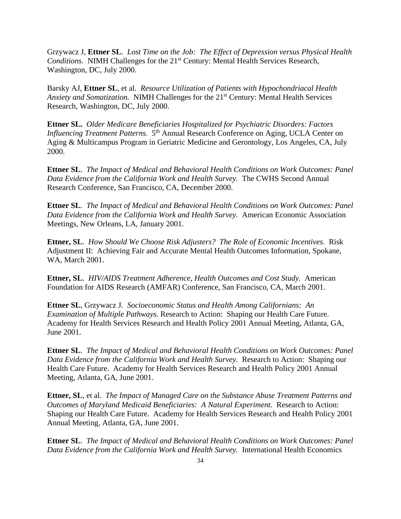Grzywacz J, **Ettner SL***. Lost Time on the Job: The Effect of Depression versus Physical Health Conditions.* NIMH Challenges for the 21<sup>st</sup> Century: Mental Health Services Research, Washington, DC, July 2000.

Barsky AJ, **Ettner SL**, et al*. Resource Utilization of Patients with Hypochondriacal Health Anxiety and Somatization.* NIMH Challenges for the 21<sup>st</sup> Century: Mental Health Services Research, Washington, DC, July 2000.

**Ettner SL.** *Older Medicare Beneficiaries Hospitalized for Psychiatric Disorders: Factors*  Influencing Treatment Patterns. 5<sup>th</sup> Annual Research Conference on Aging, UCLA Center on Aging & Multicampus Program in Geriatric Medicine and Gerontology, Los Angeles, CA, July 2000.

**Ettner SL**. *The Impact of Medical and Behavioral Health Conditions on Work Outcomes: Panel Data Evidence from the California Work and Health Survey.* The CWHS Second Annual Research Conference, San Francisco, CA, December 2000.

**Ettner SL**. *The Impact of Medical and Behavioral Health Conditions on Work Outcomes: Panel Data Evidence from the California Work and Health Survey.* American Economic Association Meetings, New Orleans, LA, January 2001.

**Ettner, SL***. How Should We Choose Risk Adjusters? The Role of Economic Incentives.* Risk Adjustment II: Achieving Fair and Accurate Mental Health Outcomes Information, Spokane, WA, March 2001.

**Ettner, SL**. *HIV/AIDS Treatment Adherence, Health Outcomes and Cost Study.* American Foundation for AIDS Research (AMFAR) Conference, San Francisco, CA, March 2001.

**Ettner SL**, Grzywacz J*. Socioeconomic Status and Health Among Californians: An Examination of Multiple Pathways.* Research to Action: Shaping our Health Care Future. Academy for Health Services Research and Health Policy 2001 Annual Meeting, Atlanta, GA, June 2001.

**Ettner SL**. *The Impact of Medical and Behavioral Health Conditions on Work Outcomes: Panel Data Evidence from the California Work and Health Survey.* Research to Action: Shaping our Health Care Future. Academy for Health Services Research and Health Policy 2001 Annual Meeting, Atlanta, GA, June 2001.

**Ettner, SL**, et al. *The Impact of Managed Care on the Substance Abuse Treatment Patterns and Outcomes of Maryland Medicaid Beneficiaries: A Natural Experiment.* Research to Action: Shaping our Health Care Future. Academy for Health Services Research and Health Policy 2001 Annual Meeting, Atlanta, GA, June 2001.

**Ettner SL**. *The Impact of Medical and Behavioral Health Conditions on Work Outcomes: Panel Data Evidence from the California Work and Health Survey.* International Health Economics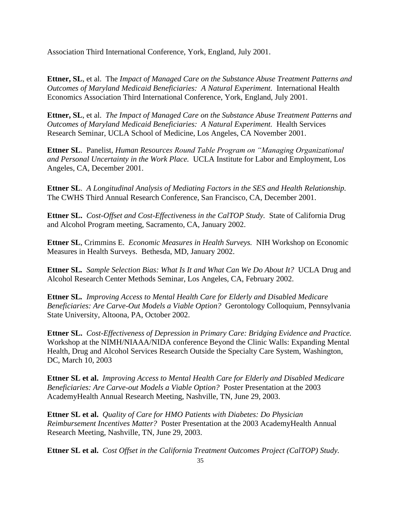Association Third International Conference, York, England, July 2001.

**Ettner, SL**, et al. The *Impact of Managed Care on the Substance Abuse Treatment Patterns and Outcomes of Maryland Medicaid Beneficiaries: A Natural Experiment.* International Health Economics Association Third International Conference, York, England, July 2001.

**Ettner, SL**, et al. *The Impact of Managed Care on the Substance Abuse Treatment Patterns and Outcomes of Maryland Medicaid Beneficiaries: A Natural Experiment.* Health Services Research Seminar, UCLA School of Medicine, Los Angeles, CA November 2001.

**Ettner SL**. Panelist, *Human Resources Round Table Program on "Managing Organizational and Personal Uncertainty in the Work Place.* UCLA Institute for Labor and Employment, Los Angeles, CA, December 2001.

**Ettner SL**. *A Longitudinal Analysis of Mediating Factors in the SES and Health Relationship.* The CWHS Third Annual Research Conference, San Francisco, CA, December 2001.

**Ettner SL.** *Cost-Offset and Cost-Effectiveness in the CalTOP Study.* State of California Drug and Alcohol Program meeting, Sacramento, CA, January 2002.

**Ettner SL**, Crimmins E. *Economic Measures in Health Surveys.* NIH Workshop on Economic Measures in Health Surveys. Bethesda, MD, January 2002.

**Ettner SL***. Sample Selection Bias: What Is It and What Can We Do About It?* UCLA Drug and Alcohol Research Center Methods Seminar, Los Angeles, CA, February 2002.

**Ettner SL***. Improving Access to Mental Health Care for Elderly and Disabled Medicare Beneficiaries: Are Carve-Out Models a Viable Option?* Gerontology Colloquium, Pennsylvania State University, Altoona, PA, October 2002.

**Ettner SL.** *Cost-Effectiveness of Depression in Primary Care: Bridging Evidence and Practice.* Workshop at the NIMH/NIAAA/NIDA conference Beyond the Clinic Walls: Expanding Mental Health, Drug and Alcohol Services Research Outside the Specialty Care System, Washington, DC, March 10, 2003

**Ettner SL et al.** *Improving Access to Mental Health Care for Elderly and Disabled Medicare Beneficiaries: Are Carve-out Models a Viable Option?* Poster Presentation at the 2003 AcademyHealth Annual Research Meeting, Nashville, TN, June 29, 2003.

**Ettner SL et al.** *Quality of Care for HMO Patients with Diabetes: Do Physician Reimbursement Incentives Matter?* Poster Presentation at the 2003 AcademyHealth Annual Research Meeting, Nashville, TN, June 29, 2003.

**Ettner SL et al.** *Cost Offset in the California Treatment Outcomes Project (CalTOP) Study.*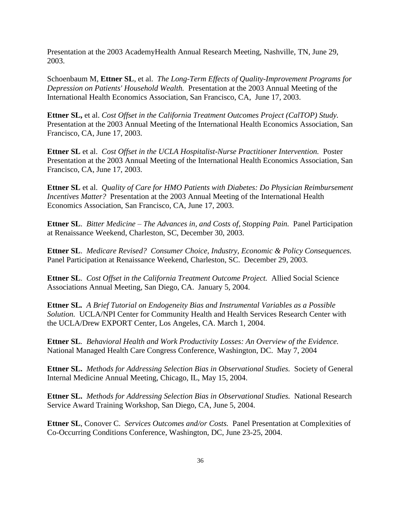Presentation at the 2003 AcademyHealth Annual Research Meeting, Nashville, TN, June 29, 2003.

Schoenbaum M, **Ettner SL**, et al. *The Long-Term Effects of Quality-Improvement Programs for Depression on Patients' Household Wealth.* Presentation at the 2003 Annual Meeting of the International Health Economics Association, San Francisco, CA, June 17, 2003.

**Ettner SL,** et al. *Cost Offset in the California Treatment Outcomes Project (CalTOP) Study.* Presentation at the 2003 Annual Meeting of the International Health Economics Association, San Francisco, CA, June 17, 2003.

**Ettner SL** et al.*Cost Offset in the UCLA Hospitalist-Nurse Practitioner Intervention.* Poster Presentation at the 2003 Annual Meeting of the International Health Economics Association, San Francisco, CA, June 17, 2003.

**Ettner SL** et al.*Quality of Care for HMO Patients with Diabetes: Do Physician Reimbursement Incentives Matter?* Presentation at the 2003 Annual Meeting of the International Health Economics Association, San Francisco, CA, June 17, 2003.

**Ettner SL**. *Bitter Medicine – The Advances in, and Costs of, Stopping Pain.* Panel Participation at Renaissance Weekend, Charleston, SC, December 30, 2003.

**Ettner SL**. *Medicare Revised? Consumer Choice, Industry, Economic & Policy Consequences.* Panel Participation at Renaissance Weekend, Charleston, SC. December 29, 2003.

**Ettner SL**. *Cost Offset in the California Treatment Outcome Project.* Allied Social Science Associations Annual Meeting, San Diego, CA. January 5, 2004.

**Ettner SL***. A Brief Tutorial on Endogeneity Bias and Instrumental Variables as a Possible Solution.* UCLA/NPI Center for Community Health and Health Services Research Center with the UCLA/Drew EXPORT Center, Los Angeles, CA. March 1, 2004.

**Ettner SL***. Behavioral Health and Work Productivity Losses: An Overview of the Evidence.* National Managed Health Care Congress Conference, Washington, DC. May 7, 2004

**Ettner SL.** *Methods for Addressing Selection Bias in Observational Studies.* Society of General Internal Medicine Annual Meeting, Chicago, IL, May 15, 2004.

**Ettner SL.** *Methods for Addressing Selection Bias in Observational Studies.* National Research Service Award Training Workshop, San Diego, CA, June 5, 2004.

**Ettner SL**, Conover C. *Services Outcomes and/or Costs.* Panel Presentation at Complexities of Co-Occurring Conditions Conference, Washington, DC, June 23-25, 2004.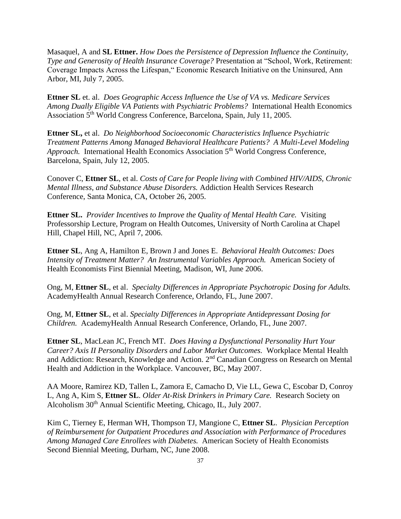Masaquel, A and **SL Ettner.** *How Does the Persistence of Depression Influence the Continuity, Type and Generosity of Health Insurance Coverage?* Presentation at "School, Work, Retirement: Coverage Impacts Across the Lifespan," Economic Research Initiative on the Uninsured, Ann Arbor, MI, July 7, 2005.

**Ettner SL** et. al. *Does Geographic Access Influence the Use of VA vs. Medicare Services Among Dually Eligible VA Patients with Psychiatric Problems?* International Health Economics Association 5<sup>th</sup> World Congress Conference, Barcelona, Spain, July 11, 2005.

**Ettner SL,** et al. *Do Neighborhood Socioeconomic Characteristics Influence Psychiatric Treatment Patterns Among Managed Behavioral Healthcare Patients? A Multi-Level Modeling Approach.* International Health Economics Association 5<sup>th</sup> World Congress Conference, Barcelona, Spain, July 12, 2005.

Conover C, **Ettner SL**, et al. *Costs of Care for People living with Combined HIV/AIDS, Chronic Mental Illness, and Substance Abuse Disorders.* Addiction Health Services Research Conference, Santa Monica, CA, October 26, 2005.

**Ettner SL.** *Provider Incentives to Improve the Quality of Mental Health Care.* Visiting Professorship Lecture, Program on Health Outcomes, University of North Carolina at Chapel Hill, Chapel Hill, NC, April 7, 2006.

**Ettner SL**, Ang A, Hamilton E, Brown J and Jones E. *Behavioral Health Outcomes: Does Intensity of Treatment Matter? An Instrumental Variables Approach.* American Society of Health Economists First Biennial Meeting, Madison, WI, June 2006.

Ong, M, **Ettner SL**, et al. *Specialty Differences in Appropriate Psychotropic Dosing for Adults.* AcademyHealth Annual Research Conference, Orlando, FL, June 2007.

Ong, M, **Ettner SL**, et al. *Specialty Differences in Appropriate Antidepressant Dosing for Children.* AcademyHealth Annual Research Conference, Orlando, FL, June 2007.

**Ettner SL**, MacLean JC, French MT. *Does Having a Dysfunctional Personality Hurt Your Career? Axis II Personality Disorders and Labor Market Outcomes.* Workplace Mental Health and Addiction: Research, Knowledge and Action. 2nd Canadian Congress on Research on Mental Health and Addiction in the Workplace. Vancouver, BC, May 2007.

AA Moore, Ramirez KD, Tallen L, Zamora E, Camacho D, Vie LL, Gewa C, Escobar D, Conroy L, Ang A, Kim S, **Ettner SL**. *Older At-Risk Drinkers in Primary Care.* Research Society on Alcoholism 30<sup>th</sup> Annual Scientific Meeting, Chicago, IL, July 2007.

Kim C, Tierney E, Herman WH, Thompson TJ, Mangione C, **Ettner SL**. *Physician Perception of Reimbursement for Outpatient Procedures and Association with Performance of Procedures Among Managed Care Enrollees with Diabetes.* American Society of Health Economists Second Biennial Meeting, Durham, NC, June 2008.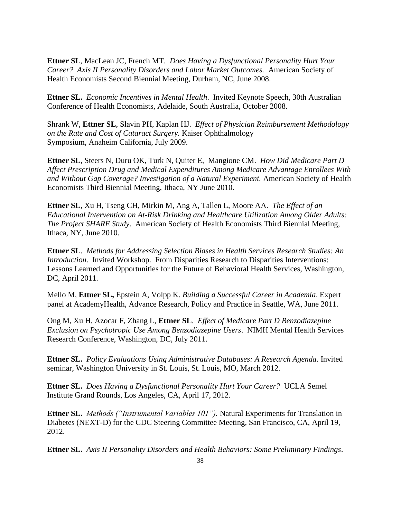**Ettner SL**, MacLean JC, French MT. *Does Having a Dysfunctional Personality Hurt Your Career? Axis II Personality Disorders and Labor Market Outcomes.* American Society of Health Economists Second Biennial Meeting, Durham, NC, June 2008.

**Ettner SL.** *Economic Incentives in Mental Health*. Invited Keynote Speech, 30th Australian Conference of Health Economists, Adelaide, South Australia, October 2008.

Shrank W, **Ettner SL**, Slavin PH, Kaplan HJ.*Effect of Physician Reimbursement Methodology on the Rate and Cost of Cataract Surgery.* Kaiser Ophthalmology Symposium, Anaheim California, July 2009.

**Ettner SL**, Steers N, Duru OK, Turk N, Quiter E, Mangione CM. *How Did Medicare Part D Affect Prescription Drug and Medical Expenditures Among Medicare Advantage Enrollees With and Without Gap Coverage? Investigation of a Natural Experiment.* American Society of Health Economists Third Biennial Meeting, Ithaca, NY June 2010.

**Ettner SL**, Xu H, Tseng CH, Mirkin M, Ang A, Tallen L, Moore AA. *The Effect of an Educational Intervention on At-Risk Drinking and Healthcare Utilization Among Older Adults: The Project SHARE Study*. American Society of Health Economists Third Biennial Meeting, Ithaca, NY, June 2010.

**Ettner SL**. *Methods for Addressing Selection Biases in Health Services Research Studies: An Introduction*. Invited Workshop. From Disparities Research to Disparities Interventions: Lessons Learned and Opportunities for the Future of Behavioral Health Services, Washington, DC, April 2011.

Mello M, **Ettner SL,** Epstein A, Volpp K. *Building a Successful Career in Academia*. Expert panel at AcademyHealth, Advance Research, Policy and Practice in Seattle, WA, June 2011.

Ong M, Xu H, Azocar F, Zhang L, **Ettner SL**. *Effect of Medicare Part D Benzodiazepine Exclusion on Psychotropic Use Among Benzodiazepine Users*. NIMH Mental Health Services Research Conference, Washington, DC, July 2011.

**Ettner SL.** *Policy Evaluations Using Administrative Databases: A Research Agenda.* Invited seminar, Washington University in St. Louis, St. Louis, MO, March 2012.

**Ettner SL.** *Does Having a Dysfunctional Personality Hurt Your Career?* UCLA Semel Institute Grand Rounds, Los Angeles, CA, April 17, 2012.

**Ettner SL.** *Methods ("Instrumental Variables 101").* Natural Experiments for Translation in Diabetes (NEXT-D) for the CDC Steering Committee Meeting, San Francisco, CA, April 19, 2012.

**Ettner SL.** *Axis II Personality Disorders and Health Behaviors: Some Preliminary Findings*.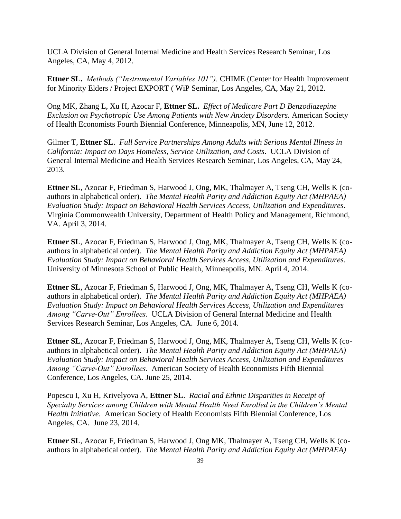UCLA Division of General Internal Medicine and Health Services Research Seminar, Los Angeles, CA, May 4, 2012.

**Ettner SL.** *Methods ("Instrumental Variables 101").* CHIME (Center for Health Improvement for Minority Elders / Project EXPORT ( WiP Seminar, Los Angeles, CA, May 21, 2012.

Ong MK, Zhang L, Xu H, Azocar F, **Ettner SL.** *Effect of Medicare Part D Benzodiazepine Exclusion on Psychotropic Use Among Patients with New Anxiety Disorders.* American Society of Health Economists Fourth Biennial Conference, Minneapolis, MN, June 12, 2012.

Gilmer T, **Ettner SL**. *Full Service Partnerships Among Adults with Serious Mental Illness in California: Impact on Days Homeless, Service Utilization, and Costs*. UCLA Division of General Internal Medicine and Health Services Research Seminar, Los Angeles, CA, May 24, 2013.

**Ettner SL**, Azocar F, Friedman S, Harwood J, Ong, MK, Thalmayer A, Tseng CH, Wells K (coauthors in alphabetical order). *The Mental Health Parity and Addiction Equity Act (MHPAEA) Evaluation Study: Impact on Behavioral Health Services Access, Utilization and Expenditures*. Virginia Commonwealth University, Department of Health Policy and Management, Richmond, VA. April 3, 2014.

**Ettner SL**, Azocar F, Friedman S, Harwood J, Ong, MK, Thalmayer A, Tseng CH, Wells K (coauthors in alphabetical order). *The Mental Health Parity and Addiction Equity Act (MHPAEA) Evaluation Study: Impact on Behavioral Health Services Access, Utilization and Expenditures*. University of Minnesota School of Public Health, Minneapolis, MN. April 4, 2014.

**Ettner SL**, Azocar F, Friedman S, Harwood J, Ong, MK, Thalmayer A, Tseng CH, Wells K (coauthors in alphabetical order). *The Mental Health Parity and Addiction Equity Act (MHPAEA) Evaluation Study: Impact on Behavioral Health Services Access, Utilization and Expenditures Among "Carve-Out" Enrollees*. UCLA Division of General Internal Medicine and Health Services Research Seminar, Los Angeles, CA. June 6, 2014.

**Ettner SL**, Azocar F, Friedman S, Harwood J, Ong, MK, Thalmayer A, Tseng CH, Wells K (coauthors in alphabetical order). *The Mental Health Parity and Addiction Equity Act (MHPAEA) Evaluation Study: Impact on Behavioral Health Services Access, Utilization and Expenditures Among "Carve-Out" Enrollees*. American Society of Health Economists Fifth Biennial Conference, Los Angeles, CA. June 25, 2014.

Popescu I, Xu H, Krivelyova A, **Ettner SL**. *Racial and Ethnic Disparities in Receipt of Specialty Services among Children with Mental Health Need Enrolled in the Children's Mental Health Initiative*. American Society of Health Economists Fifth Biennial Conference, Los Angeles, CA. June 23, 2014.

**Ettner SL**, Azocar F, Friedman S, Harwood J, Ong MK, Thalmayer A, Tseng CH, Wells K (coauthors in alphabetical order). *The Mental Health Parity and Addiction Equity Act (MHPAEA)*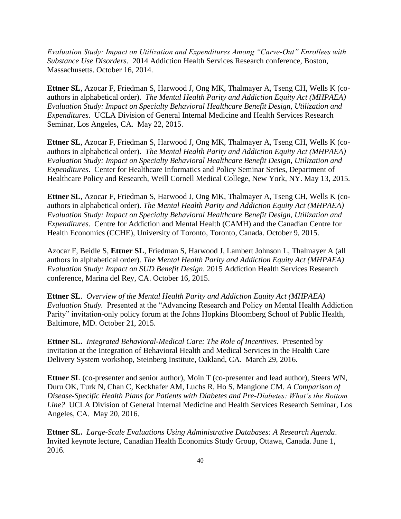*Evaluation Study: Impact on Utilization and Expenditures Among "Carve-Out" Enrollees with Substance Use Disorders*. 2014 Addiction Health Services Research conference, Boston, Massachusetts. October 16, 2014.

**Ettner SL**, Azocar F, Friedman S, Harwood J, Ong MK, Thalmayer A, Tseng CH, Wells K (coauthors in alphabetical order). *The Mental Health Parity and Addiction Equity Act (MHPAEA) Evaluation Study: Impact on Specialty Behavioral Healthcare Benefit Design, Utilization and Expenditures*. UCLA Division of General Internal Medicine and Health Services Research Seminar, Los Angeles, CA. May 22, 2015.

**Ettner SL**, Azocar F, Friedman S, Harwood J, Ong MK, Thalmayer A, Tseng CH, Wells K (coauthors in alphabetical order). *The Mental Health Parity and Addiction Equity Act (MHPAEA) Evaluation Study: Impact on Specialty Behavioral Healthcare Benefit Design, Utilization and Expenditures*. Center for Healthcare Informatics and Policy Seminar Series, Department of Healthcare Policy and Research, Weill Cornell Medical College, New York, NY. May 13, 2015.

**Ettner SL**, Azocar F, Friedman S, Harwood J, Ong MK, Thalmayer A, Tseng CH, Wells K (coauthors in alphabetical order). *The Mental Health Parity and Addiction Equity Act (MHPAEA) Evaluation Study: Impact on Specialty Behavioral Healthcare Benefit Design, Utilization and Expenditures*. Centre for Addiction and Mental Health (CAMH) and the Canadian Centre for Health Economics (CCHE), University of Toronto, Toronto, Canada. October 9, 2015.

Azocar F, Beidle S, **Ettner SL**, Friedman S, Harwood J, Lambert Johnson L, Thalmayer A (all authors in alphabetical order). *The Mental Health Parity and Addiction Equity Act (MHPAEA) Evaluation Study: Impact on SUD Benefit Design*. 2015 Addiction Health Services Research conference, Marina del Rey, CA. October 16, 2015.

**Ettner SL**. *Overview of the Mental Health Parity and Addiction Equity Act (MHPAEA) Evaluation Study.* Presented at the "Advancing Research and Policy on Mental Health Addiction Parity" invitation-only policy forum at the Johns Hopkins Bloomberg School of Public Health, Baltimore, MD. October 21, 2015.

**Ettner SL.** *Integrated Behavioral-Medical Care: The Role of Incentives*. Presented by invitation at the Integration of Behavioral Health and Medical Services in the Health Care Delivery System workshop, Steinberg Institute, Oakland, CA. March 29, 2016.

**Ettner SL** (co-presenter and senior author), Moin T (co-presenter and lead author), Steers WN, Duru OK, Turk N, Chan C, Keckhafer AM, Luchs R, Ho S, Mangione CM. *A Comparison of Disease-Specific Health Plans for Patients with Diabetes and Pre-Diabetes: What's the Bottom Line?* UCLA Division of General Internal Medicine and Health Services Research Seminar, Los Angeles, CA. May 20, 2016.

**Ettner SL.** *Large-Scale Evaluations Using Administrative Databases: A Research Agenda*. Invited keynote lecture, Canadian Health Economics Study Group, Ottawa, Canada. June 1, 2016.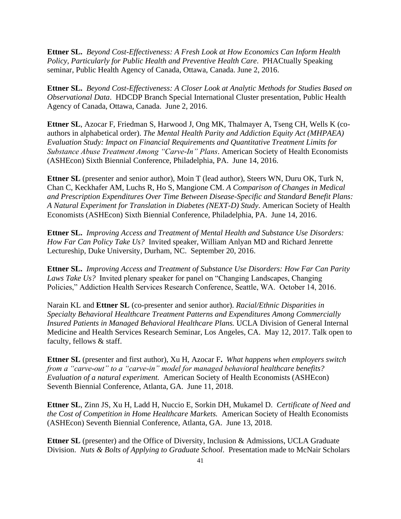**Ettner SL.** *Beyond Cost-Effectiveness: A Fresh Look at How Economics Can Inform Health Policy, Particularly for Public Health and Preventive Health Care*. PHACtually Speaking seminar, Public Health Agency of Canada, Ottawa, Canada. June 2, 2016.

**Ettner SL.** *Beyond Cost-Effectiveness: A Closer Look at Analytic Methods for Studies Based on Observational Data*. HDCDP Branch Special International Cluster presentation, Public Health Agency of Canada, Ottawa, Canada. June 2, 2016.

**Ettner SL**, Azocar F, Friedman S, Harwood J, Ong MK, Thalmayer A, Tseng CH, Wells K (coauthors in alphabetical order). *The Mental Health Parity and Addiction Equity Act (MHPAEA) Evaluation Study: Impact on Financial Requirements and Quantitative Treatment Limits for Substance Abuse Treatment Among "Carve-In" Plans*. American Society of Health Economists (ASHEcon) Sixth Biennial Conference, Philadelphia, PA. June 14, 2016.

**Ettner SL** (presenter and senior author), Moin T (lead author), Steers WN, Duru OK, Turk N, Chan C, Keckhafer AM, Luchs R, Ho S, Mangione CM. *A Comparison of Changes in Medical and Prescription Expenditures Over Time Between Disease-Specific and Standard Benefit Plans: A Natural Experiment for Translation in Diabetes (NEXT-D) Study*. American Society of Health Economists (ASHEcon) Sixth Biennial Conference, Philadelphia, PA. June 14, 2016.

**Ettner SL.** *Improving Access and Treatment of Mental Health and Substance Use Disorders: How Far Can Policy Take Us?* Invited speaker, William Anlyan MD and Richard Jenrette Lectureship, Duke University, Durham, NC. September 20, 2016.

**Ettner SL.** *Improving Access and Treatment of Substance Use Disorders: How Far Can Parity Laws Take Us?* Invited plenary speaker for panel on "Changing Landscapes, Changing Policies," Addiction Health Services Research Conference, Seattle, WA. October 14, 2016.

Narain KL and **Ettner SL** (co-presenter and senior author). *Racial/Ethnic Disparities in Specialty Behavioral Healthcare Treatment Patterns and Expenditures Among Commercially Insured Patients in Managed Behavioral Healthcare Plans.* UCLA Division of General Internal Medicine and Health Services Research Seminar, Los Angeles, CA. May 12, 2017. Talk open to faculty, fellows & staff.

**Ettner SL** (presenter and first author), Xu H, Azocar F**.** *What happens when employers switch from a "carve-out" to a "carve-in" model for managed behavioral healthcare benefits? Evaluation of a natural experiment.* American Society of Health Economists (ASHEcon) Seventh Biennial Conference, Atlanta, GA. June 11, 2018.

**Ettner SL**, Zinn JS, Xu H, Ladd H, Nuccio E, Sorkin DH, Mukamel D.*Certificate of Need and the Cost of Competition in Home Healthcare Markets.* American Society of Health Economists (ASHEcon) Seventh Biennial Conference, Atlanta, GA. June 13, 2018.

**Ettner SL** (presenter) and the Office of Diversity, Inclusion & Admissions, UCLA Graduate Division. *Nuts & Bolts of Applying to Graduate School*. Presentation made to McNair Scholars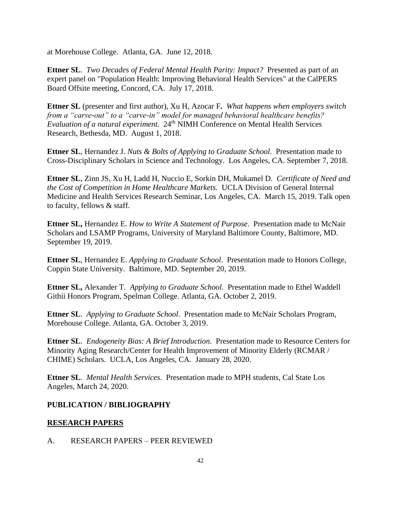at Morehouse College. Atlanta, GA. June 12, 2018.

**Ettner SL**. *Two Decades of Federal Mental Health Parity: Impact?* Presented as part of an expert panel on "Population Health: Improving Behavioral Health Services" at the CalPERS Board Offsite meeting, Concord, CA. July 17, 2018.

**Ettner SL** (presenter and first author), Xu H, Azocar F**.** *What happens when employers switch from a "carve-out" to a "carve-in" model for managed behavioral healthcare benefits? Evaluation of a natural experiment.* 24th NIMH Conference on Mental Health Services Research, Bethesda, MD. August 1, 2018.

**Ettner SL**, Hernandez J. *Nuts & Bolts of Applying to Graduate School*. Presentation made to Cross-Disciplinary Scholars in Science and Technology. Los Angeles, CA. September 7, 2018.

**Ettner SL**, Zinn JS, Xu H, Ladd H, Nuccio E, Sorkin DH, Mukamel D.*Certificate of Need and the Cost of Competition in Home Healthcare Markets.* UCLA Division of General Internal Medicine and Health Services Research Seminar, Los Angeles, CA. March 15, 2019. Talk open to faculty, fellows & staff.

**Ettner SL,** Hernandez E. *How to Write A Statement of Purpose*. Presentation made to McNair Scholars and LSAMP Programs, University of Maryland Baltimore County, Baltimore, MD. September 19, 2019.

**Ettner SL**, Hernandez E. *Applying to Graduate School*. Presentation made to Honors College, Coppin State University. Baltimore, MD. September 20, 2019.

**Ettner SL,** Alexander T. *Applying to Graduate School*. Presentation made to Ethel Waddell Githii Honors Program, Spelman College. Atlanta, GA. October 2, 2019.

**Ettner SL**. *Applying to Graduate School*. Presentation made to McNair Scholars Program, Morehouse College. Atlanta, GA. October 3, 2019.

**Ettner SL**. *Endogeneity Bias: A Brief Introduction*. Presentation made to Resource Centers for Minority Aging Research/Center for Health Improvement of Minority Elderly (RCMAR / CHIME) Scholars. UCLA, Los Angeles, CA. January 28, 2020.

**Ettner SL**. *Mental Health Services*. Presentation made to MPH students, Cal State Los Angeles, March 24, 2020.

## **PUBLICATION / BIBLIOGRAPHY**

## **RESEARCH PAPERS**

A. RESEARCH PAPERS – PEER REVIEWED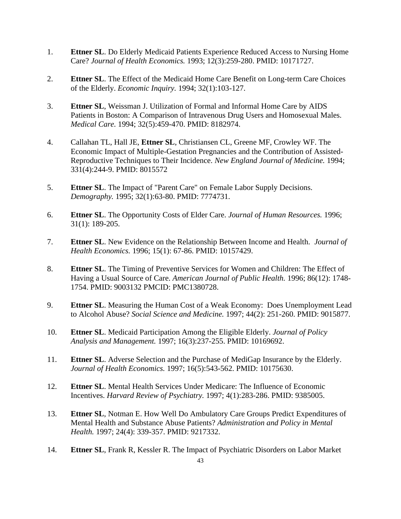- 1. **Ettner SL**. Do Elderly Medicaid Patients Experience Reduced Access to Nursing Home Care? *Journal of Health Economics.* 1993; 12(3):259-280. PMID: 10171727.
- 2. **Ettner SL**. The Effect of the Medicaid Home Care Benefit on Long-term Care Choices of the Elderly. *Economic Inquiry.* 1994; 32(1):103-127.
- 3. **Ettner SL**, Weissman J. Utilization of Formal and Informal Home Care by AIDS Patients in Boston: A Comparison of Intravenous Drug Users and Homosexual Males. *Medical Care.* 1994; 32(5):459-470. PMID: 8182974.
- 4. Callahan TL, Hall JE, **Ettner SL**, Christiansen CL, Greene MF, Crowley WF. The Economic Impact of Multiple-Gestation Pregnancies and the Contribution of Assisted-Reproductive Techniques to Their Incidence. *New England Journal of Medicine.* 1994; 331(4):244-9. PMID: 8015572
- 5. **Ettner SL**. The Impact of "Parent Care" on Female Labor Supply Decisions. *Demography.* 1995; 32(1):63-80. PMID: 7774731.
- 6. **Ettner SL**. The Opportunity Costs of Elder Care. *Journal of Human Resources.* 1996; 31(1): 189-205.
- 7. **Ettner SL**. New Evidence on the Relationship Between Income and Health. *Journal of Health Economics.* 1996; 15(1): 67-86. PMID: 10157429.
- 8. **Ettner SL**. The Timing of Preventive Services for Women and Children: The Effect of Having a Usual Source of Care. *American Journal of Public Health.* 1996; 86(12): 1748- 1754. PMID: 9003132 PMCID: PMC1380728.
- 9. **Ettner SL**. Measuring the Human Cost of a Weak Economy: Does Unemployment Lead to Alcohol Abuse? *Social Science and Medicine.* 1997; 44(2): 251-260. PMID: 9015877.
- 10. **Ettner SL**. Medicaid Participation Among the Eligible Elderly. *Journal of Policy Analysis and Management.* 1997; 16(3):237-255. PMID: 10169692.
- 11. **Ettner SL**. Adverse Selection and the Purchase of MediGap Insurance by the Elderly. *Journal of Health Economics.* 1997; 16(5):543-562. PMID: 10175630.
- 12. **Ettner SL**. Mental Health Services Under Medicare: The Influence of Economic Incentives. *Harvard Review of Psychiatry.* 1997; 4(1):283-286. PMID: 9385005.
- 13. **Ettner SL**, Notman E. How Well Do Ambulatory Care Groups Predict Expenditures of Mental Health and Substance Abuse Patients? *Administration and Policy in Mental Health.* 1997; 24(4): 339-357. PMID: 9217332.
- 14. **Ettner SL**, Frank R, Kessler R. The Impact of Psychiatric Disorders on Labor Market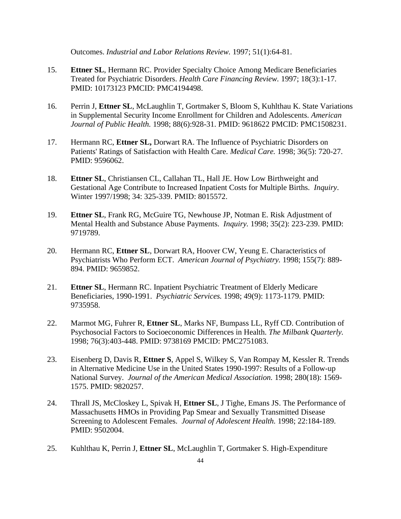Outcomes. *Industrial and Labor Relations Review.* 1997; 51(1):64-81.

- 15. **Ettner SL**, Hermann RC. Provider Specialty Choice Among Medicare Beneficiaries Treated for Psychiatric Disorders. *Health Care Financing Review.* 1997; 18(3):1-17. PMID: 10173123 PMCID: PMC4194498.
- 16. Perrin J, **Ettner SL**, McLaughlin T, Gortmaker S, Bloom S, Kuhlthau K. State Variations in Supplemental Security Income Enrollment for Children and Adolescents. *American Journal of Public Health.* 1998; 88(6):928-31. PMID: 9618622 PMCID: PMC1508231.
- 17. Hermann RC, **Ettner SL,** Dorwart RA. The Influence of Psychiatric Disorders on Patients' Ratings of Satisfaction with Health Care. *Medical Care.* 1998; 36(5): 720-27. PMID: 9596062.
- 18. **Ettner SL**, Christiansen CL, Callahan TL, Hall JE. How Low Birthweight and Gestational Age Contribute to Increased Inpatient Costs for Multiple Births. *Inquiry*. Winter 1997/1998; 34: 325-339. PMID: 8015572.
- 19. **Ettner SL**, Frank RG, McGuire TG, Newhouse JP, Notman E. Risk Adjustment of Mental Health and Substance Abuse Payments. *Inquiry.* 1998; 35(2): 223-239. PMID: 9719789.
- 20. Hermann RC, **Ettner SL**, Dorwart RA, Hoover CW, Yeung E. Characteristics of Psychiatrists Who Perform ECT. *American Journal of Psychiatry.* 1998; 155(7): 889- 894. PMID: 9659852.
- 21. **Ettner SL**, Hermann RC. Inpatient Psychiatric Treatment of Elderly Medicare Beneficiaries, 1990-1991. *Psychiatric Services.* 1998; 49(9): 1173-1179. PMID: 9735958.
- 22. Marmot MG, Fuhrer R, **Ettner SL**, Marks NF, Bumpass LL, Ryff CD. Contribution of Psychosocial Factors to Socioeconomic Differences in Health. *The Milbank Quarterly.* 1998; 76(3):403-448. PMID: 9738169 PMCID: PMC2751083.
- 23. Eisenberg D, Davis R, **Ettner S**, Appel S, Wilkey S, Van Rompay M, Kessler R. Trends in Alternative Medicine Use in the United States 1990-1997: Results of a Follow-up National Survey. *Journal of the American Medical Association.* 1998; 280(18): 1569- 1575. PMID: 9820257.
- 24. Thrall JS, McCloskey L, Spivak H, **Ettner SL**, J Tighe, Emans JS. The Performance of Massachusetts HMOs in Providing Pap Smear and Sexually Transmitted Disease Screening to Adolescent Females. *Journal of Adolescent Health.* 1998; 22:184-189. PMID: 9502004.
- 25. Kuhlthau K, Perrin J, **Ettner SL**, McLaughlin T, Gortmaker S. High-Expenditure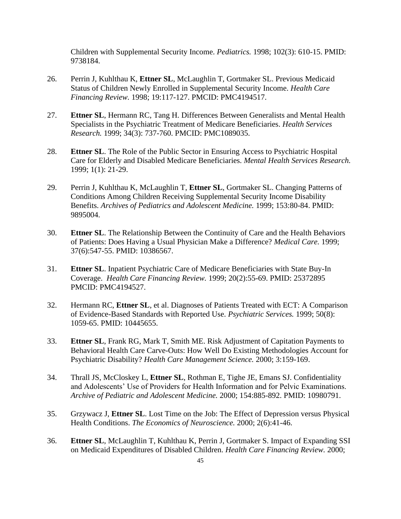Children with Supplemental Security Income. *Pediatrics.* 1998; 102(3): 610-15. PMID: 9738184.

- 26. Perrin J, Kuhlthau K, **Ettner SL**, McLaughlin T, Gortmaker SL. Previous Medicaid Status of Children Newly Enrolled in Supplemental Security Income. *Health Care Financing Review.* 1998; 19:117-127. PMCID: PMC4194517.
- 27. **Ettner SL**, Hermann RC, Tang H. Differences Between Generalists and Mental Health Specialists in the Psychiatric Treatment of Medicare Beneficiaries. *Health Services Research.* 1999; 34(3): 737-760. PMCID: PMC1089035.
- 28. **Ettner SL**. The Role of the Public Sector in Ensuring Access to Psychiatric Hospital Care for Elderly and Disabled Medicare Beneficiaries. *Mental Health Services Research.* 1999; 1(1): 21-29.
- 29. Perrin J, Kuhlthau K, McLaughlin T, **Ettner SL**, Gortmaker SL. Changing Patterns of Conditions Among Children Receiving Supplemental Security Income Disability Benefits. *Archives of Pediatrics and Adolescent Medicine.* 1999; 153:80-84. PMID: 9895004.
- 30. **Ettner SL**. The Relationship Between the Continuity of Care and the Health Behaviors of Patients: Does Having a Usual Physician Make a Difference? *Medical Care.* 1999; 37(6):547-55. PMID: 10386567.
- 31. **Ettner SL**. Inpatient Psychiatric Care of Medicare Beneficiaries with State Buy-In Coverage. *Health Care Financing Review.* 1999; 20(2):55-69. PMID: 25372895 PMCID: PMC4194527.
- 32. Hermann RC, **Ettner SL**, et al. Diagnoses of Patients Treated with ECT: A Comparison of Evidence-Based Standards with Reported Use. *Psychiatric Services.* 1999; 50(8): 1059-65. PMID: 10445655.
- 33. **Ettner SL**, Frank RG, Mark T, Smith ME. Risk Adjustment of Capitation Payments to Behavioral Health Care Carve-Outs: How Well Do Existing Methodologies Account for Psychiatric Disability? *Health Care Management Science.* 2000; 3:159-169.
- 34. Thrall JS, McCloskey L, **Ettner SL**, Rothman E, Tighe JE, Emans SJ. Confidentiality and Adolescents' Use of Providers for Health Information and for Pelvic Examinations. *Archive of Pediatric and Adolescent Medicine.* 2000; 154:885-892. PMID: 10980791.
- 35. Grzywacz J, **Ettner SL**. Lost Time on the Job: The Effect of Depression versus Physical Health Conditions. *The Economics of Neuroscience.* 2000; 2(6):41-46.
- 36. **Ettner SL**, McLaughlin T, Kuhlthau K, Perrin J, Gortmaker S. Impact of Expanding SSI on Medicaid Expenditures of Disabled Children. *Health Care Financing Review.* 2000;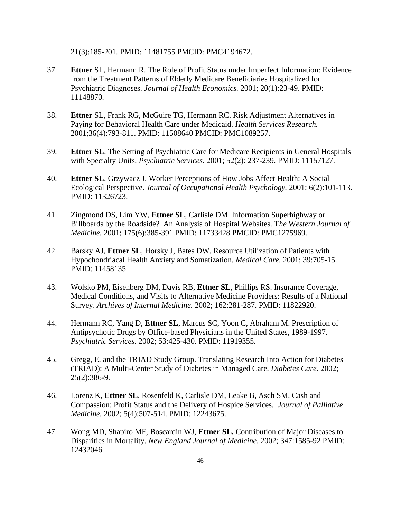21(3):185-201. PMID: 11481755 PMCID: PMC4194672.

- 37. **Ettner** SL, Hermann R. The Role of Profit Status under Imperfect Information: Evidence from the Treatment Patterns of Elderly Medicare Beneficiaries Hospitalized for Psychiatric Diagnoses. *Journal of Health Economics.* 2001; 20(1):23-49. PMID: 11148870.
- 38. **Ettner** SL, Frank RG, McGuire TG, Hermann RC. Risk Adjustment Alternatives in Paying for Behavioral Health Care under Medicaid. *Health Services Research.* 2001;36(4):793-811. PMID: 11508640 PMCID: PMC1089257.
- 39. **Ettner SL**. The Setting of Psychiatric Care for Medicare Recipients in General Hospitals with Specialty Units. *Psychiatric Services.* 2001; 52(2): 237-239. PMID: 11157127.
- 40. **Ettner SL**, Grzywacz J. Worker Perceptions of How Jobs Affect Health: A Social Ecological Perspective. *Journal of Occupational Health Psychology.* 2001; 6(2):101-113. PMID: 11326723.
- 41. Zingmond DS, Lim YW, **Ettner SL**, Carlisle DM. Information Superhighway or Billboards by the Roadside? An Analysis of Hospital Websites. T*he* W*estern Journal of Medicine.* 2001; 175(6):385-391.PMID: 11733428 PMCID: PMC1275969.
- 42. Barsky AJ, **Ettner SL**, Horsky J, Bates DW. Resource Utilization of Patients with Hypochondriacal Health Anxiety and Somatization. *Medical Care.* 2001; 39:705-15. PMID: 11458135.
- 43. Wolsko PM, Eisenberg DM, Davis RB, **Ettner SL**, Phillips RS. Insurance Coverage, Medical Conditions, and Visits to Alternative Medicine Providers: Results of a National Survey. *Archives of Internal Medicine.* 2002; 162:281-287. PMID: 11822920.
- 44. Hermann RC, Yang D, **Ettner SL**, Marcus SC, Yoon C, Abraham M. Prescription of Antipsychotic Drugs by Office-based Physicians in the United States, 1989-1997. *Psychiatric Services.* 2002; 53:425-430. PMID: 11919355.
- 45. Gregg, E. and the TRIAD Study Group. Translating Research Into Action for Diabetes (TRIAD): A Multi-Center Study of Diabetes in Managed Care. *Diabetes Care.* 2002; 25(2):386-9.
- 46. Lorenz K, **Ettner SL**, Rosenfeld K, Carlisle DM, Leake B, Asch SM. Cash and Compassion: Profit Status and the Delivery of Hospice Services. *Journal of Palliative Medicine.* 2002; 5(4):507-514. PMID: 12243675.
- 47. Wong MD, Shapiro MF, Boscardin WJ, **Ettner SL.** Contribution of Major Diseases to Disparities in Mortality. *New England Journal of Medicine*. 2002; 347:1585-92 PMID: 12432046.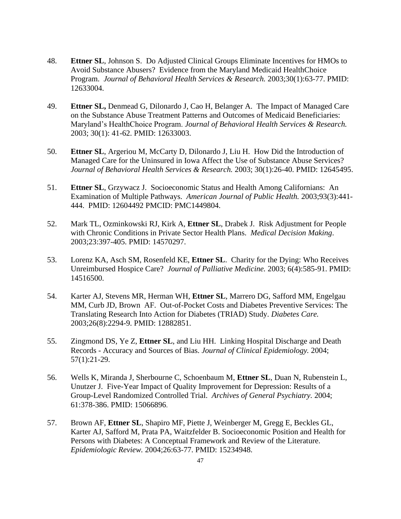- 48. **Ettner SL**, Johnson S. Do Adjusted Clinical Groups Eliminate Incentives for HMOs to Avoid Substance Abusers? Evidence from the Maryland Medicaid HealthChoice Program. *Journal of Behavioral Health Services & Research.* 2003;30(1):63-77. PMID: 12633004.
- 49. **Ettner SL,** Denmead G, Dilonardo J, Cao H, Belanger A. The Impact of Managed Care on the Substance Abuse Treatment Patterns and Outcomes of Medicaid Beneficiaries: Maryland's HealthChoice Program. *Journal of Behavioral Health Services & Research.* 2003; 30(1): 41-62. PMID: 12633003.
- 50. **Ettner SL**, Argeriou M, McCarty D, Dilonardo J, Liu H. How Did the Introduction of Managed Care for the Uninsured in Iowa Affect the Use of Substance Abuse Services? *Journal of Behavioral Health Services & Research.* 2003; 30(1):26-40. PMID: 12645495.
- 51. **Ettner SL**, Grzywacz J. Socioeconomic Status and Health Among Californians: An Examination of Multiple Pathways. *American Journal of Public Health.* 2003;93(3):441- 444. PMID: 12604492 PMCID: PMC1449804.
- 52. Mark TL, Ozminkowski RJ, Kirk A, **Ettner SL**, Drabek J. Risk Adjustment for People with Chronic Conditions in Private Sector Health Plans. *Medical Decision Making*. 2003;23:397-405. PMID: 14570297.
- 53. Lorenz KA, Asch SM, Rosenfeld KE, **Ettner SL**. Charity for the Dying: Who Receives Unreimbursed Hospice Care? *Journal of Palliative Medicine.* 2003; 6(4):585-91. PMID: 14516500.
- 54. Karter AJ, Stevens MR, Herman WH, **Ettner SL**, Marrero DG, Safford MM, Engelgau MM, Curb JD, Brown AF. Out-of-Pocket Costs and Diabetes Preventive Services: The Translating Research Into Action for Diabetes (TRIAD) Study. *Diabetes Care.*  2003;26(8):2294-9. PMID: 12882851.
- 55. Zingmond DS, Ye Z, **Ettner SL**, and Liu HH. Linking Hospital Discharge and Death Records - Accuracy and Sources of Bias. *Journal of Clinical Epidemiology.* 2004; 57(1):21-29.
- 56. Wells K, Miranda J, Sherbourne C, Schoenbaum M, **Ettner SL**, Duan N, Rubenstein L, Unutzer J. Five-Year Impact of Quality Improvement for Depression: Results of a Group-Level Randomized Controlled Trial. *Archives of General Psychiatry.* 2004; 61:378-386. PMID: 15066896.
- 57. Brown AF, **Ettner SL**, Shapiro MF, Piette J, Weinberger M, Gregg E, Beckles GL, Karter AJ, Safford M, Prata PA, Waitzfelder B. Socioeconomic Position and Health for Persons with Diabetes: A Conceptual Framework and Review of the Literature. *Epidemiologic Review.* 2004;26:63-77. PMID: 15234948.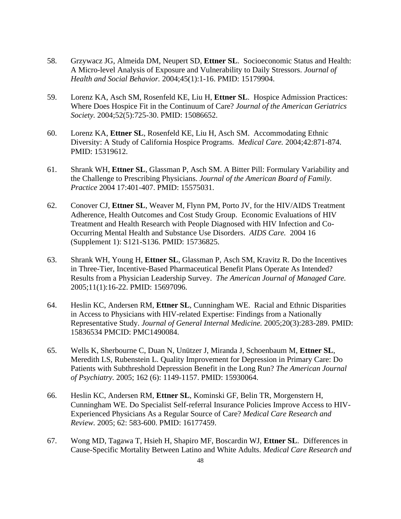- 58. Grzywacz JG, Almeida DM, Neupert SD, **Ettner SL**. Socioeconomic Status and Health: A Micro-level Analysis of Exposure and Vulnerability to Daily Stressors. *Journal of Health and Social Behavior.* 2004;45(1):1-16. PMID: 15179904.
- 59. Lorenz KA, Asch SM, Rosenfeld KE, Liu H, **Ettner SL**. Hospice Admission Practices: Where Does Hospice Fit in the Continuum of Care? *Journal of the American Geriatrics Society.* 2004;52(5):725-30. PMID: 15086652.
- 60. Lorenz KA, **Ettner SL**, Rosenfeld KE, Liu H, Asch SM. Accommodating Ethnic Diversity: A Study of California Hospice Programs. *Medical Care.* 2004;42:871-874. PMID: 15319612.
- 61. Shrank WH, **Ettner SL**, Glassman P, Asch SM. A Bitter Pill: Formulary Variability and the Challenge to Prescribing Physicians. *Journal of the American Board of Family. Practice* 2004 17:401-407. PMID: 15575031.
- 62. Conover CJ, **Ettner SL**, Weaver M, Flynn PM, Porto JV, for the HIV/AIDS Treatment Adherence, Health Outcomes and Cost Study Group. Economic Evaluations of HIV Treatment and Health Research with People Diagnosed with HIV Infection and Co-Occurring Mental Health and Substance Use Disorders. *AIDS Care.* 2004 16 (Supplement 1): S121-S136. PMID: 15736825.
- 63. Shrank WH, Young H, **Ettner SL**, Glassman P, Asch SM, Kravitz R. Do the Incentives in Three-Tier, Incentive-Based Pharmaceutical Benefit Plans Operate As Intended? Results from a Physician Leadership Survey. *The American Journal of Managed Care.* 2005;11(1):16-22. PMID: 15697096.
- 64. Heslin KC, Andersen RM, **Ettner SL**, Cunningham WE. Racial and Ethnic Disparities in Access to Physicians with HIV-related Expertise: Findings from a Nationally Representative Study. *Journal of General Internal Medicine.* 2005;20(3):283-289. PMID: 15836534 PMCID: PMC1490084.
- 65. Wells K, Sherbourne C, Duan N, Unützer J, Miranda J, Schoenbaum M, **Ettner SL**, Meredith LS, Rubenstein L. Quality Improvement for Depression in Primary Care: Do Patients with Subthreshold Depression Benefit in the Long Run? *The American Journal of Psychiatry.* 2005; 162 (6): 1149-1157. PMID: 15930064.
- 66. Heslin KC, Andersen RM, **Ettner SL**, Kominski GF, Belin TR, Morgenstern H, Cunningham WE. Do Specialist Self-referral Insurance Policies Improve Access to HIV-Experienced Physicians As a Regular Source of Care? *Medical Care Research and Review.* 2005; 62: 583-600. PMID: 16177459.
- 67. Wong MD, Tagawa T, Hsieh H, Shapiro MF, Boscardin WJ, **Ettner SL**. Differences in Cause-Specific Mortality Between Latino and White Adults. *Medical Care Research and*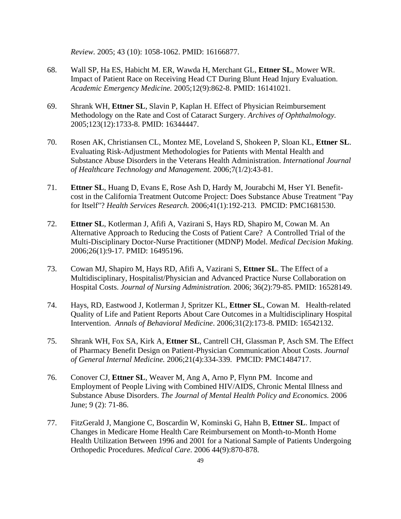*Review.* 2005; 43 (10): 1058-1062. PMID: 16166877.

- 68. Wall SP, Ha ES, Habicht M. ER, Wawda H, Merchant GL, **Ettner SL**, Mower WR. Impact of Patient Race on Receiving Head CT During Blunt Head Injury Evaluation. *Academic Emergency Medicine.* 2005;12(9):862-8. PMID: 16141021.
- 69. Shrank WH, **Ettner SL**, Slavin P, Kaplan H. Effect of Physician Reimbursement Methodology on the Rate and Cost of Cataract Surgery. *Archives of Ophthalmology.* 2005;123(12):1733-8. PMID: 16344447.
- 70. Rosen AK, Christiansen CL, Montez ME, Loveland S, Shokeen P, Sloan KL, **Ettner SL**. Evaluating Risk-Adjustment Methodologies for Patients with Mental Health and Substance Abuse Disorders in the Veterans Health Administration. *International Journal of Healthcare Technology and Management.* 2006;7(1/2):43-81.
- 71. **Ettner SL**, Huang D, Evans E, Rose Ash D, Hardy M, Jourabchi M, Hser YI. Benefitcost in the California Treatment Outcome Project: Does Substance Abuse Treatment "Pay for Itself"? *Health Services Research.* 2006;41(1):192-213. PMCID: PMC1681530.
- 72. **Ettner SL**, Kotlerman J, Afifi A, Vazirani S, Hays RD, Shapiro M, Cowan M. An Alternative Approach to Reducing the Costs of Patient Care? A Controlled Trial of the Multi-Disciplinary Doctor-Nurse Practitioner (MDNP) Model. *Medical Decision Making.*  2006;26(1):9-17*.* PMID: 16495196.
- 73. Cowan MJ, Shapiro M, Hays RD, Afifi A, Vazirani S, **Ettner SL**. The Effect of a Multidisciplinary, Hospitalist/Physician and Advanced Practice Nurse Collaboration on Hospital Costs. *Journal of Nursing Administration.* 2006; 36(2):79-85. PMID: 16528149.
- 74. Hays, RD, Eastwood J, Kotlerman J, Spritzer KL, **Ettner SL**, Cowan M. Health-related Quality of Life and Patient Reports About Care Outcomes in a Multidisciplinary Hospital Intervention. *Annals of Behavioral Medicine*. 2006;31(2):173-8. PMID: 16542132.
- 75. Shrank WH, Fox SA, Kirk A, **Ettner SL**, Cantrell CH, Glassman P, Asch SM. The Effect of Pharmacy Benefit Design on Patient-Physician Communication About Costs. *Journal of General Internal Medicine.* 2006;21(4):334-339*.* PMCID: PMC1484717.
- 76. Conover CJ, **Ettner SL**, Weaver M, Ang A, Arno P, Flynn PM. Income and Employment of People Living with Combined HIV/AIDS, Chronic Mental Illness and Substance Abuse Disorders. *The Journal of Mental Health Policy and Economics.* 2006 June; 9 (2): 71-86.
- 77. FitzGerald J, Mangione C, Boscardin W, Kominski G, Hahn B, **Ettner SL**. Impact of Changes in Medicare Home Health Care Reimbursement on Month-to-Month Home Health Utilization Between 1996 and 2001 for a National Sample of Patients Undergoing Orthopedic Procedures. *Medical Care*. 2006 44(9):870-878.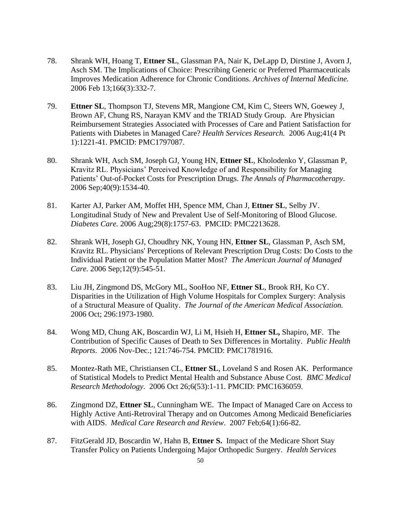- 78. Shrank WH, Hoang T, **Ettner SL**, Glassman PA, Nair K, DeLapp D, Dirstine J, Avorn J, Asch SM. The Implications of Choice: Prescribing Generic or Preferred Pharmaceuticals Improves Medication Adherence for Chronic Conditions. *Archives of Internal Medicine.* 2006 Feb 13;166(3):332-7.
- 79. **Ettner SL**, Thompson TJ, Stevens MR, Mangione CM, Kim C, Steers WN, Goewey J, Brown AF, Chung RS, Narayan KMV and the TRIAD Study Group. Are Physician Reimbursement Strategies Associated with Processes of Care and Patient Satisfaction for Patients with Diabetes in Managed Care? *Health Services Research.* 2006 Aug;41(4 Pt 1):1221-41. PMCID: PMC1797087.
- 80. Shrank WH, Asch SM, Joseph GJ, Young HN, **Ettner SL**, Kholodenko Y, Glassman P, Kravitz RL. Physicians' Perceived Knowledge of and Responsibility for Managing Patients' Out-of-Pocket Costs for Prescription Drugs. *The Annals of Pharmacotherapy*. 2006 Sep;40(9):1534-40.
- 81. Karter AJ, Parker AM, Moffet HH, Spence MM, Chan J, **Ettner SL**, Selby JV. Longitudinal Study of New and Prevalent Use of Self-Monitoring of Blood Glucose. *Diabetes Care.* 2006 Aug;29(8):1757-63. PMCID: PMC2213628.
- 82. Shrank WH, Joseph GJ, Choudhry NK, Young HN, **Ettner SL**, Glassman P, Asch SM, Kravitz RL. Physicians' Perceptions of Relevant Prescription Drug Costs: Do Costs to the Individual Patient or the Population Matter Most? *The American Journal of Managed Care.* 2006 Sep;12(9):545-51.
- 83. Liu JH, Zingmond DS, McGory ML, SooHoo NF, **Ettner SL**, Brook RH, Ko CY. Disparities in the Utilization of High Volume Hospitals for Complex Surgery: Analysis of a Structural Measure of Quality. *The Journal of the American Medical Association.*  2006 Oct; 296:1973-1980.
- 84. Wong MD, Chung AK, Boscardin WJ, Li M, Hsieh H, **Ettner SL,** Shapiro, MF. The Contribution of Specific Causes of Death to Sex Differences in Mortality. *Public Health Reports*. 2006 Nov-Dec.; 121:746-754. PMCID: PMC1781916.
- 85. Montez-Rath ME, Christiansen CL, **Ettner SL**, Loveland S and Rosen AK. Performance of Statistical Models to Predict Mental Health and Substance Abuse Cost. *BMC Medical Research Methodology*. 2006 Oct 26;6(53):1-11. PMCID: PMC1636059.
- 86. Zingmond DZ, **Ettner SL**, Cunningham WE. The Impact of Managed Care on Access to Highly Active Anti-Retroviral Therapy and on Outcomes Among Medicaid Beneficiaries with AIDS. *Medical Care Research and Review*. 2007 Feb;64(1):66-82.
- 87. FitzGerald JD, Boscardin W, Hahn B, **Ettner S.** Impact of the Medicare Short Stay Transfer Policy on Patients Undergoing Major Orthopedic Surgery. *Health Services*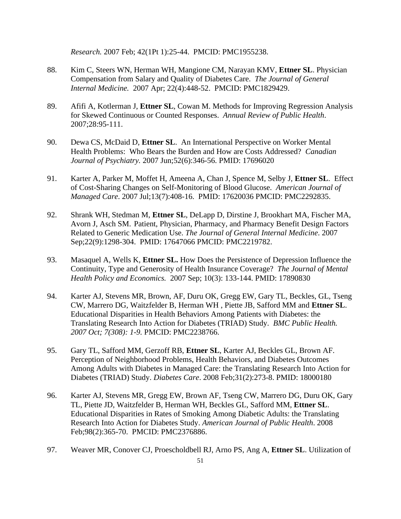*Research.* 2007 Feb; 42(1Pt 1):25-44. PMCID: PMC1955238.

- 88. Kim C, Steers WN, Herman WH, Mangione CM, Narayan KMV, **Ettner SL**. Physician Compensation from Salary and Quality of Diabetes Care. *The Journal of General Internal Medicine.* 2007 Apr; 22(4):448-52. PMCID: PMC1829429.
- 89. Afifi A, Kotlerman J, **Ettner SL**, Cowan M. Methods for Improving Regression Analysis for Skewed Continuous or Counted Responses. *Annual Review of Public Health*. 2007;28:95-111.
- 90. Dewa CS, McDaid D, **Ettner SL**. An International Perspective on Worker Mental Health Problems: Who Bears the Burden and How are Costs Addressed? *Canadian Journal of Psychiatry.* 2007 Jun;52(6):346-56. PMID: 17696020
- 91. Karter A, Parker M, Moffet H, Ameena A, Chan J, Spence M, Selby J, **Ettner SL**. Effect of Cost-Sharing Changes on Self-Monitoring of Blood Glucose. *American Journal of Managed Care*. 2007 Jul;13(7):408-16. PMID: 17620036 PMCID: PMC2292835.
- 92. Shrank WH, Stedman M, **Ettner SL**, DeLapp D, Dirstine J, Brookhart MA, Fischer MA, Avorn J, Asch SM. Patient, Physician, Pharmacy, and Pharmacy Benefit Design Factors Related to Generic Medication Use. *The Journal of General Internal Medicine*. 2007 Sep;22(9):1298-304. PMID: 17647066 PMCID: PMC2219782.
- 93. Masaquel A, Wells K, **Ettner SL.** How Does the Persistence of Depression Influence the Continuity, Type and Generosity of Health Insurance Coverage? *The Journal of Mental Health Policy and Economics.* 2007 Sep; 10(3): 133-144. PMID: 17890830
- 94. Karter AJ, Stevens MR, Brown, AF, Duru OK, Gregg EW, Gary TL, Beckles, GL, Tseng CW, Marrero DG, Waitzfelder B, Herman WH , Piette JB, Safford MM and **Ettner SL**. Educational Disparities in Health Behaviors Among Patients with Diabetes: the Translating Research Into Action for Diabetes (TRIAD) Study. *BMC Public Health. 2007 Oct; 7(308): 1-9.* PMCID: PMC2238766.
- 95. Gary TL, Safford MM, Gerzoff RB, **Ettner SL**, Karter AJ, Beckles GL, Brown AF. Perception of Neighborhood Problems, Health Behaviors, and Diabetes Outcomes Among Adults with Diabetes in Managed Care: the Translating Research Into Action for Diabetes (TRIAD) Study. *Diabetes Care*. 2008 Feb;31(2):273-8. PMID: 18000180
- 96. Karter AJ, Stevens MR, Gregg EW, Brown AF, Tseng CW, Marrero DG, Duru OK, Gary TL, Piette JD, Waitzfelder B, Herman WH, Beckles GL, Safford MM, **Ettner SL**. Educational Disparities in Rates of Smoking Among Diabetic Adults: the Translating Research Into Action for Diabetes Study. *American Journal of Public Health*. 2008 Feb;98(2):365-70. PMCID: PMC2376886.
- 97. Weaver MR, Conover CJ, Proescholdbell RJ, Arno PS, Ang A, **Ettner SL**. Utilization of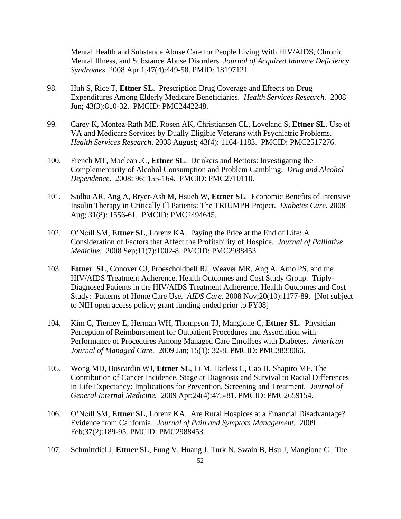Mental Health and Substance Abuse Care for People Living With HIV/AIDS, Chronic Mental Illness, and Substance Abuse Disorders. *Journal of Acquired Immune Deficiency Syndromes*. 2008 Apr 1;47(4):449-58. PMID: 18197121

- 98. Huh S, Rice T, **Ettner SL**. Prescription Drug Coverage and Effects on Drug Expenditures Among Elderly Medicare Beneficiaries. *Health Services Research.* 2008 Jun; 43(3):810-32. PMCID: PMC2442248.
- 99. Carey K, Montez-Rath ME, Rosen AK, Christiansen CL, Loveland S, **Ettner SL**. Use of VA and Medicare Services by Dually Eligible Veterans with Psychiatric Problems. *Health Services Research*. 2008 August; 43(4): 1164-1183. PMCID: PMC2517276.
- 100. French MT, Maclean JC, **Ettner SL**. Drinkers and Bettors: Investigating the Complementarity of Alcohol Consumption and Problem Gambling. *Drug and Alcohol Dependence*. 2008; 96: 155-164. PMCID: PMC2710110.
- 101. Sadhu AR, Ang A, Bryer-Ash M, Hsueh W, **Ettner SL**. Economic Benefits of Intensive Insulin Therapy in Critically Ill Patients: The TRIUMPH Project. *Diabetes Care*. 2008 Aug; 31(8): 1556-61. PMCID: PMC2494645.
- 102. O'Neill SM, **Ettner SL**, Lorenz KA. Paying the Price at the End of Life: A Consideration of Factors that Affect the Profitability of Hospice. *Journal of Palliative Medicine.* 2008 Sep;11(7):1002-8. PMCID: PMC2988453.
- 103. **Ettner SL**, Conover CJ, Proescholdbell RJ, Weaver MR, Ang A, Arno PS, and the HIV/AIDS Treatment Adherence, Health Outcomes and Cost Study Group. Triply-Diagnosed Patients in the HIV/AIDS Treatment Adherence, Health Outcomes and Cost Study: Patterns of Home Care Use. *AIDS Care.* 2008 Nov;20(10):1177-89. [Not subject to NIH open access policy; grant funding ended prior to FY08]
- 104. Kim C, Tierney E, Herman WH, Thompson TJ, Mangione C, **Ettner SL**. Physician Perception of Reimbursement for Outpatient Procedures and Association with Performance of Procedures Among Managed Care Enrollees with Diabetes. *American Journal of Managed Care.* 2009 Jan; 15(1): 32-8. PMCID: PMC3833066.
- 105. Wong MD, Boscardin WJ, **Ettner SL**, Li M, Harless C, Cao H, Shapiro MF. The Contribution of Cancer Incidence, Stage at Diagnosis and Survival to Racial Differences in Life Expectancy: Implications for Prevention, Screening and Treatment. *Journal of General Internal Medicine.* 2009 Apr;24(4):475-81. PMCID: PMC2659154.
- 106. O'Neill SM, **Ettner SL**, Lorenz KA. Are Rural Hospices at a Financial Disadvantage? Evidence from California. *Journal of Pain and Symptom Management.* 2009 Feb;37(2):189-95. PMCID: PMC2988453.
- 107. Schmittdiel J, **Ettner SL**, Fung V, Huang J, Turk N, Swain B, Hsu J, Mangione C. The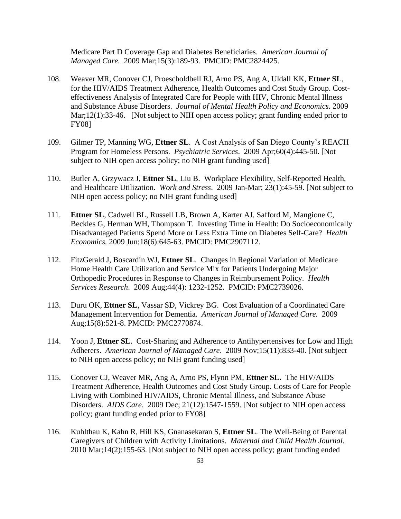Medicare Part D Coverage Gap and Diabetes Beneficiaries. *American Journal of Managed Care.* 2009 Mar;15(3):189-93. PMCID: PMC2824425.

- 108. Weaver MR, Conover CJ, Proescholdbell RJ, Arno PS, Ang A, Uldall KK, **Ettner SL**, for the HIV/AIDS Treatment Adherence, Health Outcomes and Cost Study Group. Costeffectiveness Analysis of Integrated Care for People with HIV, Chronic Mental Illness and Substance Abuse Disorders. *Journal of Mental Health Policy and Economics*. 2009 Mar;12(1):33-46. [Not subject to NIH open access policy; grant funding ended prior to FY08]
- 109. Gilmer TP, Manning WG, **Ettner SL**. A Cost Analysis of San Diego County's REACH Program for Homeless Persons. *Psychiatric Services*. 2009 Apr;60(4):445-50. [Not subject to NIH open access policy; no NIH grant funding used]
- 110. Butler A, Grzywacz J, **Ettner SL**, Liu B. Workplace Flexibility, Self-Reported Health, and Healthcare Utilization. *Work and Stress*. 2009 Jan-Mar; 23(1):45-59. [Not subject to NIH open access policy; no NIH grant funding used]
- 111. **Ettner SL**, Cadwell BL, Russell LB, Brown A, Karter AJ, Safford M, Mangione C, Beckles G, Herman WH, Thompson T. Investing Time in Health: Do Socioeconomically Disadvantaged Patients Spend More or Less Extra Time on Diabetes Self-Care? *Health Economics.* 2009 Jun;18(6):645-63. PMCID: PMC2907112.
- 112. FitzGerald J, Boscardin WJ, **Ettner SL**. Changes in Regional Variation of Medicare Home Health Care Utilization and Service Mix for Patients Undergoing Major Orthopedic Procedures in Response to Changes in Reimbursement Policy. *Health Services Research*. 2009 Aug;44(4): 1232-1252. PMCID: PMC2739026.
- 113. Duru OK, **Ettner SL**, Vassar SD, Vickrey BG. Cost Evaluation of a Coordinated Care Management Intervention for Dementia. *American Journal of Managed Care.* 2009 Aug;15(8):521-8. PMCID: PMC2770874.
- 114. Yoon J, **Ettner SL**. Cost-Sharing and Adherence to Antihypertensives for Low and High Adherers. *American Journal of Managed Care*. 2009 Nov;15(11):833-40. [Not subject to NIH open access policy; no NIH grant funding used]
- 115. Conover CJ, Weaver MR, Ang A, Arno PS, Flynn PM, **Ettner SL.** The HIV/AIDS Treatment Adherence, Health Outcomes and Cost Study Group. Costs of Care for People Living with Combined HIV/AIDS, Chronic Mental Illness, and Substance Abuse Disorders. *AIDS Care*. 2009 Dec; 21(12):1547-1559. [Not subject to NIH open access policy; grant funding ended prior to FY08]
- 116. Kuhlthau K, Kahn R, Hill KS, Gnanasekaran S, **Ettner SL**. The Well-Being of Parental Caregivers of Children with Activity Limitations. *Maternal and Child Health Journal*. 2010 Mar;14(2):155-63. [Not subject to NIH open access policy; grant funding ended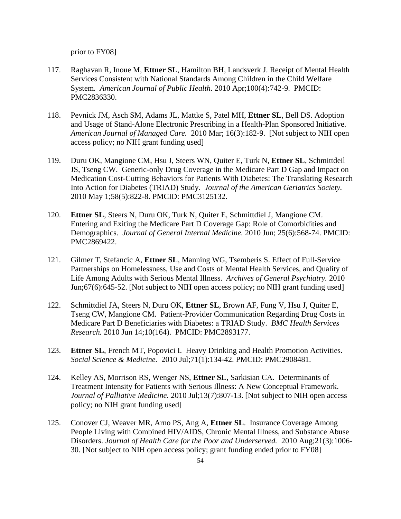prior to FY08]

- 117. Raghavan R, Inoue M, **Ettner SL**, Hamilton BH, Landsverk J. Receipt of Mental Health Services Consistent with National Standards Among Children in the Child Welfare System*. American Journal of Public Health*. 2010 Apr;100(4):742-9. PMCID: PMC2836330.
- 118. Pevnick JM, Asch SM, Adams JL, Mattke S, Patel MH, **Ettner SL**, Bell DS. Adoption and Usage of Stand-Alone Electronic Prescribing in a Health-Plan Sponsored Initiative. *American Journal of Managed Care.* 2010 Mar; 16(3):182-9. [Not subject to NIH open access policy; no NIH grant funding used]
- 119. Duru OK, Mangione CM, Hsu J, Steers WN, Quiter E, Turk N, **Ettner SL**, Schmittdeil JS, Tseng CW. Generic-only Drug Coverage in the Medicare Part D Gap and Impact on Medication Cost-Cutting Behaviors for Patients With Diabetes: The Translating Research Into Action for Diabetes (TRIAD) Study. *Journal of the American Geriatrics Society.*  2010 May 1;58(5):822-8. PMCID: PMC3125132.
- 120. **Ettner SL**, Steers N, Duru OK, Turk N, Quiter E, Schmittdiel J, Mangione CM. Entering and Exiting the Medicare Part D Coverage Gap: Role of Comorbidities and Demographics. *Journal of General Internal Medicine.* 2010 Jun; 25(6):568-74. PMCID: PMC2869422.
- 121. Gilmer T, Stefancic A, **Ettner SL**, Manning WG, Tsemberis S. Effect of Full-Service Partnerships on Homelessness, Use and Costs of Mental Health Services, and Quality of Life Among Adults with Serious Mental Illness. *Archives of General Psychiatry.* 2010 Jun;67(6):645-52. [Not subject to NIH open access policy; no NIH grant funding used]
- 122. Schmittdiel JA, Steers N, Duru OK, **Ettner SL**, Brown AF, Fung V, Hsu J, Quiter E, Tseng CW, Mangione CM. Patient-Provider Communication Regarding Drug Costs in Medicare Part D Beneficiaries with Diabetes: a TRIAD Study. *BMC Health Services Research.* 2010 Jun 14;10(164). PMCID: PMC2893177.
- 123. **Ettner SL**, French MT, Popovici I. Heavy Drinking and Health Promotion Activities. *Social Science & Medicine.* 2010 Jul;71(1):134-42. PMCID: PMC2908481.
- 124. Kelley AS, Morrison RS, Wenger NS, **Ettner SL**, Sarkisian CA. Determinants of Treatment Intensity for Patients with Serious Illness: A New Conceptual Framework. *Journal of Palliative Medicine.* 2010 Jul;13(7):807-13. [Not subject to NIH open access policy; no NIH grant funding used]
- 125. Conover CJ, Weaver MR, Arno PS, Ang A, **Ettner SL**. Insurance Coverage Among People Living with Combined HIV/AIDS, Chronic Mental Illness, and Substance Abuse Disorders. *Journal of Health Care for the Poor and Underserved.* 2010 Aug;21(3):1006- 30. [Not subject to NIH open access policy; grant funding ended prior to FY08]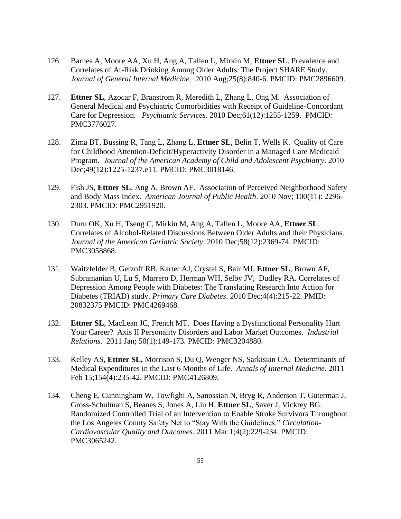- 126. Barnes A, Moore AA, Xu H, Ang A, Tallen L, Mirkin M, **Ettner SL**. Prevalence and Correlates of At-Risk Drinking Among Older Adults: The Project SHARE Study. *Journal of General Internal Medicine.* 2010 Aug;25(8):840-6. PMCID: PMC2896609.
- 127. **Ettner SL**, Azocar F, Branstrom R, Meredith L, Zhang L, Ong M. Association of General Medical and Psychiatric Comorbidities with Receipt of Guideline-Concordant Care for Depression. *Psychiatric Services*. 2010 Dec;61(12):1255-1259. PMCID: PMC3776027.
- 128. Zima BT, Bussing R, Tang L, Zhang L, **Ettner SL**, Belin T, Wells K. Quality of Care for Childhood Attention-Deficit/Hyperactivity Disorder in a Managed Care Medicaid Program. *Journal of the American Academy of Child and Adolescent Psychiatry*. 2010 Dec;49(12):1225-1237.e11. PMCID: PMC3018146.
- 129. Fish JS, **Ettner SL**, Ang A, Brown AF. Association of Perceived Neighborhood Safety and Body Mass Index. *American Journal of Public Health*. 2010 Nov; 100(11): 2296- 2303. PMCID: PMC2951920.
- 130. Duru OK, Xu H, Tseng C, Mirkin M, Ang A, Tallen L, Moore AA, **Ettner SL**. Correlates of Alcohol-Related Discussions Between Older Adults and their Physicians. *Journal of the American Geriatric Society*. 2010 Dec;58(12):2369-74. PMCID: PMC3058868.
- 131. Waitzfelder B, Gerzoff RB, Karter AJ, Crystal S, Bair MJ, **Ettner SL**, Brown AF, Subramanian U, Lu S, Marrero D, Herman WH, Selby JV, Dudley RA. Correlates of Depression Among People with Diabetes: The Translating Research Into Action for Diabetes (TRIAD) study. *Primary Care Diabetes*. 2010 Dec;4(4):215-22. PMID: 20832375 PMCID: PMC4269468.
- 132. **Ettner SL**, MacLean JC, French MT. Does Having a Dysfunctional Personality Hurt Your Career? Axis II Personality Disorders and Labor Market Outcomes. *Industrial Relations*. 2011 Jan; 50(1):149-173. PMCID: PMC3204880.
- 133. Kelley AS, **Ettner SL,** Morrison S, Du Q, Wenger NS, Sarkisian CA. Determinants of Medical Expenditures in the Last 6 Months of Life. *Annals of Internal Medicine.* 2011 Feb 15;154(4):235-42. PMCID: PMC4126809.
- 134. Cheng E, Cunningham W, Towfighi A, Sanossian N, Bryg R, Anderson T, Guterman J, Gross-Schulman S, Beanes S, Jones A, Liu H, **Ettner SL**, Saver J, Vickrey BG. Randomized Controlled Trial of an Intervention to Enable Stroke Survivors Throughout the Los Angeles County Safety Net to "Stay With the Guidelines." *Circulation-Cardiovascular Quality and Outcomes.* 2011 Mar 1;4(2):229-234. PMCID: PMC3065242.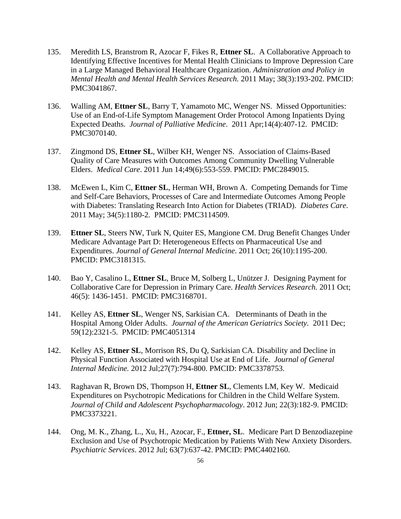- 135. Meredith LS, Branstrom R, Azocar F, Fikes R, **Ettner SL**. A Collaborative Approach to Identifying Effective Incentives for Mental Health Clinicians to Improve Depression Care in a Large Managed Behavioral Healthcare Organization. *Administration and Policy in Mental Health and Mental Health Services Research.* 2011 May; 38(3):193-202. PMCID: PMC3041867.
- 136. Walling AM, **Ettner SL**, Barry T, Yamamoto MC, Wenger NS. Missed Opportunities: Use of an End-of-Life Symptom Management Order Protocol Among Inpatients Dying Expected Deaths. *Journal of Palliative Medicine*. 2011 Apr;14(4):407-12. PMCID: PMC3070140.
- 137. Zingmond DS, **Ettner SL**, Wilber KH, Wenger NS. Association of Claims-Based Quality of Care Measures with Outcomes Among Community Dwelling Vulnerable Elders. *Medical Care*. 2011 Jun 14;49(6):553-559. PMCID: PMC2849015.
- 138. McEwen L, Kim C, **Ettner SL**, Herman WH, Brown A. Competing Demands for Time and Self-Care Behaviors, Processes of Care and Intermediate Outcomes Among People with Diabetes: Translating Research Into Action for Diabetes (TRIAD). *Diabetes Care*. 2011 May; 34(5):1180-2. PMCID: PMC3114509.
- 139. **Ettner SL**, Steers NW, Turk N, Quiter ES, Mangione CM. Drug Benefit Changes Under Medicare Advantage Part D: Heterogeneous Effects on Pharmaceutical Use and Expenditures. *Journal of General Internal Medicine*. 2011 Oct; 26(10):1195-200. PMCID: PMC3181315.
- 140. Bao Y, Casalino L, **Ettner SL**, Bruce M, Solberg L, Unützer J. Designing Payment for Collaborative Care for Depression in Primary Care. *Health Services Research.* 2011 Oct; 46(5): 1436-1451. PMCID: PMC3168701.
- 141. Kelley AS, **Ettner SL**, Wenger NS, Sarkisian CA. Determinants of Death in the Hospital Among Older Adults. *Journal of the American Geriatrics Society.* 2011 Dec; 59(12):2321-5. PMCID: PMC4051314
- 142. [Kelley AS,](http://www.ncbi.nlm.nih.gov/pubmed?term=%22Kelley%20AS%22%5BAuthor%5D) **[Ettner SL](http://www.ncbi.nlm.nih.gov/pubmed?term=%22Ettner%20SL%22%5BAuthor%5D)**, [Morrison RS,](http://www.ncbi.nlm.nih.gov/pubmed?term=%22Morrison%20RS%22%5BAuthor%5D) [Du Q,](http://www.ncbi.nlm.nih.gov/pubmed?term=%22Du%20Q%22%5BAuthor%5D) [Sarkisian CA.](http://www.ncbi.nlm.nih.gov/pubmed?term=%22Sarkisian%20CA%22%5BAuthor%5D) Disability and Decline in Physical Function Associated with Hospital Use at End of Life. *[Journal of General](http://www.ncbi.nlm.nih.gov/pubmed/22382455)  [Internal Medicine.](http://www.ncbi.nlm.nih.gov/pubmed/22382455)* 2012 Jul;27(7):794-800. PMCID: PMC3378753.
- 143. [Raghavan R,](http://www.ncbi.nlm.nih.gov/pubmed?term=%22Raghavan%20R%22%5BAuthor%5D) [Brown DS,](http://www.ncbi.nlm.nih.gov/pubmed?term=%22Brown%20DS%22%5BAuthor%5D) [Thompson H,](http://www.ncbi.nlm.nih.gov/pubmed?term=%22Thompson%20H%22%5BAuthor%5D) **[Ettner SL](http://www.ncbi.nlm.nih.gov/pubmed?term=%22Ettner%20SL%22%5BAuthor%5D)**, [Clements LM,](http://www.ncbi.nlm.nih.gov/pubmed?term=%22Clements%20LM%22%5BAuthor%5D) [Key W](http://www.ncbi.nlm.nih.gov/pubmed?term=%22Key%20W%22%5BAuthor%5D)[. Medicaid](http://www.ncbi.nlm.nih.gov/pubmed/22537361)  [Expenditures on Psychotropic Medications for Children in the Child Welfare System.](http://www.ncbi.nlm.nih.gov/pubmed/22537361)  *[Journal of Child and Adolescent Psychopharmacology](http://www.ncbi.nlm.nih.gov/pubmed/22537361)*[.](http://www.ncbi.nlm.nih.gov/pubmed/22537361) 2012 Jun; 22(3):182-9. PMCID: PMC3373221.
- 144. Ong, M. K., Zhang, L., Xu, H., Azocar, F., **Ettner, SL**. Medicare Part D Benzodiazepine Exclusion and Use of Psychotropic Medication by Patients With New Anxiety Disorders*. Psychiatric Services*. 2012 Jul; 63(7):637-42. PMCID: PMC4402160.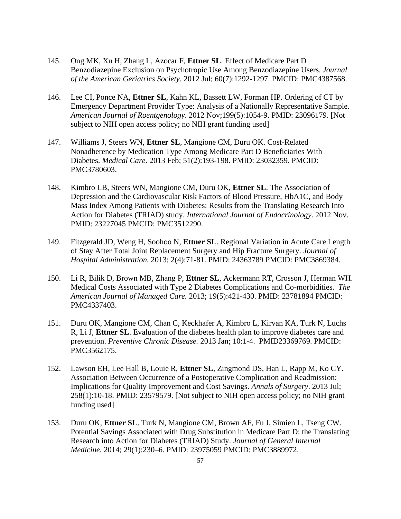- 145. Ong MK, Xu H, Zhang L, Azocar F, **Ettner SL**. Effect of Medicare Part D Benzodiazepine Exclusion on Psychotropic Use Among Benzodiazepine Users. *Journal of the American Geriatrics Society.* 2012 Jul; 60(7):1292-1297. PMCID: PMC4387568.
- 146. Lee CI, Ponce NA, **Ettner SL**, Kahn KL, Bassett LW, Forman HP. Ordering of CT by Emergency Department Provider Type: Analysis of a Nationally Representative Sample. *American Journal of Roentgenology*. 2012 Nov;199(5):1054-9. PMID: 23096179. [Not subject to NIH open access policy; no NIH grant funding used]
- 147. Williams J, Steers WN, **Ettner SL**, Mangione CM, Duru OK. Cost-Related Nonadherence by Medication Type Among Medicare Part D Beneficiaries With Diabetes. *Medical Care*. 2013 Feb; 51(2):193-198. PMID: 23032359. PMCID: PMC3780603.
- 148. [Kimbro](http://www.hindawi.com/34719576/) LB, [Steers](http://www.hindawi.com/30546895/) WN, [Mangione](http://www.hindawi.com/95879725/) CM, [Duru](http://www.hindawi.com/45214816/) OK, **[Ettner](http://www.hindawi.com/62780958/) SL**. The Association of Depression and the Cardiovascular Risk Factors of Blood Pressure, HbA1C, and Body Mass Index Among Patients with Diabetes: Results from the Translating Research Into Action for Diabetes (TRIAD) study. *International Journal of Endocrinology*. 2012 Nov. PMID: 23227045 PMCID: PMC3512290.
- 149. Fitzgerald JD, Weng H, Soohoo N, **Ettner SL**. Regional Variation in Acute Care Length of Stay After Total Joint Replacement Surgery and Hip Fracture Surgery. *Journal of Hospital Administration.* 2013; 2(4):71-81. PMID: 24363789 PMCID: PMC3869384.
- 150. Li R, Bilik D, Brown MB, Zhang P, **Ettner SL**, Ackermann RT, Crosson J, Herman WH. Medical Costs Associated with Type 2 Diabetes Complications and Co-morbidities. *The American Journal of Managed Care.* 2013; 19(5):421-430. PMID: 23781894 PMCID: PMC4337403.
- 151. D[uru OK,](http://www.ncbi.nlm.nih.gov/pubmed?term=Duru%20OK%5BAuthor%5D&cauthor=true&cauthor_uid=23369769) [Mangione CM,](http://www.ncbi.nlm.nih.gov/pubmed?term=Mangione%20CM%5BAuthor%5D&cauthor=true&cauthor_uid=23369769) [Chan C,](http://www.ncbi.nlm.nih.gov/pubmed?term=Chan%20C%5BAuthor%5D&cauthor=true&cauthor_uid=23369769) [Keckhafer A,](http://www.ncbi.nlm.nih.gov/pubmed?term=Keckhafer%20A%5BAuthor%5D&cauthor=true&cauthor_uid=23369769) [Kimbro L,](http://www.ncbi.nlm.nih.gov/pubmed?term=Kimbro%20L%5BAuthor%5D&cauthor=true&cauthor_uid=23369769) [Kirvan KA,](http://www.ncbi.nlm.nih.gov/pubmed?term=Kirvan%20KA%5BAuthor%5D&cauthor=true&cauthor_uid=23369769) [Turk N,](http://www.ncbi.nlm.nih.gov/pubmed?term=Turk%20N%5BAuthor%5D&cauthor=true&cauthor_uid=23369769) [Luchs](http://www.ncbi.nlm.nih.gov/pubmed?term=Luchs%20R%5BAuthor%5D&cauthor=true&cauthor_uid=23369769)  [R,](http://www.ncbi.nlm.nih.gov/pubmed?term=Luchs%20R%5BAuthor%5D&cauthor=true&cauthor_uid=23369769) [Li J,](http://www.ncbi.nlm.nih.gov/pubmed?term=Li%20J%5BAuthor%5D&cauthor=true&cauthor_uid=23369769) **[Ettner SL](http://www.ncbi.nlm.nih.gov/pubmed?term=Ettner%20S%5BAuthor%5D&cauthor=true&cauthor_uid=23369769)**. Evaluation of the diabetes health plan to improve diabetes care and prevention. *Preventive Chronic Disease.* 2013 Jan; 10:1-4.PMID23369769. PMCID: PMC3562175.
- 152. [Lawson EH,](http://www.ncbi.nlm.nih.gov/pubmed?term=Lawson%20EH%5BAuthor%5D&cauthor=true&cauthor_uid=23579579) [Lee Hall B,](http://www.ncbi.nlm.nih.gov/pubmed?term=Lee%20Hall%20B%5BAuthor%5D&cauthor=true&cauthor_uid=23579579) [Louie R,](http://www.ncbi.nlm.nih.gov/pubmed?term=Louie%20R%5BAuthor%5D&cauthor=true&cauthor_uid=23579579) **[Ettner SL](http://www.ncbi.nlm.nih.gov/pubmed?term=Ettner%20SL%5BAuthor%5D&cauthor=true&cauthor_uid=23579579)**, [Zingmond DS,](http://www.ncbi.nlm.nih.gov/pubmed?term=Zingmond%20DS%5BAuthor%5D&cauthor=true&cauthor_uid=23579579) [Han L,](http://www.ncbi.nlm.nih.gov/pubmed?term=Han%20L%5BAuthor%5D&cauthor=true&cauthor_uid=23579579) [Rapp M,](http://www.ncbi.nlm.nih.gov/pubmed?term=Rapp%20M%5BAuthor%5D&cauthor=true&cauthor_uid=23579579) [Ko CY.](http://www.ncbi.nlm.nih.gov/pubmed?term=Ko%20CY%5BAuthor%5D&cauthor=true&cauthor_uid=23579579) Association Between Occurrence of a Postoperative Complication and Readmission: Implications for Quality Improvement and Cost Savings. *[Annals of Surgery](about:blank)*[.](about:blank) 2013 Jul; 258(1):10-18. PMID: 23579579. [Not subject to NIH open access policy; no NIH grant funding used]
- 153. Duru OK, **Ettner SL**. Turk N, Mangione CM, Brown AF, Fu J, Simien L, Tseng CW. Potential Savings Associated with Drug Substitution in Medicare Part D: the Translating Research into Action for Diabetes (TRIAD) Study. *Journal of General Internal Medicine.* 2014; 29(1):230–6. PMID: 23975059 PMCID: PMC3889972.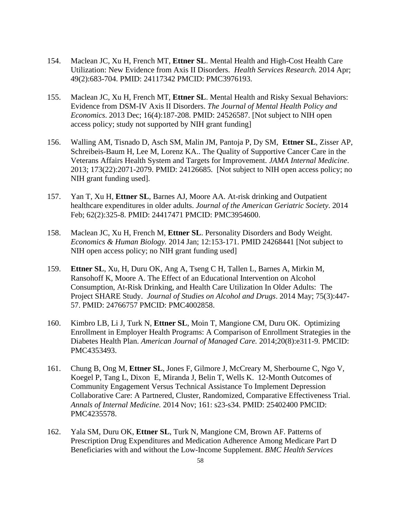- 154. Maclean JC, Xu H, French MT, **Ettner SL**. Mental Health and High-Cost Health Care Utilization: New Evidence from Axis II Disorders. *Health Services Research.* 2014 Apr; 49(2):683-704. PMID: 24117342 PMCID: PMC3976193.
- 155. Maclean JC, Xu H, French MT, **Ettner SL**. Mental Health and Risky Sexual Behaviors: Evidence from DSM-IV Axis II Disorders. *The Journal of Mental Health Policy and Economics*. 2013 Dec; 16(4):187-208. PMID: 24526587. [Not subject to NIH open access policy; study not supported by NIH grant funding]
- 156. Walling AM, Tisnado D, Asch SM, Malin JM, Pantoja P, Dy SM, **Ettner SL**, Zisser AP, Schreibeis-Baum H, Lee M, Lorenz KA.. The Quality of Supportive Cancer Care in the Veterans Affairs Health System and Targets for Improvement. *JAMA Internal Medicine*. 2013; 173(22):2071-2079. PMID: 24126685. [Not subject to NIH open access policy; no NIH grant funding used].
- 157. Yan T, Xu H, **Ettner SL**, Barnes AJ, Moore AA. At-risk drinking and Outpatient healthcare expenditures in older adults. *Journal of the American Geriatric Society*. 2014 Feb; 62(2):325-8. PMID: 24417471 PMCID: PMC3954600.
- 158. Maclean JC, Xu H, French M, **Ettner SL**. Personality Disorders and Body Weight. *Economics & Human Biology.* 2014 Jan; 12:153-171. PMID 24268441 [Not subject to NIH open access policy; no NIH grant funding used]
- 159. **Ettner SL**, Xu, H, Duru OK, Ang A, Tseng C H, Tallen L, Barnes A, Mirkin M, Ransohoff K, Moore A. The Effect of an Educational Intervention on Alcohol Consumption, At-Risk Drinking, and Health Care Utilization In Older Adults: The Project SHARE Study. *Journal of Studies on Alcohol and Drugs*. 2014 May; 75(3):447- 57. PMID: 24766757 PMCID: PMC4002858.
- 160. Kimbro LB, Li J, Turk N, **Ettner SL**, Moin T, Mangione CM, Duru OK. Optimizing Enrollment in Employer Health Programs: A Comparison of Enrollment Strategies in the Diabetes Health Plan. *American Journal of Managed Care.* 2014;20(8):e311-9. PMCID: PMC4353493.
- 161. Chung B, Ong M, **Ettner SL**, Jones F, Gilmore J, McCreary M, Sherbourne C, Ngo V, Koegel P, Tang L, Dixon E, Miranda J, Belin T, Wells K. 12-Month Outcomes of Community Engagement Versus Technical Assistance To Implement Depression Collaborative Care: A Partnered, Cluster, Randomized, Comparative Effectiveness Trial. *Annals of Internal Medicine.* 2014 Nov; 161: s23-s34. PMID: 25402400 PMCID: PMC4235578.
- 162. Yala SM, Duru OK, **Ettner SL**, Turk N, Mangione CM, Brown AF. Patterns of Prescription Drug Expenditures and Medication Adherence Among Medicare Part D Beneficiaries with and without the Low-Income Supplement. *BMC Health Services*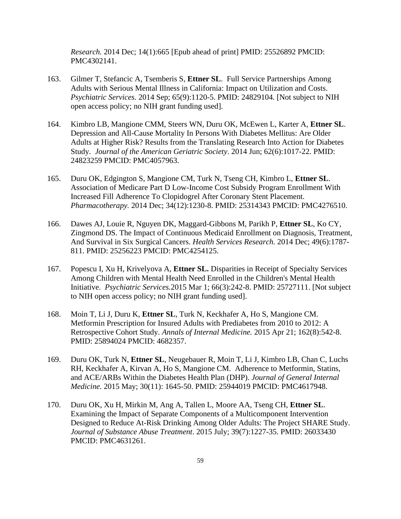*Research.* 2014 Dec; 14(1):665 [Epub ahead of print] PMID: 25526892 PMCID: PMC4302141.

- 163. Gilmer T, Stefancic A, Tsemberis S, **Ettner SL**. Full Service Partnerships Among Adults with Serious Mental Illness in California: Impact on Utilization and Costs. *Psychiatric Services.* 2014 Sep; 65(9):1120-5. PMID: 24829104*.* [Not subject to NIH open access policy; no NIH grant funding used].
- 164. Kimbro LB, Mangione CMM, Steers WN, Duru OK, McEwen L, Karter A, **Ettner SL**. Depression and All-Cause Mortality In Persons With Diabetes Mellitus: Are Older Adults at Higher Risk? Results from the Translating Research Into Action for Diabetes Study. *Journal of the American Geriatric Society*. 2014 Jun; 62(6):1017-22. PMID: 24823259 PMCID: PMC4057963.
- 165. Duru OK, Edgington S, Mangione CM, Turk N, Tseng CH, Kimbro L, **Ettner SL**. Association of Medicare Part D Low-Income Cost Subsidy Program Enrollment With Increased Fill Adherence To Clopidogrel After Coronary Stent Placement. *Pharmacotherapy.* 2014 Dec; 34(12):1230-8. PMID: 25314343 PMCID: PMC4276510.
- 166. Dawes AJ, Louie R, Nguyen DK, Maggard-Gibbons M, Parikh P, **Ettner SL**, Ko CY, Zingmond DS. The Impact of Continuous Medicaid Enrollment on Diagnosis, Treatment, And Survival in Six Surgical Cancers. *Health Services Research.* 2014 Dec; 49(6):1787- 811. PMID: 25256223 PMCID: PMC4254125.
- 167. Popescu I, Xu H, Krivelyova A, **Ettner SL.** Disparities in Receipt of Specialty Services Among Children with Mental Health Need Enrolled in the Children's Mental Health Initiative. *Psychiatric Services.*2015 Mar 1; 66(3):242-8. PMID: 25727111. [Not subject to NIH open access policy; no NIH grant funding used].
- 168. Moin T, Li J, Duru K, **Ettner SL**, Turk N, Keckhafer A, Ho S, Mangione CM. Metformin Prescription for Insured Adults with Prediabetes from 2010 to 2012: A Retrospective Cohort Study. *Annals of Internal Medicine.* 2015 Apr 21; 162(8):542-8. PMID: 25894024 PMCID: 4682357.
- 169. Duru OK, Turk N, **Ettner SL**, Neugebauer R, Moin T, Li J, Kimbro LB, Chan C, Luchs RH, Keckhafer A, Kirvan A, Ho S, Mangione CM. Adherence to Metformin, Statins, and ACE/ARBs Within the Diabetes Health Plan (DHP). *Journal of General Internal Medicine.* 2015 May; 30(11): 1645-50. PMID: 25944019 PMCID: PMC4617948.
- 170. Duru OK, Xu H, Mirkin M, Ang A, Tallen L, Moore AA, Tseng CH, **Ettner SL**. Examining the Impact of Separate Components of a Multicomponent Intervention Designed to Reduce At-Risk Drinking Among Older Adults: The Project SHARE Study. *Journal of Substance Abuse Treatment*. 2015 July; 39(7):1227-35. PMID: 26033430 PMCID: PMC4631261.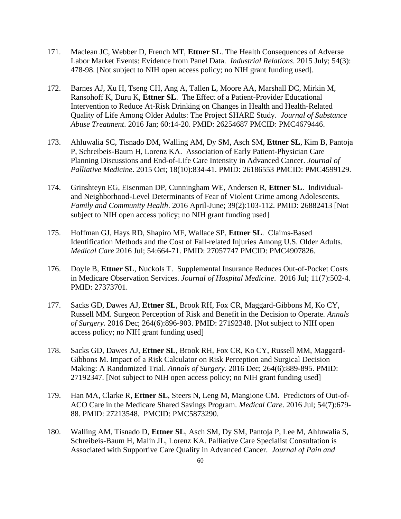- 171. Maclean JC, Webber D, French MT, **Ettner SL**. The Health Consequences of Adverse Labor Market Events: Evidence from Panel Data. *Industrial Relations*. 2015 July; 54(3): 478-98. [Not subject to NIH open access policy; no NIH grant funding used].
- 172. Barnes AJ, Xu H, Tseng CH, Ang A, Tallen L, Moore AA, Marshall DC, Mirkin M, Ransohoff K, Duru K, **Ettner SL**. The Effect of a Patient-Provider Educational Intervention to Reduce At-Risk Drinking on Changes in Health and Health-Related Quality of Life Among Older Adults: The Project SHARE Study. *Journal of Substance Abuse Treatment*. 2016 Jan; 60:14-20. PMID: 26254687 PMCID: PMC4679446.
- 173. Ahluwalia SC, Tisnado DM, Walling AM, Dy SM, Asch SM, **Ettner SL**, Kim B, Pantoja P, Schreibeis-Baum H, Lorenz KA. Association of Early Patient-Physician Care Planning Discussions and End-of-Life Care Intensity in Advanced Cancer. *Journal of Palliative Medicine*. 2015 Oct; 18(10):834-41. PMID: 26186553 PMCID: PMC4599129.
- 174. Grinshteyn EG, Eisenman DP, Cunningham WE, Andersen R, **Ettner SL**. Individualand Neighborhood-Level Determinants of Fear of Violent Crime among Adolescents. *Family and Community Health*. 2016 April-June; 39(2):103-112. PMID: 26882413 [Not subject to NIH open access policy; no NIH grant funding used]
- 175. Hoffman GJ, Hays RD, Shapiro MF, Wallace SP, **Ettner SL**. Claims-Based Identification Methods and the Cost of Fall-related Injuries Among U.S. Older Adults. *Medical Care* 2016 Jul; 54:664-71. PMID: 27057747 PMCID: PMC4907826.
- 176. Doyle B, **Ettner SL**, Nuckols T. Supplemental Insurance Reduces Out-of-Pocket Costs in Medicare Observation Services. *Journal of Hospital Medicine*. 2016 Jul; 11(7):502-4. PMID: 27373701.
- 177. Sacks GD, Dawes AJ, **Ettner SL**, Brook RH, Fox CR, Maggard-Gibbons M, Ko CY, Russell MM. Surgeon Perception of Risk and Benefit in the Decision to Operate. *Annals of Surgery*. 2016 Dec; 264(6):896-903. PMID: 27192348. [Not subject to NIH open access policy; no NIH grant funding used]
- 178. Sacks GD, Dawes AJ, **Ettner SL**, Brook RH, Fox CR, Ko CY, Russell MM, Maggard-Gibbons M. Impact of a Risk Calculator on Risk Perception and Surgical Decision Making: A Randomized Trial. *Annals of Surgery*. 2016 Dec; 264(6):889-895. PMID: 27192347. [Not subject to NIH open access policy; no NIH grant funding used]
- 179. Han MA, Clarke R, **Ettner SL**, Steers N, Leng M, Mangione CM. Predictors of Out-of-ACO Care in the Medicare Shared Savings Program. *Medical Care*. 2016 Jul; 54(7):679- 88. PMID: 27213548. PMCID: [PMC5873290.](https://www.ncbi.nlm.nih.gov/pmc/articles/PMC5873290/)
- 180. Walling AM, Tisnado D, **Ettner SL**, Asch SM, Dy SM, Pantoja P, Lee M, Ahluwalia S, Schreibeis-Baum H, Malin JL, Lorenz KA. Palliative Care Specialist Consultation is Associated with Supportive Care Quality in Advanced Cancer. *Journal of Pain and*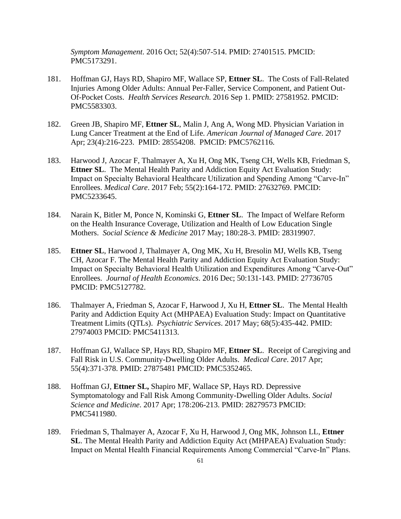*Symptom Management*. 2016 Oct; 52(4):507-514. PMID: 27401515. PMCID: PMC5173291.

- 181. Hoffman GJ, Hays RD, Shapiro MF, Wallace SP, **Ettner SL**. The Costs of Fall-Related Injuries Among Older Adults: Annual Per-Faller, Service Component, and Patient Out-Of-Pocket Costs. *Health Services Research*. 2016 Sep 1. PMID: 27581952. PMCID: PMC5583303.
- 182. Green JB, Shapiro MF, **Ettner SL**, Malin J, Ang A, Wong MD. Physician Variation in Lung Cancer Treatment at the End of Life. *American Journal of Managed Care*. 2017 Apr; 23(4):216-223. PMID: 28554208. PMCID: [PMC5762116.](https://www.ncbi.nlm.nih.gov/pmc/articles/PMC5762116/)
- 183. Harwood J, Azocar F, Thalmayer A, Xu H, Ong MK, Tseng CH, Wells KB, Friedman S, **Ettner SL**. The Mental Health Parity and Addiction Equity Act Evaluation Study: Impact on Specialty Behavioral Healthcare Utilization and Spending Among "Carve-In" Enrollees. *Medical Care*. 2017 Feb; 55(2):164-172. PMID: 27632769. PMCID: PMC5233645.
- 184. Narain K, Bitler M, Ponce N, Kominski G, **Ettner SL**. The Impact of Welfare Reform on the Health Insurance Coverage, Utilization and Health of Low Education Single Mothers. *Social Science & Medicine* 2017 May; 180:28-3. PMID: 28319907.
- 185. **Ettner SL**, Harwood J, Thalmayer A, Ong MK, Xu H, Bresolin MJ, Wells KB, Tseng CH, Azocar F. The Mental Health Parity and Addiction Equity Act Evaluation Study: Impact on Specialty Behavioral Health Utilization and Expenditures Among "Carve-Out" Enrollees. *Journal of Health Economics*. 2016 Dec; 50:131-143. PMID: 27736705 PMCID: PMC5127782.
- 186. Thalmayer A, Friedman S, Azocar F, Harwood J, Xu H, **Ettner SL**. The Mental Health Parity and Addiction Equity Act (MHPAEA) Evaluation Study: Impact on Quantitative Treatment Limits (QTLs). *Psychiatric Services*. 2017 May; 68(5):435-442. PMID: 27974003 PMCID: PMC5411313.
- 187. Hoffman GJ, Wallace SP, Hays RD, Shapiro MF, **Ettner SL**. Receipt of Caregiving and Fall Risk in U.S. Community-Dwelling Older Adults. *Medical Care*. 2017 Apr; 55(4):371-378. PMID: 27875481 PMCID: PMC5352465.
- 188. Hoffman GJ, **Ettner SL,** Shapiro MF, Wallace SP, Hays RD. Depressive Symptomatology and Fall Risk Among Community-Dwelling Older Adults. *Social Science and Medicine*. 2017 Apr; 178:206-213. PMID: 28279573 PMCID: PMC5411980.
- 189. Friedman S, Thalmayer A, Azocar F, Xu H, Harwood J, Ong MK, Johnson LL, **Ettner SL**. The Mental Health Parity and Addiction Equity Act (MHPAEA) Evaluation Study: Impact on Mental Health Financial Requirements Among Commercial "Carve-In" Plans.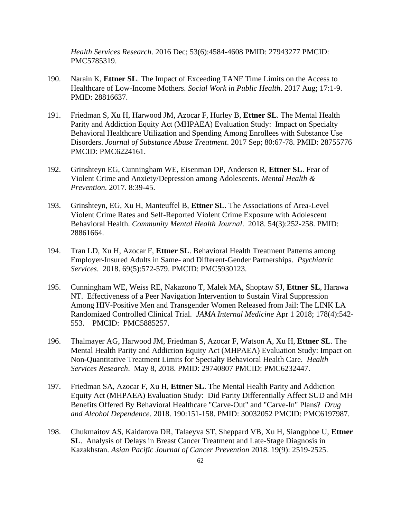*Health Services Research*. 2016 Dec; 53(6):4584-4608 PMID: 27943277 PMCID: PMC5785319.

- 190. Narain K, **Ettner SL**. The Impact of Exceeding TANF Time Limits on the Access to Healthcare of Low-Income Mothers. *Social Work in Public Health*. 2017 Aug; 17:1-9. PMID: 28816637.
- 191. Friedman S, Xu H, Harwood JM, Azocar F, Hurley B, **Ettner SL**. The Mental Health Parity and Addiction Equity Act (MHPAEA) Evaluation Study: Impact on Specialty Behavioral Healthcare Utilization and Spending Among Enrollees with Substance Use Disorders. *Journal of Substance Abuse Treatment*. 2017 Sep; 80:67-78. PMID: 28755776 PMCID: PMC6224161.
- 192. Grinshteyn EG, Cunningham WE, Eisenman DP, Andersen R, **Ettner SL**. Fear of Violent Crime and Anxiety/Depression among Adolescents. *Mental Health & Prevention.* 2017. 8:39-45.
- 193. Grinshteyn, EG, Xu H, Manteuffel B, **Ettner SL**. The Associations of Area-Level Violent Crime Rates and Self-Reported Violent Crime Exposure with Adolescent Behavioral Health. *Community Mental Health Journal*. 2018. 54(3):252-258. PMID: 28861664.
- 194. Tran LD, Xu H, Azocar F, **Ettner SL**. Behavioral Health Treatment Patterns among Employer-Insured Adults in Same- and Different-Gender Partnerships. *Psychiatric Services*. 2018. 69(5):572-579. PMCID: PMC5930123.
- 195. Cunningham WE, Weiss RE, Nakazono T, Malek MA, Shoptaw SJ, **Ettner SL**, Harawa NT. Effectiveness of a Peer Navigation Intervention to Sustain Viral Suppression Among HIV-Positive Men and Transgender Women Released from Jail: The LINK LA Randomized Controlled Clinical Trial. *JAMA Internal Medicine* Apr 1 2018; 178(4):542- 553. PMCID: PMC5885257.
- 196. Thalmayer AG, Harwood JM, Friedman S, Azocar F, Watson A, Xu H, **Ettner SL**. The Mental Health Parity and Addiction Equity Act (MHPAEA) Evaluation Study: Impact on Non-Quantitative Treatment Limits for Specialty Behavioral Health Care. *Health Services Research*. May 8, 2018. PMID: 29740807 PMCID: PMC6232447.
- 197. Friedman SA, Azocar F, Xu H, **Ettner SL**. The Mental Health Parity and Addiction Equity Act (MHPAEA) Evaluation Study: Did Parity Differentially Affect SUD and MH Benefits Offered By Behavioral Healthcare "Carve-Out" and "Carve-In" Plans? *Drug and Alcohol Dependence*. 2018. 190:151-158. PMID: 30032052 PMCID: PMC6197987.
- 198. Chukmaitov AS, Kaidarova DR, Talaeyva ST, Sheppard VB, Xu H, Siangphoe U, **Ettner SL**. Analysis of Delays in Breast Cancer Treatment and Late-Stage Diagnosis in Kazakhstan. *Asian Pacific Journal of Cancer Prevention* 2018. 19(9): 2519-2525.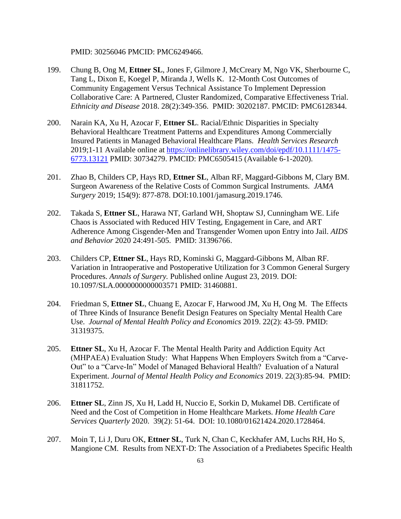PMID: 30256046 PMCID: PMC6249466.

- 199. Chung B, Ong M, **Ettner SL**, Jones F, Gilmore J, McCreary M, Ngo VK, Sherbourne C, Tang L, Dixon E, Koegel P, Miranda J, Wells K. 12-Month Cost Outcomes of Community Engagement Versus Technical Assistance To Implement Depression Collaborative Care: A Partnered, Cluster Randomized, Comparative Effectiveness Trial. *Ethnicity and Disease* 2018. 28(2):349-356. PMID: 30202187. PMCID: [PMC6128344.](https://www.ncbi.nlm.nih.gov/pmc/articles/PMC6128344/)
- 200. Narain KA, Xu H, Azocar F, **Ettner SL**. Racial/Ethnic Disparities in Specialty Behavioral Healthcare Treatment Patterns and Expenditures Among Commercially Insured Patients in Managed Behavioral Healthcare Plans. *Health Services Research* 2019;1-11 Available online at [https://onlinelibrary.wiley.com/doi/epdf/10.1111/1475-](https://onlinelibrary.wiley.com/doi/epdf/10.1111/1475-6773.13121) [6773.13121](https://onlinelibrary.wiley.com/doi/epdf/10.1111/1475-6773.13121) PMID: 30734279. PMCID: [PMC6505415](https://www.ncbi.nlm.nih.gov/pmc/articles/PMC6505415/) (Available 6-1-2020).
- 201. Zhao B, Childers CP, Hays RD, **Ettner SL**, Alban RF, Maggard-Gibbons M, Clary BM. Surgeon Awareness of the Relative Costs of Common Surgical Instruments. *JAMA Surgery* 2019; 154(9): 877-878. DOI:10.1001/jamasurg.2019.1746.
- 202. Takada S, **Ettner SL**, Harawa NT, Garland WH, Shoptaw SJ, Cunningham WE. Life Chaos is Associated with Reduced HIV Testing, Engagement in Care, and ART Adherence Among Cisgender-Men and Transgender Women upon Entry into Jail. *AIDS and Behavior* 2020 24:491-505. PMID: 31396766.
- 203. Childers CP, **Ettner SL**, Hays RD, Kominski G, Maggard-Gibbons M, Alban RF. Variation in Intraoperative and Postoperative Utilization for 3 Common General Surgery Procedures. *Annals of Surgery.* Published online August 23, 2019. DOI: 10.1097/SLA.0000000000003571 PMID: 31460881.
- 204. Friedman S, **Ettner SL**, Chuang E, Azocar F, Harwood JM, Xu H, Ong M. The Effects of Three Kinds of Insurance Benefit Design Features on Specialty Mental Health Care Use. *Journal of Mental Health Policy and Economics* 2019. 22(2): 43-59. PMID: 31319375.
- 205. **Ettner SL**, Xu H, Azocar F. The Mental Health Parity and Addiction Equity Act (MHPAEA) Evaluation Study: What Happens When Employers Switch from a "Carve-Out" to a "Carve-In" Model of Managed Behavioral Health? Evaluation of a Natural Experiment. *Journal of Mental Health Policy and Economics* 2019. 22(3):85-94. PMID: 31811752.
- 206. **Ettner SL**, Zinn JS, Xu H, Ladd H, Nuccio E, Sorkin D, Mukamel DB. Certificate of Need and the Cost of Competition in Home Healthcare Markets. *Home Health Care Services Quarterly* 2020. 39(2): 51-64. DOI: 10.1080/01621424.2020.1728464.
- 207. Moin T, Li J, Duru OK, **Ettner SL**, Turk N, Chan C, Keckhafer AM, Luchs RH, Ho S, Mangione CM. Results from NEXT-D: The Association of a Prediabetes Specific Health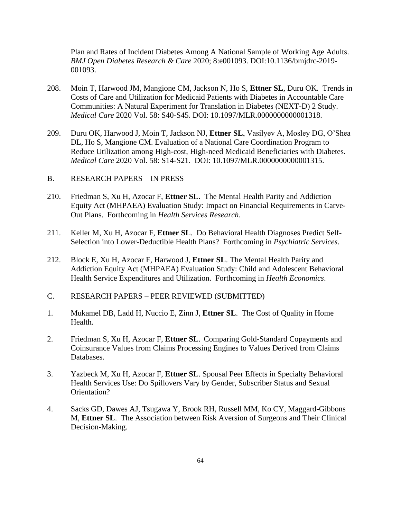Plan and Rates of Incident Diabetes Among A National Sample of Working Age Adults. *BMJ Open Diabetes Research & Care* 2020; 8:e001093. DOI:10.1136/bmjdrc-2019- 001093.

- 208. Moin T, Harwood JM, Mangione CM, Jackson N, Ho S, **Ettner SL**, Duru OK. Trends in Costs of Care and Utilization for Medicaid Patients with Diabetes in Accountable Care Communities: A Natural Experiment for Translation in Diabetes (NEXT-D) 2 Study. *Medical Care* 2020 Vol. 58: S40-S45. DOI: 10.1097/MLR.0000000000001318.
- 209. Duru OK, Harwood J, Moin T, Jackson NJ, **Ettner SL**, Vasilyev A, Mosley DG, O'Shea DL, Ho S, Mangione CM. Evaluation of a National Care Coordination Program to Reduce Utilization among High-cost, High-need Medicaid Beneficiaries with Diabetes. *Medical Care* 2020 Vol. 58: S14-S21. DOI: 10.1097/MLR.0000000000001315.
- B. RESEARCH PAPERS IN PRESS
- 210. Friedman S, Xu H, Azocar F, **Ettner SL**. The Mental Health Parity and Addiction Equity Act (MHPAEA) Evaluation Study: Impact on Financial Requirements in Carve-Out Plans. Forthcoming in *Health Services Research*.
- 211. Keller M, Xu H, Azocar F, **Ettner SL**. Do Behavioral Health Diagnoses Predict Self-Selection into Lower-Deductible Health Plans? Forthcoming in *Psychiatric Services*.
- 212. Block E, Xu H, Azocar F, Harwood J, **Ettner SL**. The Mental Health Parity and Addiction Equity Act (MHPAEA) Evaluation Study: Child and Adolescent Behavioral Health Service Expenditures and Utilization. Forthcoming in *Health Economics*.
- C. RESEARCH PAPERS PEER REVIEWED (SUBMITTED)
- 1. Mukamel DB, Ladd H, Nuccio E, Zinn J, **Ettner SL**. The Cost of Quality in Home Health.
- 2. Friedman S, Xu H, Azocar F, **Ettner SL**. Comparing Gold-Standard Copayments and Coinsurance Values from Claims Processing Engines to Values Derived from Claims Databases.
- 3. Yazbeck M, Xu H, Azocar F, **Ettner SL**. Spousal Peer Effects in Specialty Behavioral Health Services Use: Do Spillovers Vary by Gender, Subscriber Status and Sexual Orientation?
- 4. Sacks GD, Dawes AJ, Tsugawa Y, Brook RH, Russell MM, Ko CY, Maggard-Gibbons M, **Ettner SL**. The Association between Risk Aversion of Surgeons and Their Clinical Decision-Making.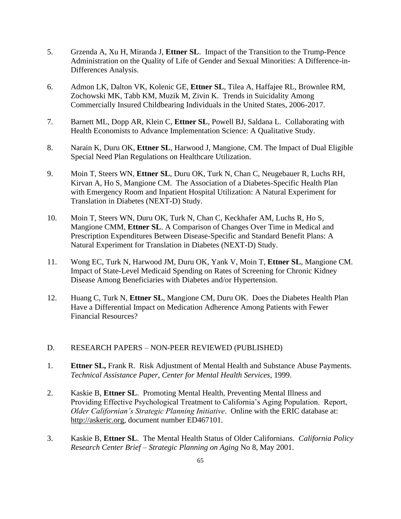- 5. Grzenda A, Xu H, Miranda J, **Ettner SL**. Impact of the Transition to the Trump-Pence Administration on the Quality of Life of Gender and Sexual Minorities: A Difference-in-Differences Analysis.
- 6. Admon LK, Dalton VK, Kolenic GE, **Ettner SL**, Tilea A, Haffajee RL, Brownlee RM, Zochowski MK, Tabb KM, Muzik M, Zivin K. Trends in Suicidality Among Commercially Insured Childbearing Individuals in the United States, 2006-2017.
- 7. Barnett ML, Dopp AR, Klein C, **Ettner SL**, Powell BJ, Saldana L. Collaborating with Health Economists to Advance Implementation Science: A Qualitative Study.
- 8. Narain K, Duru OK, **Ettner SL**, Harwood J, Mangione, CM. The Impact of Dual Eligible Special Need Plan Regulations on Healthcare Utilization.
- 9. Moin T, Steers WN, **Ettner SL**, Duru OK, Turk N, Chan C, Neugebauer R, Luchs RH, Kirvan A, Ho S, Mangione CM. The Association of a Diabetes-Specific Health Plan with Emergency Room and Inpatient Hospital Utilization: A Natural Experiment for Translation in Diabetes (NEXT-D) Study.
- 10. Moin T, Steers WN, Duru OK, Turk N, Chan C, Keckhafer AM, Luchs R, Ho S, Mangione CMM, **Ettner SL**. A Comparison of Changes Over Time in Medical and Prescription Expenditures Between Disease-Specific and Standard Benefit Plans: A Natural Experiment for Translation in Diabetes (NEXT-D) Study.
- 11. Wong EC, Turk N, Harwood JM, Duru OK, Yank V, Moin T, **Ettner SL**, Mangione CM. Impact of State-Level Medicaid Spending on Rates of Screening for Chronic Kidney Disease Among Beneficiaries with Diabetes and/or Hypertension.
- 12. Huang C, Turk N, **Ettner SL**, Mangione CM, Duru OK. Does the Diabetes Health Plan Have a Differential Impact on Medication Adherence Among Patients with Fewer Financial Resources?

#### D. RESEARCH PAPERS – NON-PEER REVIEWED (PUBLISHED)

- 1. **Ettner SL,** Frank R. Risk Adjustment of Mental Health and Substance Abuse Payments. *Technical Assistance Paper, Center for Mental Health Services*, 1999.
- 2. Kaskie B, **Ettner SL**. Promoting Mental Health, Preventing Mental Illness and Providing Effective Psychological Treatment to California's Aging Population. Report, *Older Californian's Strategic Planning Initiative*. Online with the ERIC database at: http://askeric.org, document number ED467101.
- 3. Kaskie B, **Ettner SL**. The Mental Health Status of Older Californians. *California Policy Research Center Brief – Strategic Planning on Aging* No 8, May 2001.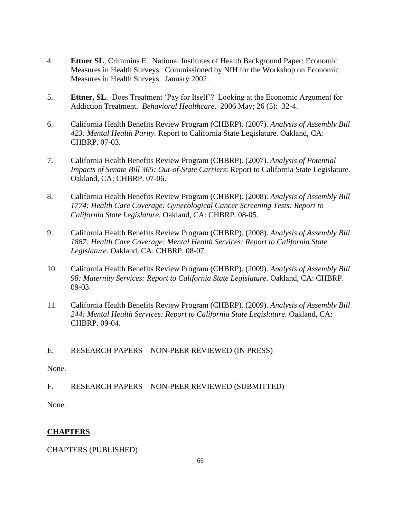- 4. **Ettner SL**, Crimmins E. National Institutes of Health Background Paper: Economic Measures in Health Surveys. Commissioned by NIH for the Workshop on Economic Measures in Health Surveys. January 2002.
- 5. **Ettner, SL**. Does Treatment 'Pay for Itself'? Looking at the Economic Argument for Addiction Treatment. *Behavioral Healthcare*. 2006 May; 26 (5): 32-4.
- 6. California Health Benefits Review Program (CHBRP). (2007). *Analysis of Assembly Bill 423: Mental Health Parity.* Report to California State Legislature. Oakland, CA: CHBRP. 07-03.
- 7. California Health Benefits Review Program (CHBRP). (2007). *Analysis of Potential Impacts of Senate Bill 365: Out-of-State Carriers*: Report to California State Legislature. Oakland, CA: CHBRP. 07-06.
- 8. California Health Benefits Review Program (CHBRP). (2008). *Analysis of Assembly Bill 1774: Health Care Coverage: Gynecological Cancer Screening Tests: Report to California State Legislature.* Oakland, CA: CHBRP. 08-05.
- 9. California Health Benefits Review Program (CHBRP). (2008). *Analysis of Assembly Bill 1887: Health Care Coverage: Mental Health Services: Report to California State Legislature.* Oakland, CA: CHBRP. 08-07.
- 10. California Health Benefits Review Program (CHBRP). (2009). *Analysis of Assembly Bill 98: Maternity Services: Report to California State Legislature.* Oakland, CA: CHBRP. 09-03.
- 11. California Health Benefits Review Program (CHBRP). (2009). *Analysis of Assembly Bill 244: Mental Health Services: Report to California State Legislature.* Oakland, CA: CHBRP. 09-04.

E. RESEARCH PAPERS – NON-PEER REVIEWED (IN PRESS)

None.

F. RESEARCH PAPERS – NON-PEER REVIEWED (SUBMITTED)

None.

# **CHAPTERS**

CHAPTERS (PUBLISHED)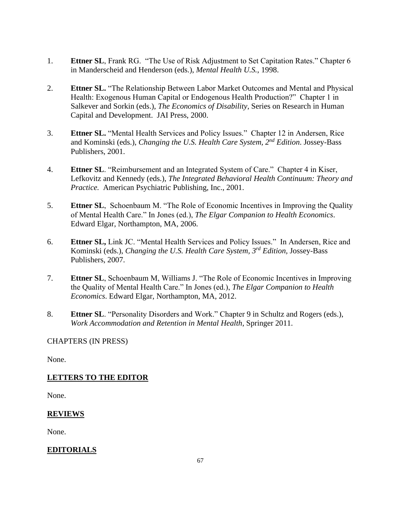- 1. **Ettner SL**, Frank RG. "The Use of Risk Adjustment to Set Capitation Rates." Chapter 6 in Manderscheid and Henderson (eds.), *Mental Health U.S.*, 1998.
- 2. **Ettner SL.** "The Relationship Between Labor Market Outcomes and Mental and Physical Health: Exogenous Human Capital or Endogenous Health Production?" Chapter 1 in Salkever and Sorkin (eds.), *The Economics of Disability*, Series on Research in Human Capital and Development. JAI Press, 2000.
- 3. **Ettner SL.** "Mental Health Services and Policy Issues." Chapter 12 in Andersen, Rice and Kominski (eds.), *Changing the U.S. Health Care System, 2nd Edition*. Jossey-Bass Publishers, 2001.
- 4. **Ettner SL**. "Reimbursement and an Integrated System of Care." Chapter 4 in Kiser, Lefkovitz and Kennedy (eds.), *The Integrated Behavioral Health Continuum: Theory and Practice.* American Psychiatric Publishing, Inc., 2001.
- 5. **Ettner SL**, Schoenbaum M. "The Role of Economic Incentives in Improving the Quality of Mental Health Care." In Jones (ed.), *The Elgar Companion to Health Economics*. Edward Elgar, Northampton, MA, 2006.
- 6. **Ettner SL,** Link JC. "Mental Health Services and Policy Issues." In Andersen, Rice and Kominski (eds.), *Changing the U.S. Health Care System, 3rd Edition,* Jossey-Bass Publishers, 2007.
- 7. **Ettner SL**, Schoenbaum M, Williams J. "The Role of Economic Incentives in Improving the Quality of Mental Health Care." In Jones (ed.), *The Elgar Companion to Health Economics*. Edward Elgar, Northampton, MA, 2012.
- 8. **Ettner SL**. "Personality Disorders and Work." Chapter 9 in Schultz and Rogers (eds.), *Work Accommodation and Retention in Mental Health*, Springer 2011.

## CHAPTERS (IN PRESS)

None.

# **LETTERS TO THE EDITOR**

None.

# **REVIEWS**

None.

# **EDITORIALS**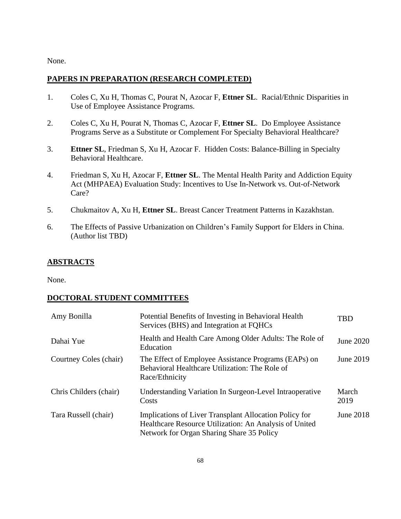None.

## **PAPERS IN PREPARATION (RESEARCH COMPLETED)**

- 1. Coles C, Xu H, Thomas C, Pourat N, Azocar F, **Ettner SL**. Racial/Ethnic Disparities in Use of Employee Assistance Programs.
- 2. Coles C, Xu H, Pourat N, Thomas C, Azocar F, **Ettner SL**. Do Employee Assistance Programs Serve as a Substitute or Complement For Specialty Behavioral Healthcare?
- 3. **Ettner SL**, Friedman S, Xu H, Azocar F. Hidden Costs: Balance-Billing in Specialty Behavioral Healthcare.
- 4. Friedman S, Xu H, Azocar F, **Ettner SL**. The Mental Health Parity and Addiction Equity Act (MHPAEA) Evaluation Study: Incentives to Use In-Network vs. Out-of-Network Care?
- 5. Chukmaitov A, Xu H, **Ettner SL**. Breast Cancer Treatment Patterns in Kazakhstan.
- 6. The Effects of Passive Urbanization on Children's Family Support for Elders in China. (Author list TBD)

#### **ABSTRACTS**

None.

## **DOCTORAL STUDENT COMMITTEES**

| Amy Bonilla            | Potential Benefits of Investing in Behavioral Health<br>Services (BHS) and Integration at FQHCs                                                               | <b>TBD</b>    |
|------------------------|---------------------------------------------------------------------------------------------------------------------------------------------------------------|---------------|
| Dahai Yue              | Health and Health Care Among Older Adults: The Role of<br>Education                                                                                           | June 2020     |
| Courtney Coles (chair) | The Effect of Employee Assistance Programs (EAPs) on<br>Behavioral Healthcare Utilization: The Role of<br>Race/Ethnicity                                      | June 2019     |
| Chris Childers (chair) | Understanding Variation In Surgeon-Level Intraoperative<br>Costs                                                                                              | March<br>2019 |
| Tara Russell (chair)   | Implications of Liver Transplant Allocation Policy for<br>Healthcare Resource Utilization: An Analysis of United<br>Network for Organ Sharing Share 35 Policy | June 2018     |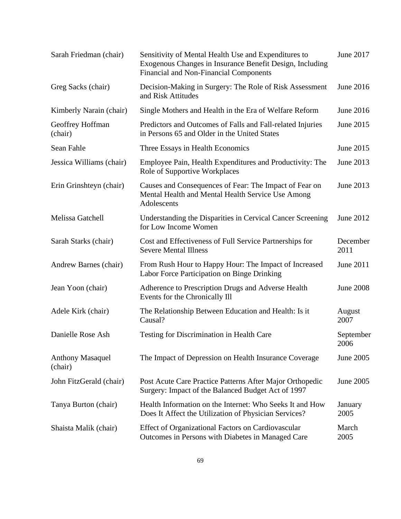| Sarah Friedman (chair)             | Sensitivity of Mental Health Use and Expenditures to<br>Exogenous Changes in Insurance Benefit Design, Including<br>Financial and Non-Financial Components | June 2017         |
|------------------------------------|------------------------------------------------------------------------------------------------------------------------------------------------------------|-------------------|
| Greg Sacks (chair)                 | Decision-Making in Surgery: The Role of Risk Assessment<br>and Risk Attitudes                                                                              | June 2016         |
| Kimberly Narain (chair)            | Single Mothers and Health in the Era of Welfare Reform                                                                                                     | June 2016         |
| Geoffrey Hoffman<br>(chair)        | Predictors and Outcomes of Falls and Fall-related Injuries<br>in Persons 65 and Older in the United States                                                 | June 2015         |
| Sean Fahle                         | Three Essays in Health Economics                                                                                                                           | June 2015         |
| Jessica Williams (chair)           | Employee Pain, Health Expenditures and Productivity: The<br>Role of Supportive Workplaces                                                                  | June 2013         |
| Erin Grinshteyn (chair)            | Causes and Consequences of Fear: The Impact of Fear on<br>Mental Health and Mental Health Service Use Among<br>Adolescents                                 | June 2013         |
| Melissa Gatchell                   | Understanding the Disparities in Cervical Cancer Screening<br>for Low Income Women                                                                         | June 2012         |
| Sarah Starks (chair)               | Cost and Effectiveness of Full Service Partnerships for<br><b>Severe Mental Illness</b>                                                                    | December<br>2011  |
| Andrew Barnes (chair)              | From Rush Hour to Happy Hour: The Impact of Increased<br>Labor Force Participation on Binge Drinking                                                       | June 2011         |
| Jean Yoon (chair)                  | Adherence to Prescription Drugs and Adverse Health<br>Events for the Chronically Ill                                                                       | <b>June 2008</b>  |
| Adele Kirk (chair)                 | The Relationship Between Education and Health: Is it<br>Causal?                                                                                            | August<br>2007    |
| Danielle Rose Ash                  | Testing for Discrimination in Health Care                                                                                                                  | September<br>2006 |
| <b>Anthony Masaquel</b><br>(chair) | The Impact of Depression on Health Insurance Coverage                                                                                                      | June 2005         |
| John FitzGerald (chair)            | Post Acute Care Practice Patterns After Major Orthopedic<br>Surgery: Impact of the Balanced Budget Act of 1997                                             | June 2005         |
| Tanya Burton (chair)               | Health Information on the Internet: Who Seeks It and How<br>Does It Affect the Utilization of Physician Services?                                          | January<br>2005   |
| Shaista Malik (chair)              | Effect of Organizational Factors on Cardiovascular<br>Outcomes in Persons with Diabetes in Managed Care                                                    | March<br>2005     |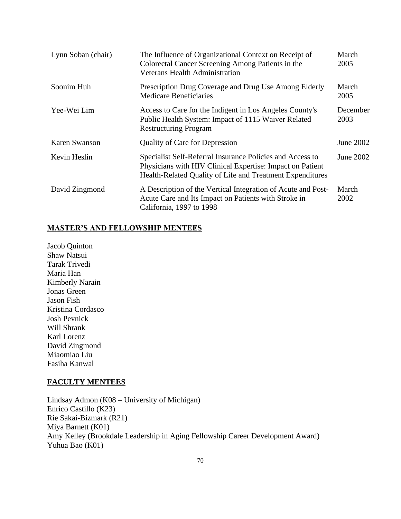| Lynn Soban (chair) | The Influence of Organizational Context on Receipt of<br>Colorectal Cancer Screening Among Patients in the<br><b>Veterans Health Administration</b>                                 | March<br>2005    |
|--------------------|-------------------------------------------------------------------------------------------------------------------------------------------------------------------------------------|------------------|
| Soonim Huh         | Prescription Drug Coverage and Drug Use Among Elderly<br><b>Medicare Beneficiaries</b>                                                                                              | March<br>2005    |
| Yee-Wei Lim        | Access to Care for the Indigent in Los Angeles County's<br>Public Health System: Impact of 1115 Waiver Related<br><b>Restructuring Program</b>                                      | December<br>2003 |
| Karen Swanson      | <b>Quality of Care for Depression</b>                                                                                                                                               | June 2002        |
| Kevin Heslin       | Specialist Self-Referral Insurance Policies and Access to<br>Physicians with HIV Clinical Expertise: Impact on Patient<br>Health-Related Quality of Life and Treatment Expenditures | June 2002        |
| David Zingmond     | A Description of the Vertical Integration of Acute and Post-<br>Acute Care and Its Impact on Patients with Stroke in<br>California, 1997 to 1998                                    | March<br>2002    |

# **MASTER'S AND FELLOWSHIP MENTEES**

Jacob Quinton Shaw Natsui Tarak Trivedi Maria Han Kimberly Narain Jonas Green Jason Fish Kristina Cordasco Josh Pevnick Will Shrank Karl Lorenz David Zingmond Miaomiao Liu Fasiha Kanwal

## **FACULTY MENTEES**

Lindsay Admon (K08 – University of Michigan) Enrico Castillo (K23) Rie Sakai-Bizmark (R21) Miya Barnett (K01) Amy Kelley (Brookdale Leadership in Aging Fellowship Career Development Award) Yuhua Bao (K01)